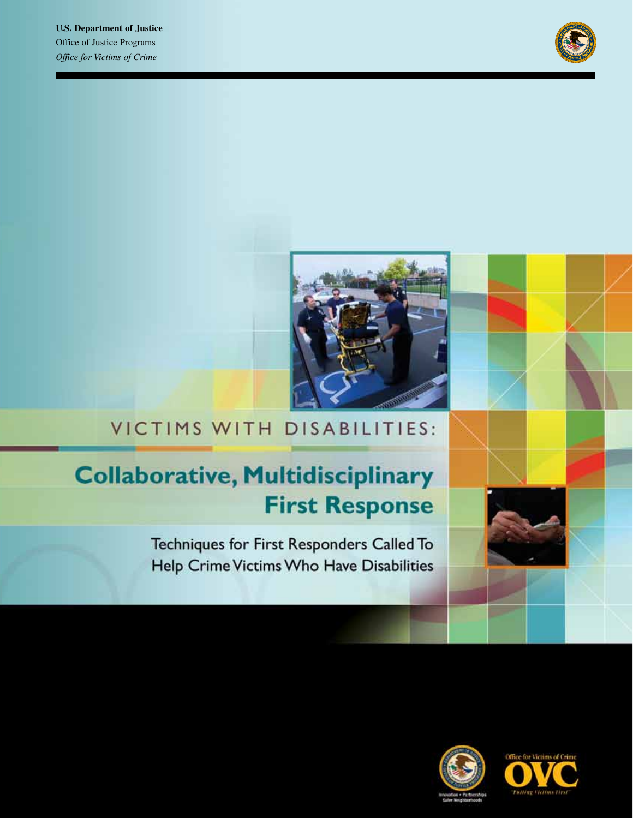



## VICTIMS WITH DISABILITIES:

## **Collaborative, Multidisciplinary First Response**

Techniques for First Responders Called To Help Crime Victims Who Have Disabilities



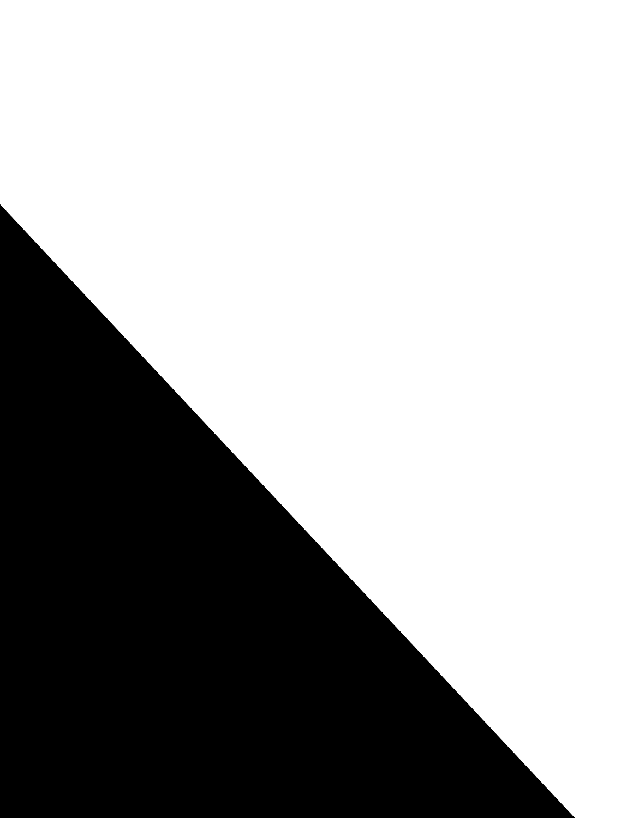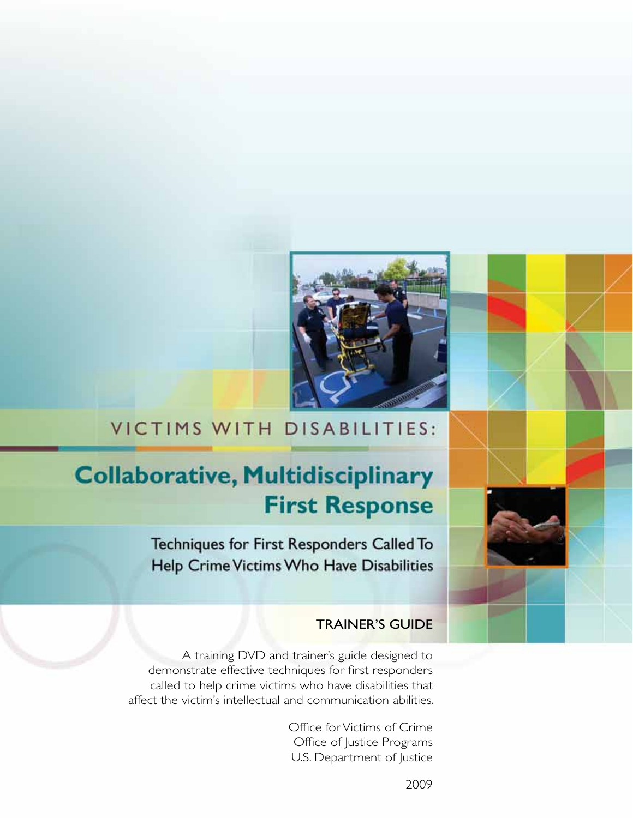

## VICTIMS WITH DISABILITIES:

## **Collaborative, Multidisciplinary First Response**

Techniques for First Responders Called To Help Crime Victims Who Have Disabilities

#### TRAINER'S GUIDE

A training DVD and trainer's guide designed to demonstrate effective techniques for first responders called to help crime victims who have disabilities that affect the victim's intellectual and communication abilities.

> Office for Victims of Crime Office of Justice Programs U.S. Department of Justice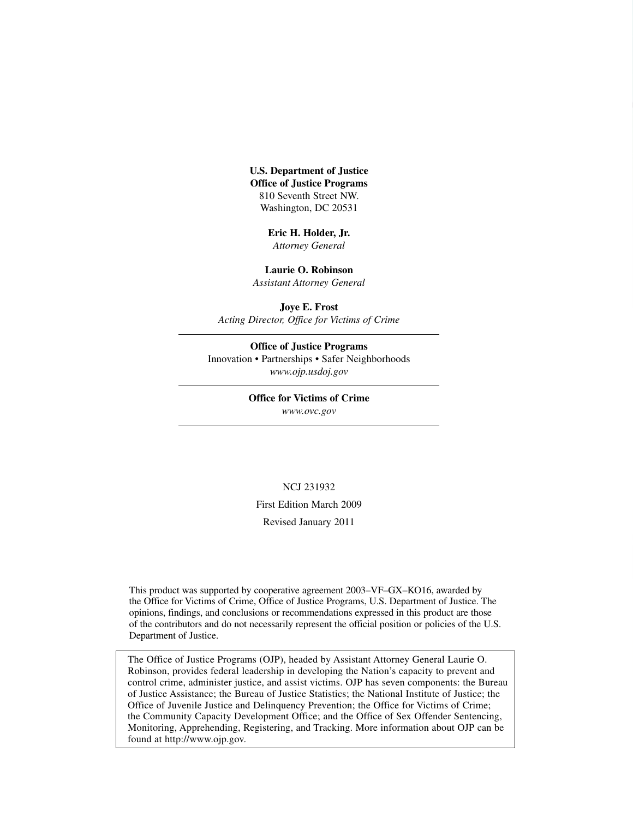**U.S. Department of Justice Office of Justice Programs** 810 Seventh Street NW. Washington, DC 20531

#### **Eric H. Holder, Jr.**

*Attorney General*

#### **Laurie O. Robinson**

*Assistant Attorney General*

**Joye E. Frost** *Acting Director, Office for Victims of Crime*

#### **Office of Justice Programs**

Innovation • Partnerships • Safer Neighborhoods *www.ojp.usdoj.gov*

#### **Office for Victims of Crime**

*www.ovc.gov*

#### NCJ 231932

First Edition March 2009 Revised January 2011

This product was supported by cooperative agreement 2003–VF–GX–KO16, awarded by the Office for Victims of Crime, Office of Justice Programs, U.S. Department of Justice. The opinions, findings, and conclusions or recommendations expressed in this product are those of the contributors and do not necessarily represent the official position or policies of the U.S. Department of Justice.

The Office of Justice Programs (OJP), headed by Assistant Attorney General Laurie O. Robinson, provides federal leadership in developing the Nation's capacity to prevent and control crime, administer justice, and assist victims. OJP has seven components: the Bureau of Justice Assistance; the Bureau of Justice Statistics; the National Institute of Justice; the Office of Juvenile Justice and Delinquency Prevention; the Office for Victims of Crime; the Community Capacity Development Office; and the Office of Sex Offender Sentencing, Monitoring, Apprehending, Registering, and Tracking. More information about OJP can be found at http://www.ojp.gov.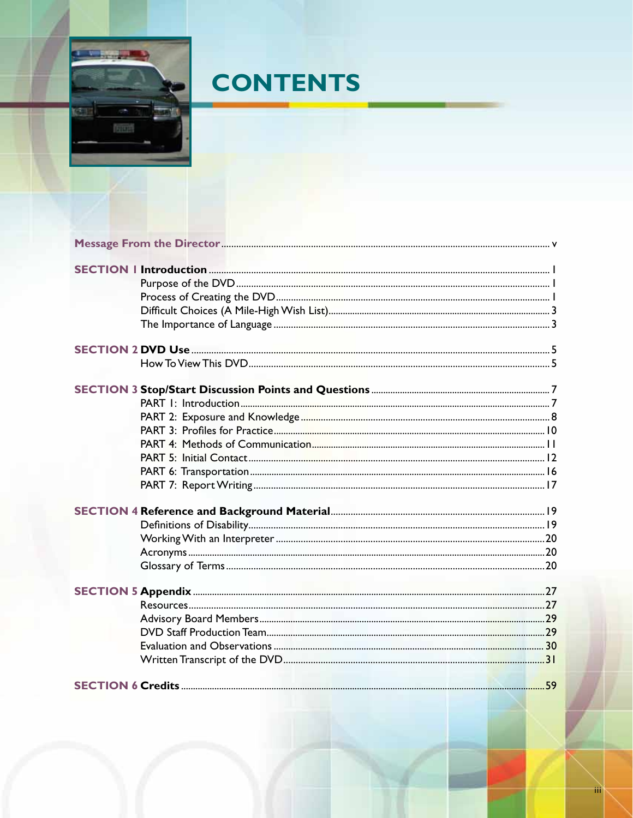

# **CONTENTS**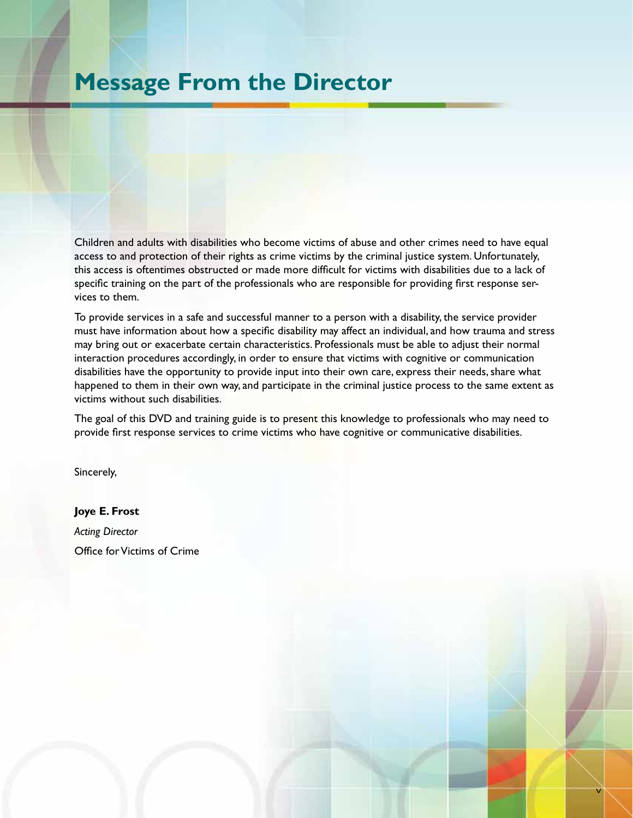## **Message From the Director**

Children and adults with disabilities who become victims of abuse and other crimes need to have equal access to and protection of their rights as crime victims by the criminal justice system. Unfortunately, this access is oftentimes obstructed or made more difficult for victims with disabilities due to a lack of specific training on the part of the professionals who are responsible for providing first response services to them.

To provide services in a safe and successful manner to a person with a disability, the service provider must have information about how a specific disability may affect an individual, and how trauma and stress may bring out or exacerbate certain characteristics. Professionals must be able to adjust their normal interaction procedures accordingly, in order to ensure that victims with cognitive or communication disabilities have the opportunity to provide input into their own care, express their needs, share what happened to them in their own way, and participate in the criminal justice process to the same extent as victims without such disabilities.

The goal of this DVD and training guide is to present this knowledge to professionals who may need to provide first response services to crime victims who have cognitive or communicative disabilities.

v

Sincerely,

**Joye E. Frost** *Acting Director* Office for Victims of Crime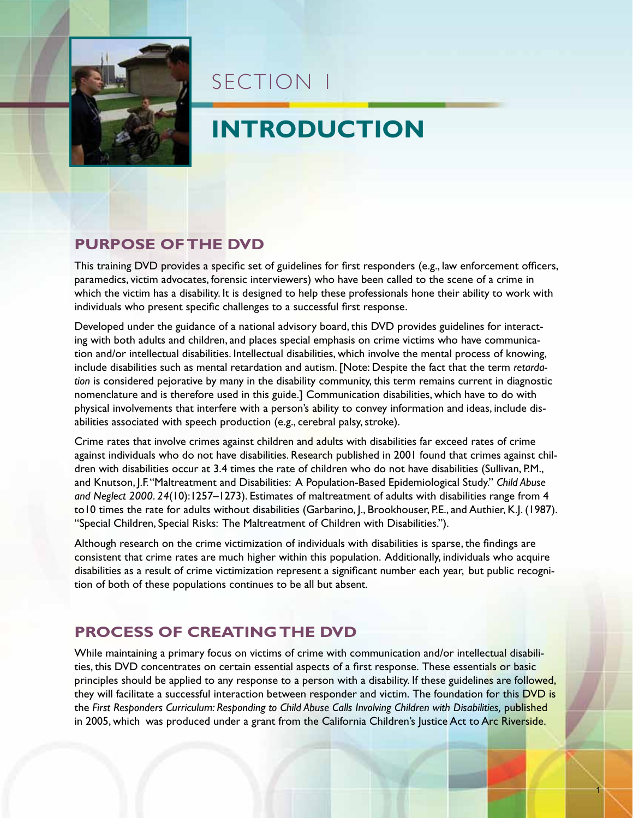

## SECTION 1

## **INTRODUCTION**

### **PURPOSE OF ThE DVD**

This training DVD provides a specific set of guidelines for first responders (e.g., law enforcement officers, paramedics, victim advocates, forensic interviewers) who have been called to the scene of a crime in which the victim has a disability. It is designed to help these professionals hone their ability to work with individuals who present specific challenges to a successful first response.

Developed under the guidance of a national advisory board, this DVD provides guidelines for interacting with both adults and children, and places special emphasis on crime victims who have communication and/or intellectual disabilities. Intellectual disabilities, which involve the mental process of knowing, include disabilities such as mental retardation and autism. [Note: Despite the fact that the term *retardation* is considered pejorative by many in the disability community, this term remains current in diagnostic nomenclature and is therefore used in this guide.] Communication disabilities, which have to do with physical involvements that interfere with a person's ability to convey information and ideas, include disabilities associated with speech production (e.g., cerebral palsy, stroke).

Crime rates that involve crimes against children and adults with disabilities far exceed rates of crime against individuals who do not have disabilities. Research published in 2001 found that crimes against children with disabilities occur at 3.4 times the rate of children who do not have disabilities (Sullivan, P.M., and Knutson, J.F. "Maltreatment and Disabilities: A Population-Based Epidemiological Study." *Child Abuse and Neglect 2000*. *24*(10):1257–1273). Estimates of maltreatment of adults with disabilities range from 4 to10 times the rate for adults without disabilities (Garbarino, J., Brookhouser, P.E., and Authier, K.J. (1987). "Special Children, Special Risks: The Maltreatment of Children with Disabilities.").

Although research on the crime victimization of individuals with disabilities is sparse, the findings are consistent that crime rates are much higher within this population. Additionally, individuals who acquire disabilities as a result of crime victimization represent a significant number each year, but public recognition of both of these populations continues to be all but absent.

### **PROCESS OF CREATINg ThE DVD**

While maintaining a primary focus on victims of crime with communication and/or intellectual disabilities, this DVD concentrates on certain essential aspects of a first response. These essentials or basic principles should be applied to any response to a person with a disability. If these guidelines are followed, they will facilitate a successful interaction between responder and victim. The foundation for this DVD is the *First Responders Curriculum: Responding to Child Abuse Calls Involving Children with Disabilities,* published in 2005, which was produced under a grant from the California Children's Justice Act to Arc Riverside.

1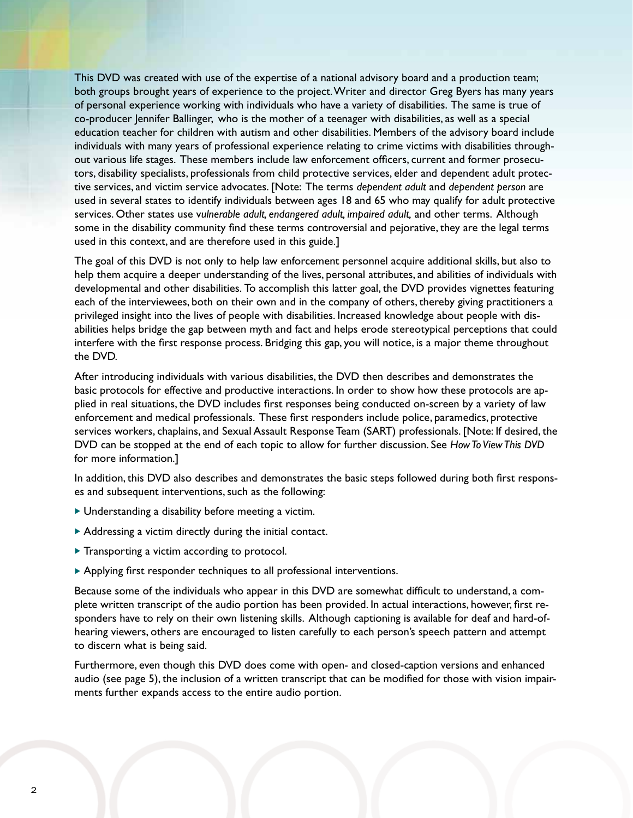This DVD was created with use of the expertise of a national advisory board and a production team; both groups brought years of experience to the project. Writer and director Greg Byers has many years of personal experience working with individuals who have a variety of disabilities. The same is true of co-producer Jennifer Ballinger, who is the mother of a teenager with disabilities, as well as a special education teacher for children with autism and other disabilities. Members of the advisory board include individuals with many years of professional experience relating to crime victims with disabilities throughout various life stages. These members include law enforcement officers, current and former prosecutors, disability specialists, professionals from child protective services, elder and dependent adult protective services, and victim service advocates. [Note: The terms *dependent adult* and *dependent person* are used in several states to identify individuals between ages 18 and 65 who may qualify for adult protective services. Other states use v*ulnerable adult, endangered adult, impaired adult,* and other terms. Although some in the disability community find these terms controversial and pejorative, they are the legal terms used in this context, and are therefore used in this guide.]

The goal of this DVD is not only to help law enforcement personnel acquire additional skills, but also to help them acquire a deeper understanding of the lives, personal attributes, and abilities of individuals with developmental and other disabilities. To accomplish this latter goal, the DVD provides vignettes featuring each of the interviewees, both on their own and in the company of others, thereby giving practitioners a privileged insight into the lives of people with disabilities. Increased knowledge about people with disabilities helps bridge the gap between myth and fact and helps erode stereotypical perceptions that could interfere with the first response process. Bridging this gap, you will notice, is a major theme throughout the DVD.

After introducing individuals with various disabilities, the DVD then describes and demonstrates the basic protocols for effective and productive interactions. In order to show how these protocols are applied in real situations, the DVD includes first responses being conducted on-screen by a variety of law enforcement and medical professionals. These first responders include police, paramedics, protective services workers, chaplains, and Sexual Assault Response Team (SART) professionals. [Note: If desired, the DVD can be stopped at the end of each topic to allow for further discussion. See *How To View This DVD* for more information.]

In addition, this DVD also describes and demonstrates the basic steps followed during both first responses and subsequent interventions, such as the following:

- $\blacktriangleright$  Understanding a disability before meeting a victim.
- ▶ Addressing a victim directly during the initial contact.
- $\blacktriangleright$  Transporting a victim according to protocol.
- Applying first responder techniques to all professional interventions. u

Because some of the individuals who appear in this DVD are somewhat difficult to understand, a complete written transcript of the audio portion has been provided. In actual interactions, however, first responders have to rely on their own listening skills. Although captioning is available for deaf and hard-ofhearing viewers, others are encouraged to listen carefully to each person's speech pattern and attempt to discern what is being said.

Furthermore, even though this DVD does come with open- and closed-caption versions and enhanced audio (see page 5), the inclusion of a written transcript that can be modified for those with vision impairments further expands access to the entire audio portion.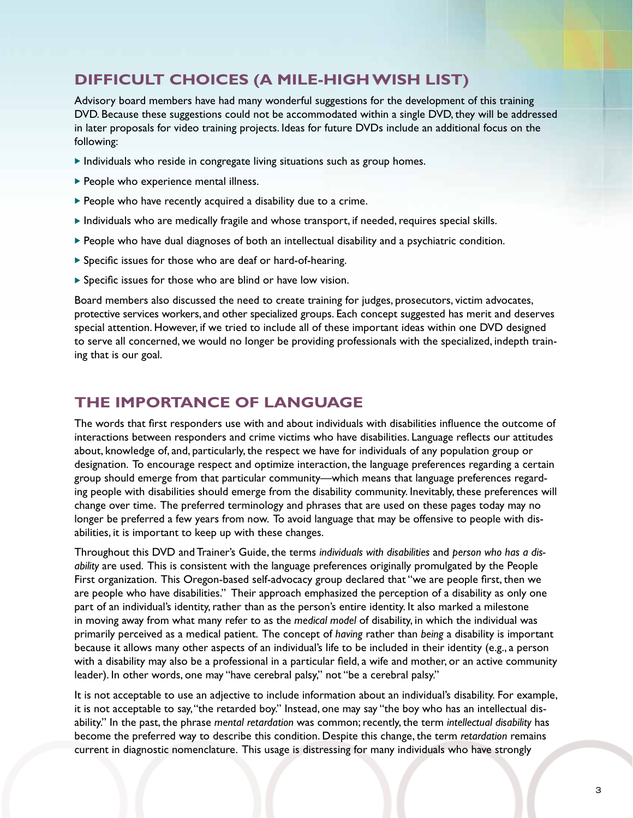### **DIFFICUlT ChOICES (A MIlE-hIgh WISh lIST)**

Advisory board members have had many wonderful suggestions for the development of this training DVD. Because these suggestions could not be accommodated within a single DVD, they will be addressed in later proposals for video training projects. Ideas for future DVDs include an additional focus on the following:

- $\blacktriangleright$  Individuals who reside in congregate living situations such as group homes.
- **People who experience mental illness.**
- ▶ People who have recently acquired a disability due to a crime.
- $\blacktriangleright$  Individuals who are medically fragile and whose transport, if needed, requires special skills.
- ▶ People who have dual diagnoses of both an intellectual disability and a psychiatric condition.
- ▶ Specific issues for those who are deaf or hard-of-hearing.
- $\blacktriangleright$  Specific issues for those who are blind or have low vision.

Board members also discussed the need to create training for judges, prosecutors, victim advocates, protective services workers, and other specialized groups. Each concept suggested has merit and deserves special attention. However, if we tried to include all of these important ideas within one DVD designed to serve all concerned, we would no longer be providing professionals with the specialized, indepth training that is our goal.

### **ThE IMPORTANCE OF lANgUAgE**

The words that first responders use with and about individuals with disabilities influence the outcome of interactions between responders and crime victims who have disabilities. Language reflects our attitudes about, knowledge of, and, particularly, the respect we have for individuals of any population group or designation. To encourage respect and optimize interaction, the language preferences regarding a certain group should emerge from that particular community—which means that language preferences regarding people with disabilities should emerge from the disability community. Inevitably, these preferences will change over time. The preferred terminology and phrases that are used on these pages today may no longer be preferred a few years from now. To avoid language that may be offensive to people with disabilities, it is important to keep up with these changes.

Throughout this DVD and Trainer's Guide, the terms *individuals with disabilities* and *person who has a disability* are used. This is consistent with the language preferences originally promulgated by the People First organization. This Oregon-based self-advocacy group declared that "we are people first, then we are people who have disabilities." Their approach emphasized the perception of a disability as only one part of an individual's identity, rather than as the person's entire identity. It also marked a milestone in moving away from what many refer to as the *medical model* of disability, in which the individual was primarily perceived as a medical patient. The concept of *having* rather than *being* a disability is important because it allows many other aspects of an individual's life to be included in their identity (e.g., a person with a disability may also be a professional in a particular field, a wife and mother, or an active community leader). In other words, one may "have cerebral palsy," not "be a cerebral palsy."

It is not acceptable to use an adjective to include information about an individual's disability. For example, it is not acceptable to say, "the retarded boy." Instead, one may say "the boy who has an intellectual disability." In the past, the phrase *mental retardation* was common; recently, the term *intellectual disability* has become the preferred way to describe this condition. Despite this change, the term *retardation* remains current in diagnostic nomenclature. This usage is distressing for many individuals who have strongly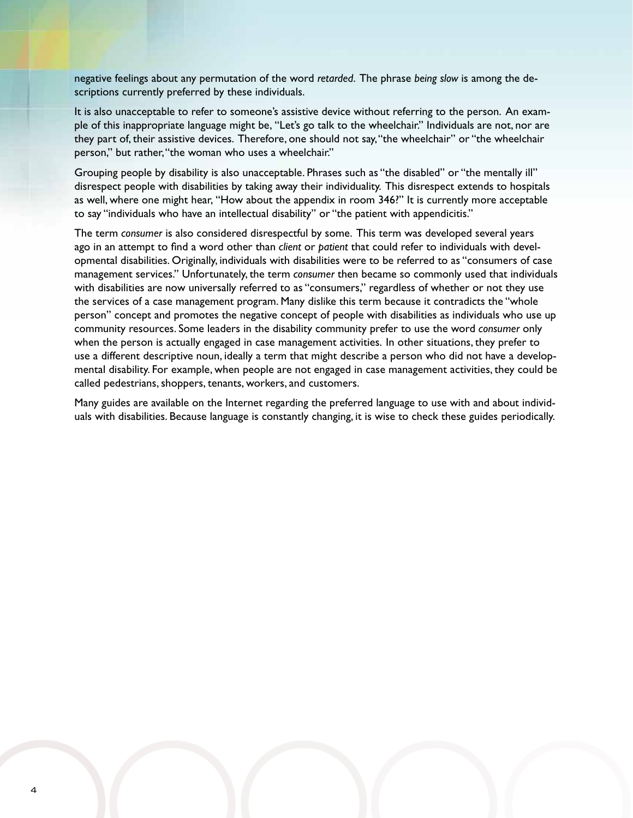negative feelings about any permutation of the word *retarded*. The phrase *being slow* is among the descriptions currently preferred by these individuals.

It is also unacceptable to refer to someone's assistive device without referring to the person. An example of this inappropriate language might be, "Let's go talk to the wheelchair." Individuals are not, nor are they part of, their assistive devices. Therefore, one should not say, "the wheelchair" or "the wheelchair person," but rather, "the woman who uses a wheelchair."

Grouping people by disability is also unacceptable. Phrases such as "the disabled" or "the mentally ill" disrespect people with disabilities by taking away their individuality. This disrespect extends to hospitals as well, where one might hear, "How about the appendix in room 346?" It is currently more acceptable to say "individuals who have an intellectual disability" or "the patient with appendicitis."

The term *consumer* is also considered disrespectful by some. This term was developed several years ago in an attempt to find a word other than *client* or *patient* that could refer to individuals with developmental disabilities. Originally, individuals with disabilities were to be referred to as "consumers of case management services." Unfortunately, the term *consumer* then became so commonly used that individuals with disabilities are now universally referred to as "consumers," regardless of whether or not they use the services of a case management program. Many dislike this term because it contradicts the "whole person" concept and promotes the negative concept of people with disabilities as individuals who use up community resources. Some leaders in the disability community prefer to use the word *consumer* only when the person is actually engaged in case management activities. In other situations, they prefer to use a different descriptive noun, ideally a term that might describe a person who did not have a developmental disability. For example, when people are not engaged in case management activities, they could be called pedestrians, shoppers, tenants, workers, and customers.

Many guides are available on the Internet regarding the preferred language to use with and about individuals with disabilities. Because language is constantly changing, it is wise to check these guides periodically.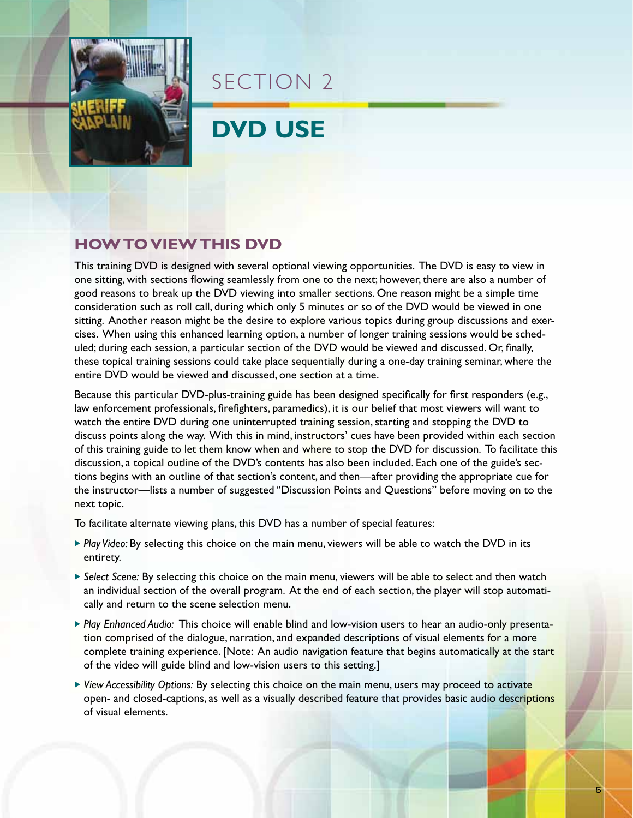

## SECTION 2

## **DVD USE**

### **HOW TO VIEW THIS DVD**

This training DVD is designed with several optional viewing opportunities. The DVD is easy to view in one sitting, with sections flowing seamlessly from one to the next; however, there are also a number of good reasons to break up the DVD viewing into smaller sections. One reason might be a simple time consideration such as roll call, during which only 5 minutes or so of the DVD would be viewed in one sitting. Another reason might be the desire to explore various topics during group discussions and exercises. When using this enhanced learning option, a number of longer training sessions would be scheduled; during each session, a particular section of the DVD would be viewed and discussed. Or, finally, these topical training sessions could take place sequentially during a one-day training seminar, where the entire DVD would be viewed and discussed, one section at a time.

Because this particular DVD-plus-training guide has been designed specifically for first responders (e.g., law enforcement professionals, firefighters, paramedics), it is our belief that most viewers will want to watch the entire DVD during one uninterrupted training session, starting and stopping the DVD to discuss points along the way. With this in mind, instructors' cues have been provided within each section of this training guide to let them know when and where to stop the DVD for discussion. To facilitate this discussion, a topical outline of the DVD's contents has also been included. Each one of the guide's sections begins with an outline of that section's content, and then—after providing the appropriate cue for the instructor—lists a number of suggested "Discussion Points and Questions" before moving on to the next topic.

To facilitate alternate viewing plans, this DVD has a number of special features:

- ▶ Play Video: By selecting this choice on the main menu, viewers will be able to watch the DVD in its entirety.
- ▶ Select Scene: By selecting this choice on the main menu, viewers will be able to select and then watch an individual section of the overall program. At the end of each section, the player will stop automatically and return to the scene selection menu.
- ▶ Play Enhanced Audio: This choice will enable blind and low-vision users to hear an audio-only presentation comprised of the dialogue, narration, and expanded descriptions of visual elements for a more complete training experience. [Note: An audio navigation feature that begins automatically at the start of the video will guide blind and low-vision users to this setting.]
- ▶ View Accessibility Options: By selecting this choice on the main menu, users may proceed to activate open- and closed-captions, as well as a visually described feature that provides basic audio descriptions of visual elements.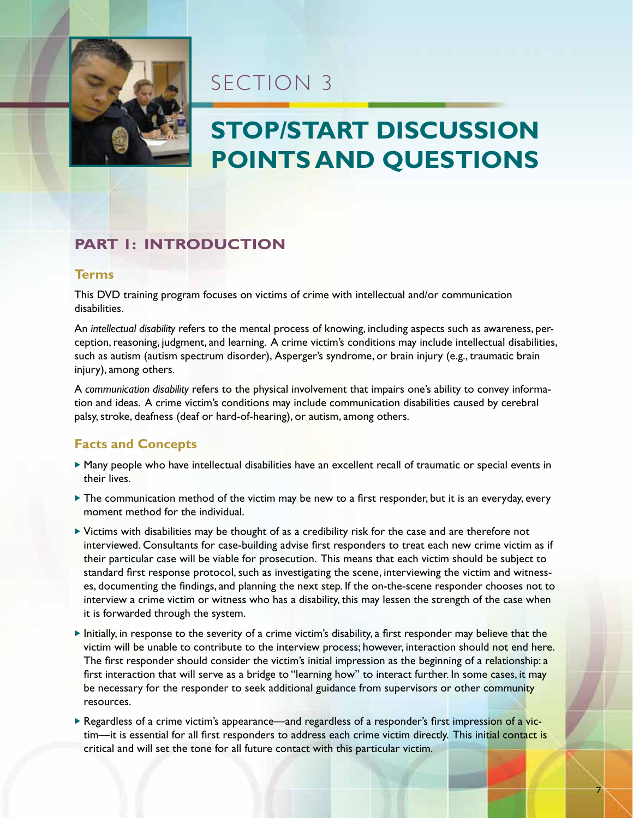

## SECTION 3

## **STOP/START DISCUSSION POINTS AND QUESTIONS**

### **PART 1: INTRODUCTION**

#### **Terms**

This DVD training program focuses on victims of crime with intellectual and/or communication disabilities.

An *intellectual disability* refers to the mental process of knowing, including aspects such as awareness, perception, reasoning, judgment, and learning. A crime victim's conditions may include intellectual disabilities, such as autism (autism spectrum disorder), Asperger's syndrome, or brain injury (e.g., traumatic brain injury), among others.

A *communication disability* refers to the physical involvement that impairs one's ability to convey information and ideas. A crime victim's conditions may include communication disabilities caused by cerebral palsy, stroke, deafness (deaf or hard-of-hearing), or autism, among others.

#### **Facts and Concepts**

- ▶ Many people who have intellectual disabilities have an excellent recall of traumatic or special events in their lives.
- ▶ The communication method of the victim may be new to a first responder, but it is an everyday, every moment method for the individual.
- ▶ Victims with disabilities may be thought of as a credibility risk for the case and are therefore not interviewed. Consultants for case-building advise first responders to treat each new crime victim as if their particular case will be viable for prosecution. This means that each victim should be subject to standard first response protocol, such as investigating the scene, interviewing the victim and witnesses, documenting the findings, and planning the next step. If the on-the-scene responder chooses not to interview a crime victim or witness who has a disability, this may lessen the strength of the case when it is forwarded through the system.
- Initially, in response to the severity of a crime victim's disability, a first responder may believe that the victim will be unable to contribute to the interview process; however, interaction should not end here. The first responder should consider the victim's initial impression as the beginning of a relationship: a first interaction that will serve as a bridge to "learning how" to interact further. In some cases, it may be necessary for the responder to seek additional guidance from supervisors or other community resources.
- Regardless of a crime victim's appearance—and regardless of a responder's first impression of a victim—it is essential for all first responders to address each crime victim directly. This initial contact is critical and will set the tone for all future contact with this particular victim.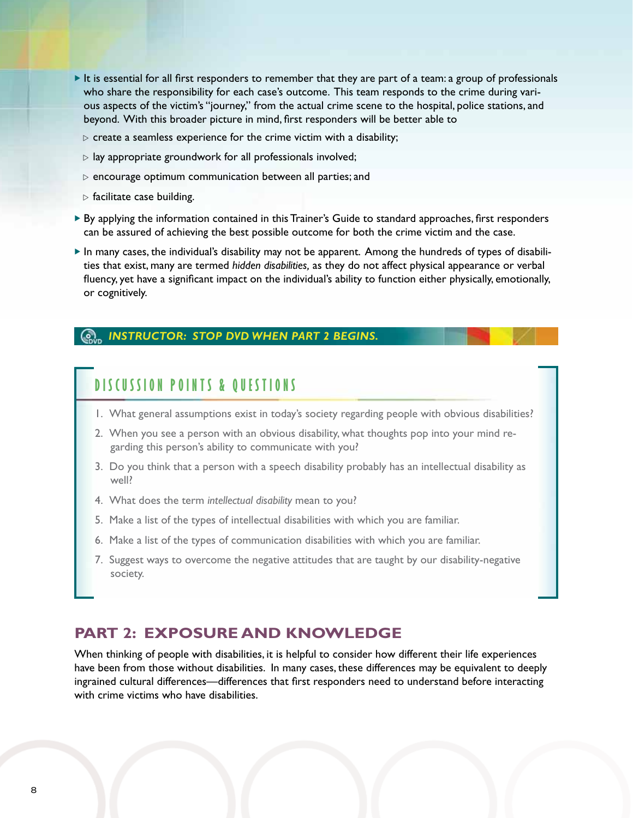- $\blacktriangleright$  It is essential for all first responders to remember that they are part of a team: a group of professionals who share the responsibility for each case's outcome. This team responds to the crime during various aspects of the victim's "journey," from the actual crime scene to the hospital, police stations, and beyond. With this broader picture in mind, first responders will be better able to
	- $\triangleright$  create a seamless experience for the crime victim with a disability;
	- $\triangleright$  lay appropriate groundwork for all professionals involved;
	- $\triangleright$  encourage optimum communication between all parties; and
	- $\triangleright$  facilitate case building.
- ▶ By applying the information contained in this Trainer's Guide to standard approaches, first responders can be assured of achieving the best possible outcome for both the crime victim and the case.
- In many cases, the individual's disability may not be apparent. Among the hundreds of types of disabilities that exist, many are termed *hidden disabilities,* as they do not affect physical appearance or verbal fluency, yet have a significant impact on the individual's ability to function either physically, emotionally, or cognitively.

#### *Instructor: stoP DVD when Part 2 begIns.*

## **D I S C U S S I O N P O I N T S & Q U E S T I O N S**

- 1. What general assumptions exist in today's society regarding people with obvious disabilities?
- 2. When you see a person with an obvious disability, what thoughts pop into your mind regarding this person's ability to communicate with you?
- 3. Do you think that a person with a speech disability probably has an intellectual disability as well?
- 4. What does the term *intellectual disability* mean to you?
- 5. Make a list of the types of intellectual disabilities with which you are familiar.
- 6. Make a list of the types of communication disabilities with which you are familiar.
- 7. Suggest ways to overcome the negative attitudes that are taught by our disability-negative society.

#### **PART 2: ExPOSURE AND KNOWlEDgE**

When thinking of people with disabilities, it is helpful to consider how different their life experiences have been from those without disabilities. In many cases, these differences may be equivalent to deeply ingrained cultural differences—differences that first responders need to understand before interacting with crime victims who have disabilities.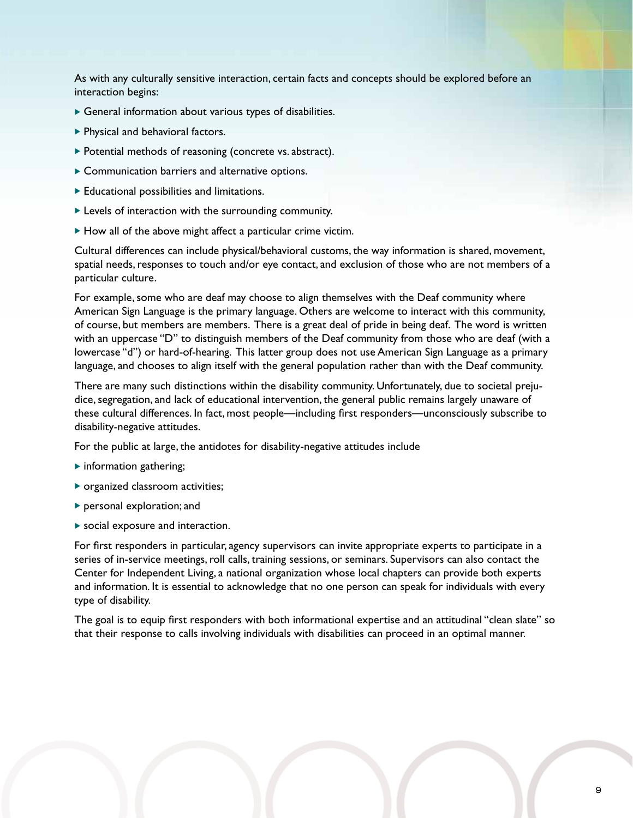As with any culturally sensitive interaction, certain facts and concepts should be explored before an interaction begins:

- $\triangleright$  General information about various types of disabilities.
- **Physical and behavioral factors.**
- ▶ Potential methods of reasoning (concrete vs. abstract).
- Communication barriers and alternative options. u
- **Educational possibilities and limitations.**
- Eevels of interaction with the surrounding community.
- $\blacktriangleright$  How all of the above might affect a particular crime victim.

Cultural differences can include physical/behavioral customs, the way information is shared, movement, spatial needs, responses to touch and/or eye contact, and exclusion of those who are not members of a particular culture.

For example, some who are deaf may choose to align themselves with the Deaf community where American Sign Language is the primary language. Others are welcome to interact with this community, of course, but members are members. There is a great deal of pride in being deaf. The word is written with an uppercase "D" to distinguish members of the Deaf community from those who are deaf (with a lowercase "d") or hard-of-hearing. This latter group does not use American Sign Language as a primary language, and chooses to align itself with the general population rather than with the Deaf community.

There are many such distinctions within the disability community. Unfortunately, due to societal prejudice, segregation, and lack of educational intervention, the general public remains largely unaware of these cultural differences. In fact, most people—including first responders—unconsciously subscribe to disability-negative attitudes.

For the public at large, the antidotes for disability-negative attitudes include

- $\blacktriangleright$  information gathering;
- organized classroom activities;
- **P** personal exploration; and
- social exposure and interaction.

For first responders in particular, agency supervisors can invite appropriate experts to participate in a series of in-service meetings, roll calls, training sessions, or seminars. Supervisors can also contact the Center for Independent Living, a national organization whose local chapters can provide both experts and information. It is essential to acknowledge that no one person can speak for individuals with every type of disability.

The goal is to equip first responders with both informational expertise and an attitudinal "clean slate" so that their response to calls involving individuals with disabilities can proceed in an optimal manner.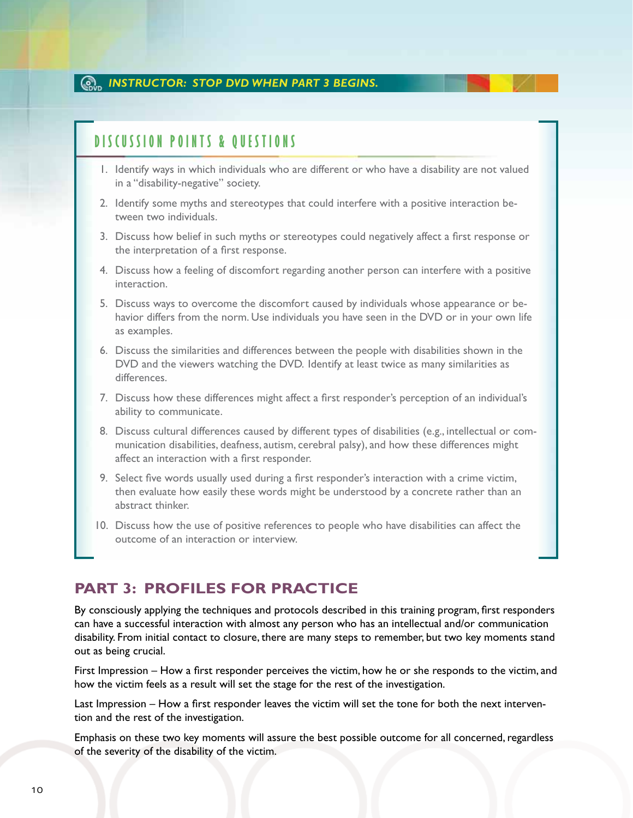#### *Instructor: stoP DVD when Part 3 begIns.*

## **D I S C U S S I O N P O I N T S & Q U E S T I O N S**

- 1. Identify ways in which individuals who are different or who have a disability are not valued in a "disability-negative" society.
- 2. Identify some myths and stereotypes that could interfere with a positive interaction between two individuals.
- 3. Discuss how belief in such myths or stereotypes could negatively affect a first response or the interpretation of a first response.
- 4. Discuss how a feeling of discomfort regarding another person can interfere with a positive interaction.
- 5. Discuss ways to overcome the discomfort caused by individuals whose appearance or behavior differs from the norm. Use individuals you have seen in the DVD or in your own life as examples.
- 6. Discuss the similarities and differences between the people with disabilities shown in the DVD and the viewers watching the DVD. Identify at least twice as many similarities as differences.
- 7. Discuss how these differences might affect a first responder's perception of an individual's ability to communicate.
- 8. Discuss cultural differences caused by different types of disabilities (e.g., intellectual or communication disabilities, deafness, autism, cerebral palsy), and how these differences might affect an interaction with a first responder.
- 9. Select five words usually used during a first responder's interaction with a crime victim, then evaluate how easily these words might be understood by a concrete rather than an abstract thinker.
- 10. Discuss how the use of positive references to people who have disabilities can affect the outcome of an interaction or interview.

#### **PART 3: PROFIlES FOR PRACTICE**

By consciously applying the techniques and protocols described in this training program, first responders can have a successful interaction with almost any person who has an intellectual and/or communication disability. From initial contact to closure, there are many steps to remember, but two key moments stand out as being crucial.

First Impression – How a first responder perceives the victim, how he or she responds to the victim, and how the victim feels as a result will set the stage for the rest of the investigation.

Last Impression – How a first responder leaves the victim will set the tone for both the next intervention and the rest of the investigation.

Emphasis on these two key moments will assure the best possible outcome for all concerned, regardless of the severity of the disability of the victim.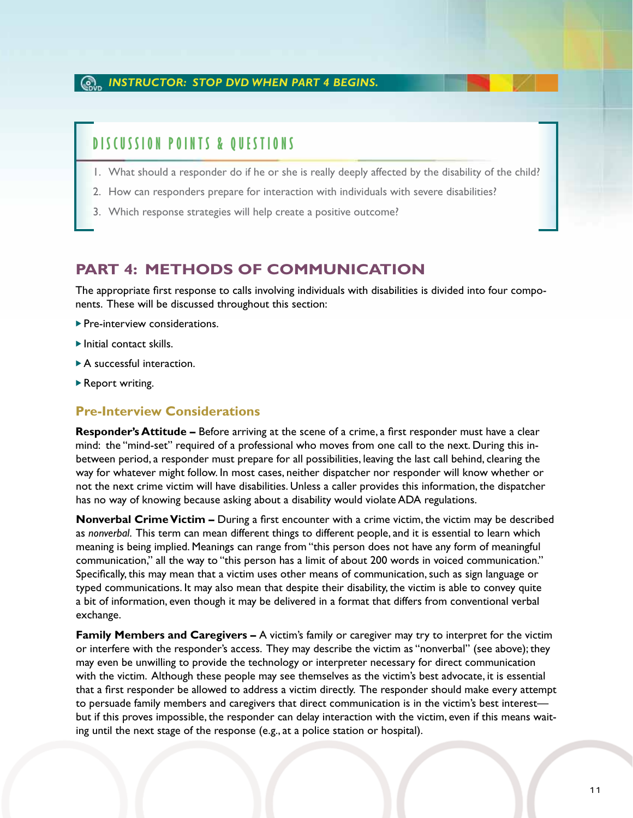#### *C. INSTRUCTOR: STOP DVD WHEN PART 4 BEGINS.*

## **D I S C U S S I O N P O I N T S & Q U E S T I O N S**

- 1. What should a responder do if he or she is really deeply affected by the disability of the child?
- 2. How can responders prepare for interaction with individuals with severe disabilities?
- 3. Which response strategies will help create a positive outcome?

### **PART 4: METhODS OF COMMUNICATION**

The appropriate first response to calls involving individuals with disabilities is divided into four components. These will be discussed throughout this section:

- $\blacktriangleright$  Pre-interview considerations.
- $\blacktriangleright$  Initial contact skills.
- A successful interaction.
- ▶ Report writing.

#### **Pre-Interview Considerations**

**Responder's Attitude –** Before arriving at the scene of a crime, a first responder must have a clear mind: the "mind-set" required of a professional who moves from one call to the next. During this inbetween period, a responder must prepare for all possibilities, leaving the last call behind, clearing the way for whatever might follow. In most cases, neither dispatcher nor responder will know whether or not the next crime victim will have disabilities. Unless a caller provides this information, the dispatcher has no way of knowing because asking about a disability would violate ADA regulations.

**Nonverbal Crime Victim –** During a first encounter with a crime victim, the victim may be described as *nonverbal*. This term can mean different things to different people, and it is essential to learn which meaning is being implied. Meanings can range from "this person does not have any form of meaningful communication," all the way to "this person has a limit of about 200 words in voiced communication." Specifically, this may mean that a victim uses other means of communication, such as sign language or typed communications. It may also mean that despite their disability, the victim is able to convey quite a bit of information, even though it may be delivered in a format that differs from conventional verbal exchange.

**Family Members and Caregivers –** A victim's family or caregiver may try to interpret for the victim or interfere with the responder's access. They may describe the victim as "nonverbal" (see above); they may even be unwilling to provide the technology or interpreter necessary for direct communication with the victim. Although these people may see themselves as the victim's best advocate, it is essential that a first responder be allowed to address a victim directly. The responder should make every attempt to persuade family members and caregivers that direct communication is in the victim's best interest but if this proves impossible, the responder can delay interaction with the victim, even if this means waiting until the next stage of the response (e.g., at a police station or hospital).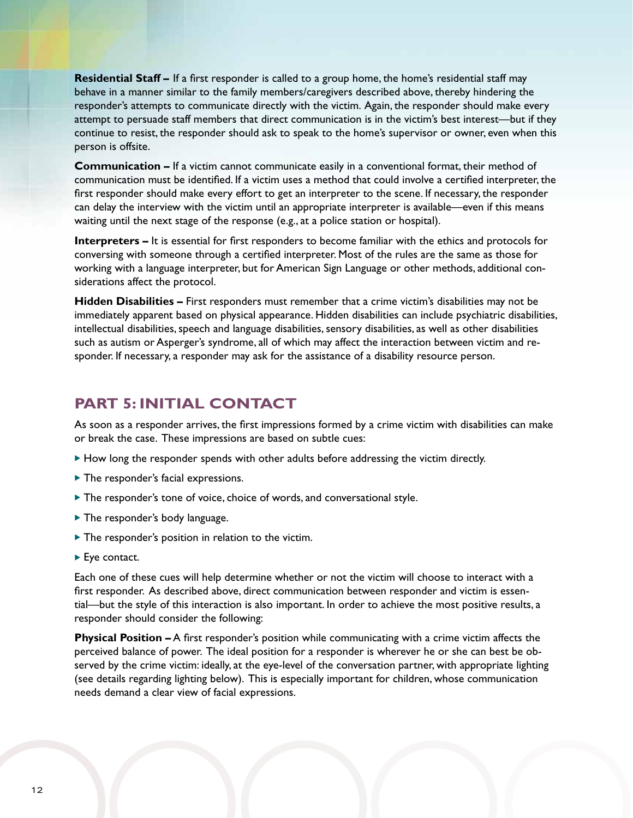**Residential Staff –** If a first responder is called to a group home, the home's residential staff may behave in a manner similar to the family members/caregivers described above, thereby hindering the responder's attempts to communicate directly with the victim. Again, the responder should make every attempt to persuade staff members that direct communication is in the victim's best interest—but if they continue to resist, the responder should ask to speak to the home's supervisor or owner, even when this person is offsite.

**Communication –** If a victim cannot communicate easily in a conventional format, their method of communication must be identified. If a victim uses a method that could involve a certified interpreter, the first responder should make every effort to get an interpreter to the scene. If necessary, the responder can delay the interview with the victim until an appropriate interpreter is available—even if this means waiting until the next stage of the response (e.g., at a police station or hospital).

**Interpreters –** It is essential for first responders to become familiar with the ethics and protocols for conversing with someone through a certified interpreter. Most of the rules are the same as those for working with a language interpreter, but for American Sign Language or other methods, additional considerations affect the protocol.

Hidden Disabilities - First responders must remember that a crime victim's disabilities may not be immediately apparent based on physical appearance. Hidden disabilities can include psychiatric disabilities, intellectual disabilities, speech and language disabilities, sensory disabilities, as well as other disabilities such as autism or Asperger's syndrome, all of which may affect the interaction between victim and responder. If necessary, a responder may ask for the assistance of a disability resource person.

### **PART 5: INITIAl CONTACT**

As soon as a responder arrives, the first impressions formed by a crime victim with disabilities can make or break the case. These impressions are based on subtle cues:

- $\blacktriangleright$  How long the responder spends with other adults before addressing the victim directly.
- The responder's facial expressions.
- If the responder's tone of voice, choice of words, and conversational style.
- Ine responder's body language.
- $\blacktriangleright$  The responder's position in relation to the victim.
- Eye contact.

Each one of these cues will help determine whether or not the victim will choose to interact with a first responder. As described above, direct communication between responder and victim is essential—but the style of this interaction is also important. In order to achieve the most positive results, a responder should consider the following:

**Physical Position –** A first responder's position while communicating with a crime victim affects the perceived balance of power. The ideal position for a responder is wherever he or she can best be observed by the crime victim: ideally, at the eye-level of the conversation partner, with appropriate lighting (see details regarding lighting below). This is especially important for children, whose communication needs demand a clear view of facial expressions.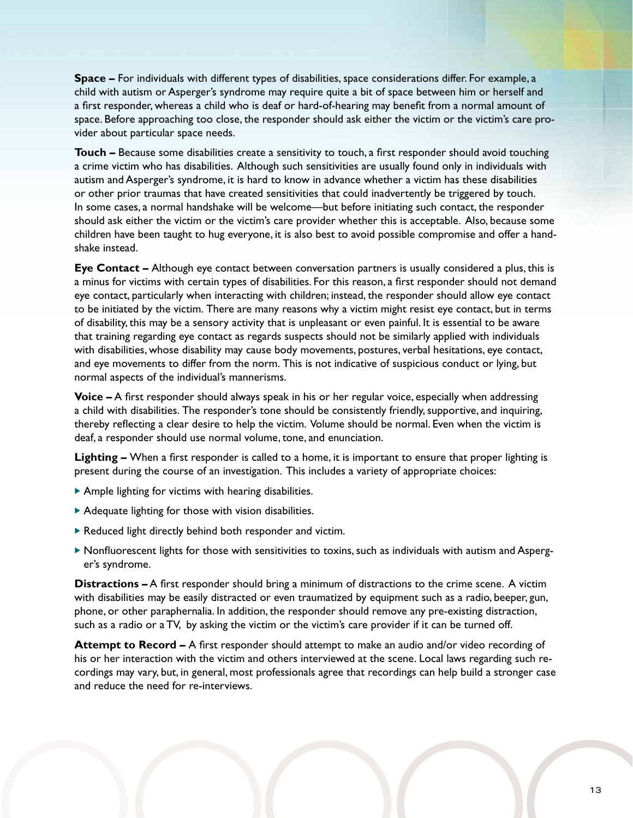**Space –** For individuals with different types of disabilities, space considerations differ. For example, a child with autism or Asperger's syndrome may require quite a bit of space between him or herself and a first responder, whereas a child who is deaf or hard-of-hearing may benefit from a normal amount of space. Before approaching too close, the responder should ask either the victim or the victim's care provider about particular space needs.

**Touch –** Because some disabilities create a sensitivity to touch, a first responder should avoid touching a crime victim who has disabilities. Although such sensitivities are usually found only in individuals with autism and Asperger's syndrome, it is hard to know in advance whether a victim has these disabilities or other prior traumas that have created sensitivities that could inadvertently be triggered by touch. In some cases, a normal handshake will be welcome—but before initiating such contact, the responder should ask either the victim or the victim's care provider whether this is acceptable. Also, because some children have been taught to hug everyone, it is also best to avoid possible compromise and offer a handshake instead.

**Eye Contact –** Although eye contact between conversation partners is usually considered a plus, this is a minus for victims with certain types of disabilities. For this reason, a first responder should not demand eye contact, particularly when interacting with children; instead, the responder should allow eye contact to be initiated by the victim. There are many reasons why a victim might resist eye contact, but in terms of disability, this may be a sensory activity that is unpleasant or even painful. It is essential to be aware that training regarding eye contact as regards suspects should not be similarly applied with individuals with disabilities, whose disability may cause body movements, postures, verbal hesitations, eye contact, and eye movements to differ from the norm. This is not indicative of suspicious conduct or lying, but normal aspects of the individual's mannerisms.

**Voice –** A first responder should always speak in his or her regular voice, especially when addressing a child with disabilities. The responder's tone should be consistently friendly, supportive, and inquiring, thereby reflecting a clear desire to help the victim. Volume should be normal. Even when the victim is deaf, a responder should use normal volume, tone, and enunciation.

Lighting – When a first responder is called to a home, it is important to ensure that proper lighting is present during the course of an investigation. This includes a variety of appropriate choices:

- $\blacktriangleright$  Ample lighting for victims with hearing disabilities.
- ▶ Adequate lighting for those with vision disabilities.
- Reduced light directly behind both responder and victim.
- ▶ Nonfluorescent lights for those with sensitivities to toxins, such as individuals with autism and Asperger's syndrome.

**Distractions –** A first responder should bring a minimum of distractions to the crime scene. A victim with disabilities may be easily distracted or even traumatized by equipment such as a radio, beeper, gun, phone, or other paraphernalia. In addition, the responder should remove any pre-existing distraction, such as a radio or a TV, by asking the victim or the victim's care provider if it can be turned off.

**Attempt to Record –** A first responder should attempt to make an audio and/or video recording of his or her interaction with the victim and others interviewed at the scene. Local laws regarding such recordings may vary, but, in general, most professionals agree that recordings can help build a stronger case and reduce the need for re-interviews.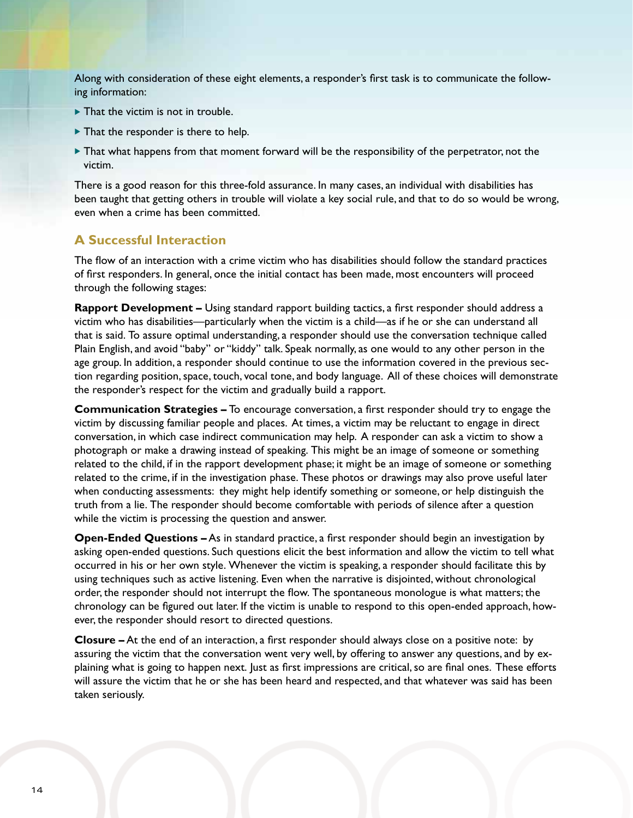Along with consideration of these eight elements, a responder's first task is to communicate the following information:

- $\blacktriangleright$  That the victim is not in trouble.
- $\blacktriangleright$  That the responder is there to help.
- If That what happens from that moment forward will be the responsibility of the perpetrator, not the victim.

There is a good reason for this three-fold assurance. In many cases, an individual with disabilities has been taught that getting others in trouble will violate a key social rule, and that to do so would be wrong, even when a crime has been committed.

#### **A Successful Interaction**

The flow of an interaction with a crime victim who has disabilities should follow the standard practices of first responders. In general, once the initial contact has been made, most encounters will proceed through the following stages:

**Rapport Development –** Using standard rapport building tactics, a first responder should address a victim who has disabilities—particularly when the victim is a child—as if he or she can understand all that is said. To assure optimal understanding, a responder should use the conversation technique called Plain English, and avoid "baby" or "kiddy" talk. Speak normally, as one would to any other person in the age group. In addition, a responder should continue to use the information covered in the previous section regarding position, space, touch, vocal tone, and body language. All of these choices will demonstrate the responder's respect for the victim and gradually build a rapport.

**Communication Strategies –** To encourage conversation, a first responder should try to engage the victim by discussing familiar people and places. At times, a victim may be reluctant to engage in direct conversation, in which case indirect communication may help. A responder can ask a victim to show a photograph or make a drawing instead of speaking. This might be an image of someone or something related to the child, if in the rapport development phase; it might be an image of someone or something related to the crime, if in the investigation phase. These photos or drawings may also prove useful later when conducting assessments: they might help identify something or someone, or help distinguish the truth from a lie. The responder should become comfortable with periods of silence after a question while the victim is processing the question and answer.

**Open-Ended Questions –** As in standard practice, a first responder should begin an investigation by asking open-ended questions. Such questions elicit the best information and allow the victim to tell what occurred in his or her own style. Whenever the victim is speaking, a responder should facilitate this by using techniques such as active listening. Even when the narrative is disjointed, without chronological order, the responder should not interrupt the flow. The spontaneous monologue is what matters; the chronology can be figured out later. If the victim is unable to respond to this open-ended approach, however, the responder should resort to directed questions.

**Closure –** At the end of an interaction, a first responder should always close on a positive note: by assuring the victim that the conversation went very well, by offering to answer any questions, and by explaining what is going to happen next. Just as first impressions are critical, so are final ones. These efforts will assure the victim that he or she has been heard and respected, and that whatever was said has been taken seriously.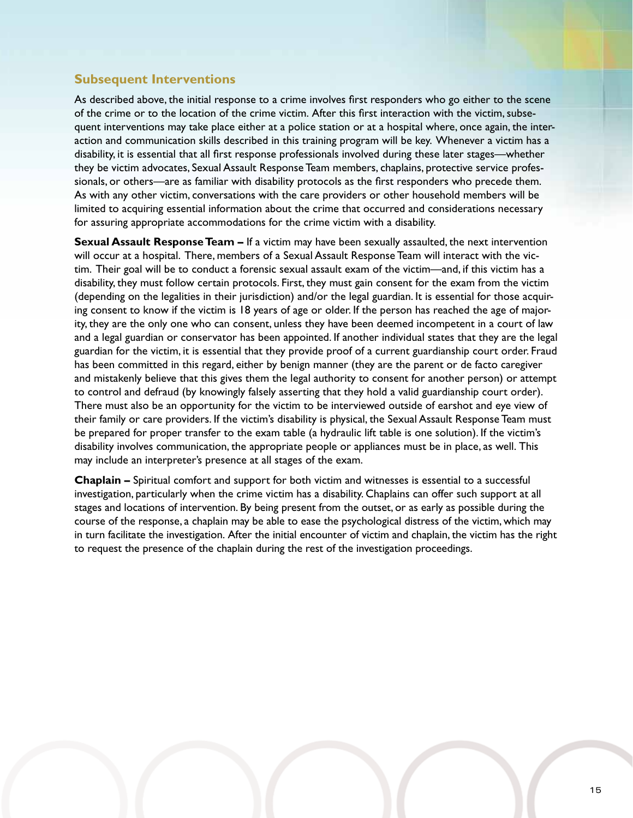#### **Subsequent Interventions**

As described above, the initial response to a crime involves first responders who go either to the scene of the crime or to the location of the crime victim. After this first interaction with the victim, subsequent interventions may take place either at a police station or at a hospital where, once again, the interaction and communication skills described in this training program will be key. Whenever a victim has a disability, it is essential that all first response professionals involved during these later stages—whether they be victim advocates, Sexual Assault Response Team members, chaplains, protective service professionals, or others—are as familiar with disability protocols as the first responders who precede them. As with any other victim, conversations with the care providers or other household members will be limited to acquiring essential information about the crime that occurred and considerations necessary for assuring appropriate accommodations for the crime victim with a disability.

**Sexual Assault Response Team –** If a victim may have been sexually assaulted, the next intervention will occur at a hospital. There, members of a Sexual Assault Response Team will interact with the victim. Their goal will be to conduct a forensic sexual assault exam of the victim—and, if this victim has a disability, they must follow certain protocols. First, they must gain consent for the exam from the victim (depending on the legalities in their jurisdiction) and/or the legal guardian. It is essential for those acquiring consent to know if the victim is 18 years of age or older. If the person has reached the age of majority, they are the only one who can consent, unless they have been deemed incompetent in a court of law and a legal guardian or conservator has been appointed. If another individual states that they are the legal guardian for the victim, it is essential that they provide proof of a current guardianship court order. Fraud has been committed in this regard, either by benign manner (they are the parent or de facto caregiver and mistakenly believe that this gives them the legal authority to consent for another person) or attempt to control and defraud (by knowingly falsely asserting that they hold a valid guardianship court order). There must also be an opportunity for the victim to be interviewed outside of earshot and eye view of their family or care providers. If the victim's disability is physical, the Sexual Assault Response Team must be prepared for proper transfer to the exam table (a hydraulic lift table is one solution). If the victim's disability involves communication, the appropriate people or appliances must be in place, as well. This may include an interpreter's presence at all stages of the exam.

**Chaplain –** Spiritual comfort and support for both victim and witnesses is essential to a successful investigation, particularly when the crime victim has a disability. Chaplains can offer such support at all stages and locations of intervention. By being present from the outset, or as early as possible during the course of the response, a chaplain may be able to ease the psychological distress of the victim, which may in turn facilitate the investigation. After the initial encounter of victim and chaplain, the victim has the right to request the presence of the chaplain during the rest of the investigation proceedings.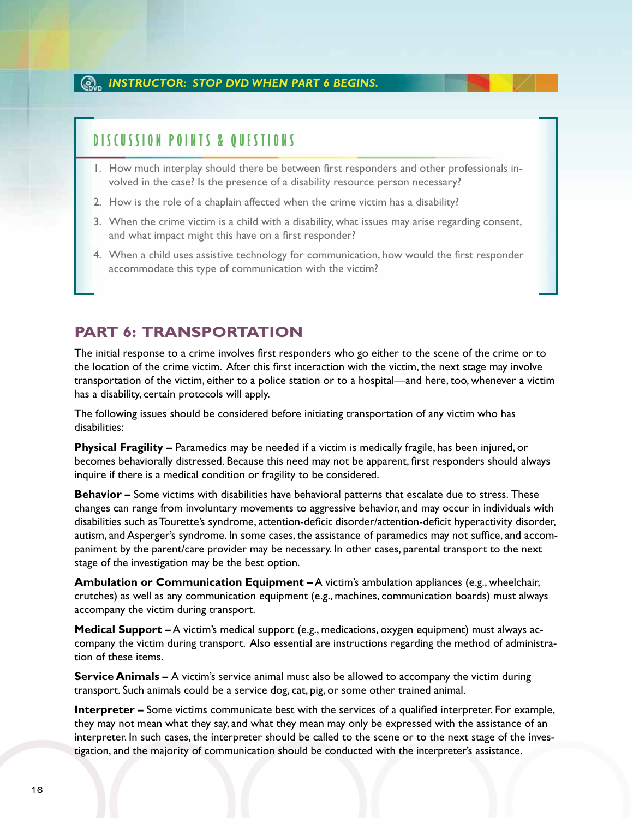#### *Instructor: stoP DVD when Part 6 begIns.*

## **D I S C U S S I O N P O I N T S & Q U E S T I O N S**

- 1. How much interplay should there be between first responders and other professionals involved in the case? Is the presence of a disability resource person necessary?
- 2. How is the role of a chaplain affected when the crime victim has a disability?
- 3. When the crime victim is a child with a disability, what issues may arise regarding consent, and what impact might this have on a first responder?
- 4. When a child uses assistive technology for communication, how would the first responder accommodate this type of communication with the victim?

### **PART 6: TRANSPORTATION**

The initial response to a crime involves first responders who go either to the scene of the crime or to the location of the crime victim. After this first interaction with the victim, the next stage may involve transportation of the victim, either to a police station or to a hospital—and here, too, whenever a victim has a disability, certain protocols will apply.

The following issues should be considered before initiating transportation of any victim who has disabilities:

**Physical Fragility –** Paramedics may be needed if a victim is medically fragile, has been injured, or becomes behaviorally distressed. Because this need may not be apparent, first responders should always inquire if there is a medical condition or fragility to be considered.

**Behavior –** Some victims with disabilities have behavioral patterns that escalate due to stress. These changes can range from involuntary movements to aggressive behavior, and may occur in individuals with disabilities such as Tourette's syndrome, attention-deficit disorder/attention-deficit hyperactivity disorder, autism, and Asperger's syndrome. In some cases, the assistance of paramedics may not suffice, and accompaniment by the parent/care provider may be necessary. In other cases, parental transport to the next stage of the investigation may be the best option.

**Ambulation or Communication Equipment –** A victim's ambulation appliances (e.g., wheelchair, crutches) as well as any communication equipment (e.g., machines, communication boards) must always accompany the victim during transport.

**Medical Support –** A victim's medical support (e.g., medications, oxygen equipment) must always accompany the victim during transport. Also essential are instructions regarding the method of administration of these items.

**Service Animals –** A victim's service animal must also be allowed to accompany the victim during transport. Such animals could be a service dog, cat, pig, or some other trained animal.

**Interpreter –** Some victims communicate best with the services of a qualified interpreter. For example, they may not mean what they say, and what they mean may only be expressed with the assistance of an interpreter. In such cases, the interpreter should be called to the scene or to the next stage of the investigation, and the majority of communication should be conducted with the interpreter's assistance.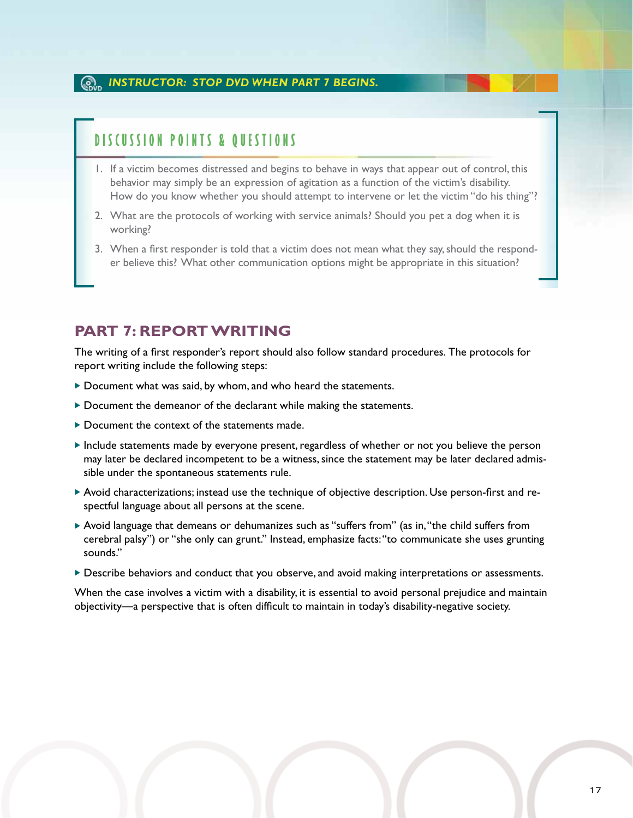#### *Instructor: stoP DVD when Part 7 begIns.*

## **D I S C U S S I O N P O I N T S & Q U E S T I O N S**

- 1. If a victim becomes distressed and begins to behave in ways that appear out of control, this behavior may simply be an expression of agitation as a function of the victim's disability. How do you know whether you should attempt to intervene or let the victim "do his thing"?
- 2. What are the protocols of working with service animals? Should you pet a dog when it is working?
- 3. When a first responder is told that a victim does not mean what they say, should the responder believe this? What other communication options might be appropriate in this situation?

#### **PART 7: REPORT WRITINg**

The writing of a first responder's report should also follow standard procedures. The protocols for report writing include the following steps:

- $\triangleright$  Document what was said, by whom, and who heard the statements.
- Document the demeanor of the declarant while making the statements.
- Document the context of the statements made.
- $\blacktriangleright$  Include statements made by everyone present, regardless of whether or not you believe the person may later be declared incompetent to be a witness, since the statement may be later declared admissible under the spontaneous statements rule.
- Avoid characterizations; instead use the technique of objective description. Use person-first and re-u spectful language about all persons at the scene.
- ▶ Avoid language that demeans or dehumanizes such as "suffers from" (as in, "the child suffers from cerebral palsy") or "she only can grunt." Instead, emphasize facts: "to communicate she uses grunting sounds."
- Describe behaviors and conduct that you observe, and avoid making interpretations or assessments.

When the case involves a victim with a disability, it is essential to avoid personal prejudice and maintain objectivity—a perspective that is often difficult to maintain in today's disability-negative society.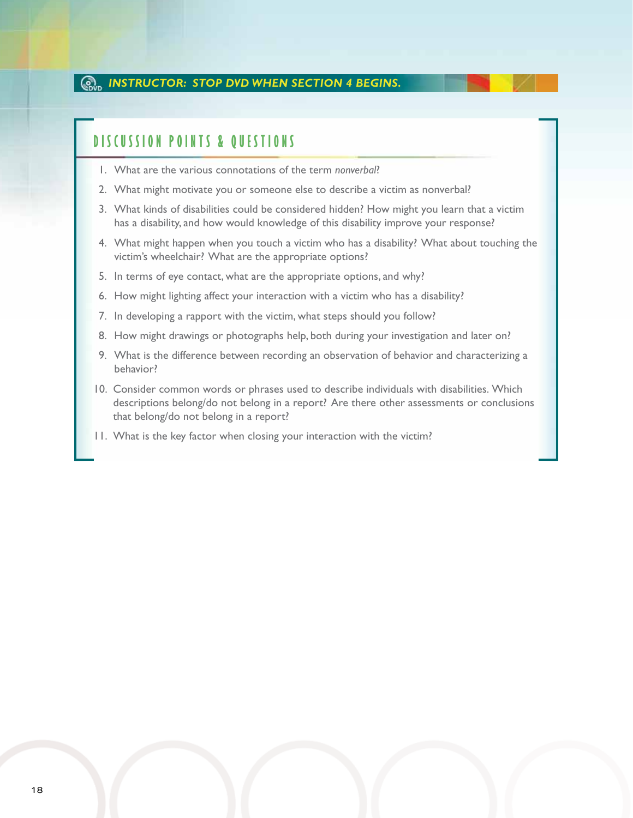*C***<sub>up</sub>** INSTRUCTOR: STOP DVD WHEN SECTION 4 BEGINS.

## **D I S C U S S I O N P O I N T S & Q U E S T I O N S**

- 1. What are the various connotations of the term *nonverbal*?
- 2. What might motivate you or someone else to describe a victim as nonverbal?
- 3. What kinds of disabilities could be considered hidden? How might you learn that a victim has a disability, and how would knowledge of this disability improve your response?
- 4. What might happen when you touch a victim who has a disability? What about touching the victim's wheelchair? What are the appropriate options?
- 5. In terms of eye contact, what are the appropriate options, and why?
- 6. How might lighting affect your interaction with a victim who has a disability?
- 7. In developing a rapport with the victim, what steps should you follow?
- 8. How might drawings or photographs help, both during your investigation and later on?
- 9. What is the difference between recording an observation of behavior and characterizing a behavior?
- 10. Consider common words or phrases used to describe individuals with disabilities. Which descriptions belong/do not belong in a report? Are there other assessments or conclusions that belong/do not belong in a report?
- 11. What is the key factor when closing your interaction with the victim?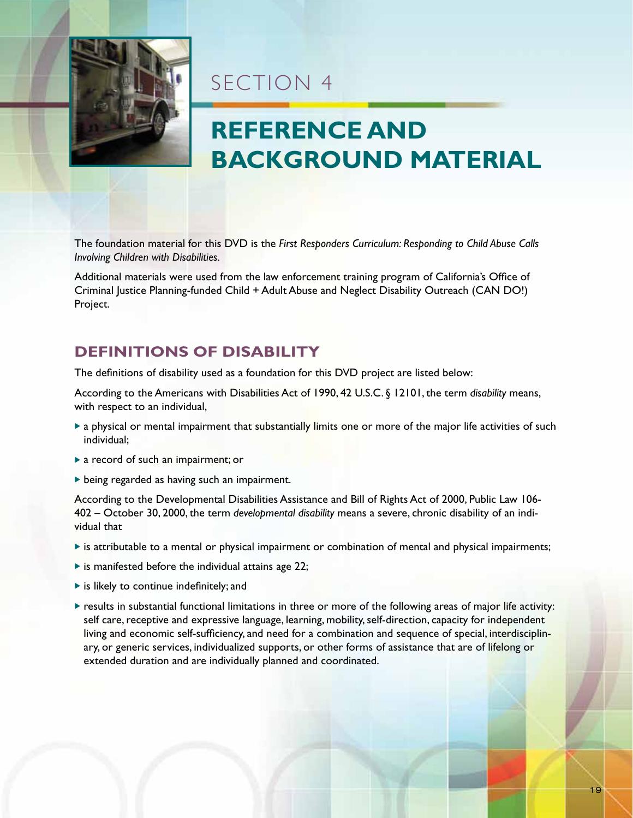

## SECTION 4

## **REFERENCE AND BACKgROUND MATERIAl**

The foundation material for this DVD is the *First Responders Curriculum: Responding to Child Abuse Calls Involving Children with Disabilities.*

Additional materials were used from the law enforcement training program of California's Office of Criminal Justice Planning-funded Child + Adult Abuse and Neglect Disability Outreach (CAN DO!) Project.

### **DEFINITIONS OF DISABIlITy**

The definitions of disability used as a foundation for this DVD project are listed below:

According to the Americans with Disabilities Act of 1990, 42 U.S.C. § 12101, the term *disability* means, with respect to an individual,

- $\triangleright$  a physical or mental impairment that substantially limits one or more of the major life activities of such individual;
- a record of such an impairment; or
- being regarded as having such an impairment.

According to the Developmental Disabilities Assistance and Bill of Rights Act of 2000, Public Law 106- 402 – October 30, 2000, the term *developmental disability* means a severe, chronic disability of an individual that

- $\triangleright$  is attributable to a mental or physical impairment or combination of mental and physical impairments;
- $\blacktriangleright$  is manifested before the individual attains age 22;
- $\blacktriangleright$  is likely to continue indefinitely; and
- **Example 3 results in substantial functional limitations in three or more of the following areas of major life activity:** self care, receptive and expressive language, learning, mobility, self-direction, capacity for independent living and economic self-sufficiency, and need for a combination and sequence of special, interdisciplinary, or generic services, individualized supports, or other forms of assistance that are of lifelong or extended duration and are individually planned and coordinated.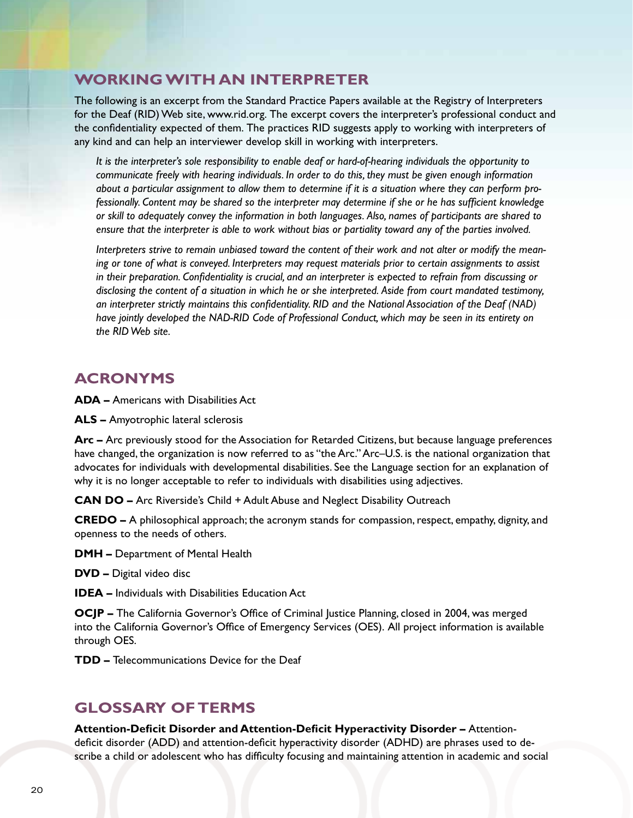#### **WORKINg WITh AN INTERPRETER**

The following is an excerpt from the Standard Practice Papers available at the Registry of Interpreters for the Deaf (RID) Web site, www.rid.org. The excerpt covers the interpreter's professional conduct and the confidentiality expected of them. The practices RID suggests apply to working with interpreters of any kind and can help an interviewer develop skill in working with interpreters.

*It is the interpreter's sole responsibility to enable deaf or hard-of-hearing individuals the opportunity to communicate freely with hearing individuals. In order to do this, they must be given enough information about a particular assignment to allow them to determine if it is a situation where they can perform professionally. Content may be shared so the interpreter may determine if she or he has sufficient knowledge or skill to adequately convey the information in both languages. Also, names of participants are shared to ensure that the interpreter is able to work without bias or partiality toward any of the parties involved.* 

*Interpreters strive to remain unbiased toward the content of their work and not alter or modify the meaning or tone of what is conveyed. Interpreters may request materials prior to certain assignments to assist in their preparation. Confidentiality is crucial, and an interpreter is expected to refrain from discussing or disclosing the content of a situation in which he or she interpreted. Aside from court mandated testimony, an interpreter strictly maintains this confidentiality. RID and the National Association of the Deaf (NAD) have jointly developed the NAD-RID Code of Professional Conduct, which may be seen in its entirety on the RID Web site.*

### **ACRONyMS**

**ADA –** Americans with Disabilities Act

**AlS –** Amyotrophic lateral sclerosis

**Arc –** Arc previously stood for the Association for Retarded Citizens, but because language preferences have changed, the organization is now referred to as "the Arc." Arc–U.S. is the national organization that advocates for individuals with developmental disabilities. See the Language section for an explanation of why it is no longer acceptable to refer to individuals with disabilities using adjectives.

**CAN DO –** Arc Riverside's Child + Adult Abuse and Neglect Disability Outreach

**CREDO –** A philosophical approach; the acronym stands for compassion, respect, empathy, dignity, and openness to the needs of others.

**DMH** – Department of Mental Health

**DVD –** Digital video disc

**IDEA –** Individuals with Disabilities Education Act

**OCJP –** The California Governor's Office of Criminal Justice Planning, closed in 2004, was merged into the California Governor's Office of Emergency Services (OES). All project information is available through OES.

**TDD –** Telecommunications Device for the Deaf

### **GLOSSARY OF TERMS**

**Attention-Deficit Disorder and Attention-Deficit hyperactivity Disorder –** Attentiondeficit disorder (ADD) and attention-deficit hyperactivity disorder (ADHD) are phrases used to describe a child or adolescent who has difficulty focusing and maintaining attention in academic and social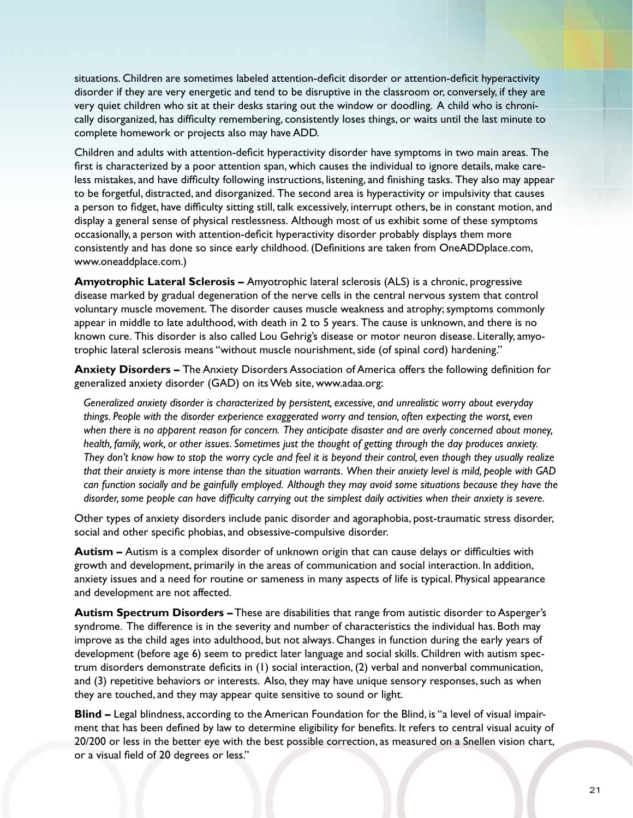situations. Children are sometimes labeled attention-deficit disorder or attention-deficit hyperactivity disorder if they are very energetic and tend to be disruptive in the classroom or, conversely, if they are very quiet children who sit at their desks staring out the window or doodling. A child who is chronically disorganized, has difficulty remembering, consistently loses things, or waits until the last minute to complete homework or projects also may have ADD.

Children and adults with attention-deficit hyperactivity disorder have symptoms in two main areas. The first is characterized by a poor attention span, which causes the individual to ignore details, make careless mistakes, and have difficulty following instructions, listening, and finishing tasks. They also may appear to be forgetful, distracted, and disorganized. The second area is hyperactivity or impulsivity that causes a person to fidget, have difficulty sitting still, talk excessively, interrupt others, be in constant motion, and display a general sense of physical restlessness. Although most of us exhibit some of these symptoms occasionally, a person with attention-deficit hyperactivity disorder probably displays them more consistently and has done so since early childhood. (Definitions are taken from OneADDplace.com, www.oneaddplace.com.)

**Amyotrophic lateral Sclerosis –** Amyotrophic lateral sclerosis (ALS) is a chronic, progressive disease marked by gradual degeneration of the nerve cells in the central nervous system that control voluntary muscle movement. The disorder causes muscle weakness and atrophy; symptoms commonly appear in middle to late adulthood, with death in 2 to 5 years. The cause is unknown, and there is no known cure. This disorder is also called Lou Gehrig's disease or motor neuron disease. Literally, amyotrophic lateral sclerosis means "without muscle nourishment, side (of spinal cord) hardening."

**Anxiety Disorders –** The Anxiety Disorders Association of America offers the following definition for generalized anxiety disorder (GAD) on its Web site, www.adaa.org:

*Generalized anxiety disorder is characterized by persistent, excessive, and unrealistic worry about everyday things. People with the disorder experience exaggerated worry and tension, often expecting the worst, even when there is no apparent reason for concern. They anticipate disaster and are overly concerned about money, health, family, work, or other issues. Sometimes just the thought of getting through the day produces anxiety. They don't know how to stop the worry cycle and feel it is beyond their control, even though they usually realize that their anxiety is more intense than the situation warrants. When their anxiety level is mild, people with GAD can function socially and be gainfully employed. Although they may avoid some situations because they have the disorder, some people can have difficulty carrying out the simplest daily activities when their anxiety is severe.*

Other types of anxiety disorders include panic disorder and agoraphobia, post-traumatic stress disorder, social and other specific phobias, and obsessive-compulsive disorder.

**Autism –** Autism is a complex disorder of unknown origin that can cause delays or difficulties with growth and development, primarily in the areas of communication and social interaction. In addition, anxiety issues and a need for routine or sameness in many aspects of life is typical. Physical appearance and development are not affected.

**Autism Spectrum Disorders –** These are disabilities that range from autistic disorder to Asperger's syndrome. The difference is in the severity and number of characteristics the individual has. Both may improve as the child ages into adulthood, but not always. Changes in function during the early years of development (before age 6) seem to predict later language and social skills. Children with autism spectrum disorders demonstrate deficits in (1) social interaction, (2) verbal and nonverbal communication, and (3) repetitive behaviors or interests. Also, they may have unique sensory responses, such as when they are touched, and they may appear quite sensitive to sound or light.

**Blind –** Legal blindness, according to the American Foundation for the Blind, is "a level of visual impairment that has been defined by law to determine eligibility for benefits. It refers to central visual acuity of 20/200 or less in the better eye with the best possible correction, as measured on a Snellen vision chart, or a visual field of 20 degrees or less."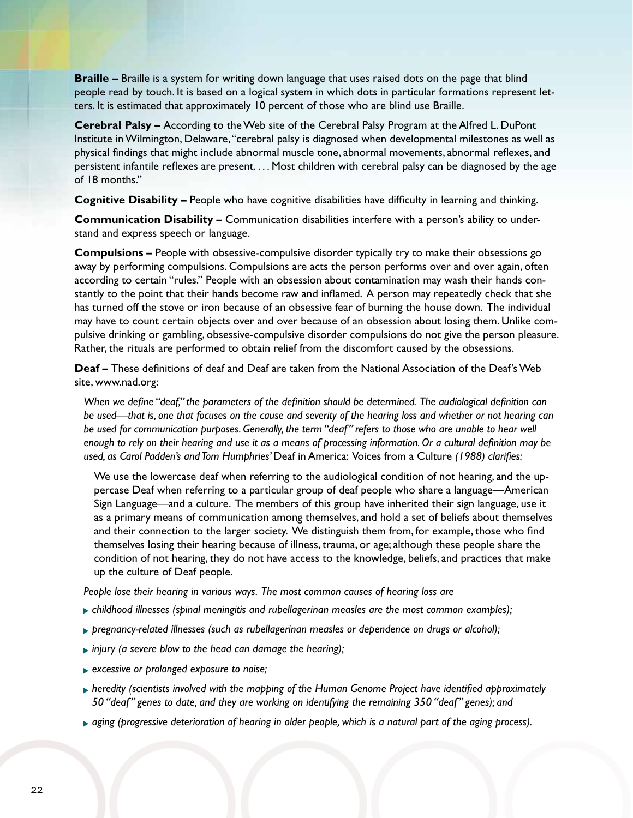**Braille –** Braille is a system for writing down language that uses raised dots on the page that blind people read by touch. It is based on a logical system in which dots in particular formations represent letters. It is estimated that approximately 10 percent of those who are blind use Braille.

**Cerebral Palsy –** According to the Web site of the Cerebral Palsy Program at the Alfred L. DuPont Institute in Wilmington, Delaware, "cerebral palsy is diagnosed when developmental milestones as well as physical findings that might include abnormal muscle tone, abnormal movements, abnormal reflexes, and persistent infantile reflexes are present. . . . Most children with cerebral palsy can be diagnosed by the age of 18 months."

**Cognitive Disability –** People who have cognitive disabilities have difficulty in learning and thinking.

**Communication Disability –** Communication disabilities interfere with a person's ability to understand and express speech or language.

**Compulsions –** People with obsessive-compulsive disorder typically try to make their obsessions go away by performing compulsions. Compulsions are acts the person performs over and over again, often according to certain "rules." People with an obsession about contamination may wash their hands constantly to the point that their hands become raw and inflamed. A person may repeatedly check that she has turned off the stove or iron because of an obsessive fear of burning the house down. The individual may have to count certain objects over and over because of an obsession about losing them. Unlike compulsive drinking or gambling, obsessive-compulsive disorder compulsions do not give the person pleasure. Rather, the rituals are performed to obtain relief from the discomfort caused by the obsessions.

**Deaf –** These definitions of deaf and Deaf are taken from the National Association of the Deaf's Web site, www.nad.org:

*When we define "deaf," the parameters of the definition should be determined. The audiological definition can be used—that is, one that focuses on the cause and severity of the hearing loss and whether or not hearing can be used for communication purposes. Generally, the term "deaf" refers to those who are unable to hear well enough to rely on their hearing and use it as a means of processing information. Or a cultural definition may be used, as Carol Padden's and Tom Humphries'* Deaf in America: Voices from a Culture *(1988) clarifies:*

We use the lowercase deaf when referring to the audiological condition of not hearing, and the uppercase Deaf when referring to a particular group of deaf people who share a language—American Sign Language—and a culture. The members of this group have inherited their sign language, use it as a primary means of communication among themselves, and hold a set of beliefs about themselves and their connection to the larger society. We distinguish them from, for example, those who find themselves losing their hearing because of illness, trauma, or age; although these people share the condition of not hearing, they do not have access to the knowledge, beliefs, and practices that make up the culture of Deaf people.

*People lose their hearing in various ways. The most common causes of hearing loss are*

- <sup>u</sup> *childhood illnesses (spinal meningitis and rubellagerinan measles are the most common examples);*
- *pregnancy-related illnesses (such as rubellagerinan measles or dependence on drugs or alcohol);* u
- **injury (a severe blow to the head can damage the hearing);**
- *excessive or prolonged exposure to noise;* u
- *heredity (scientists involved with the mapping of the Human Genome Project have identified approximately*  u *50 "deaf" genes to date, and they are working on identifying the remaining 350 "deaf" genes); and*
- *aging (progressive deterioration of hearing in older people, which is a natural part of the aging process).* u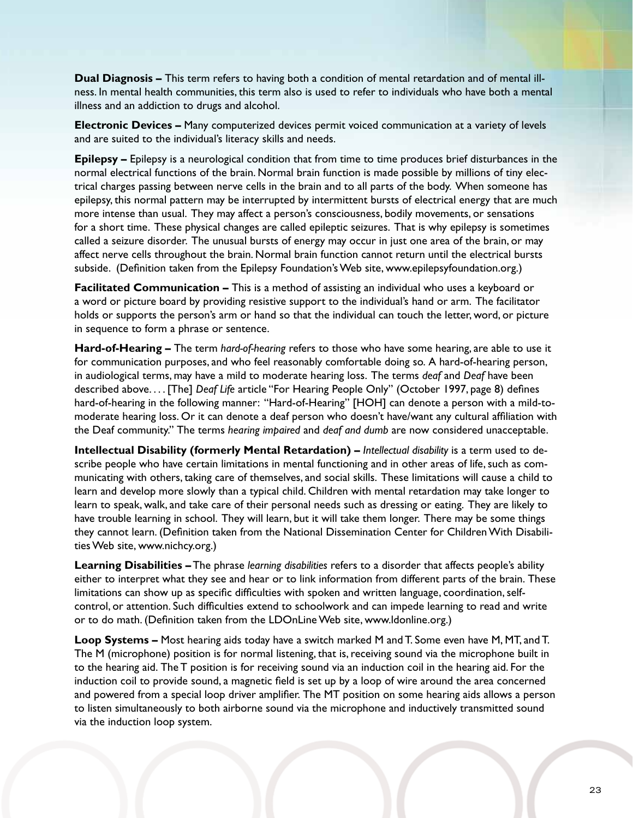**Dual Diagnosis –** This term refers to having both a condition of mental retardation and of mental illness. In mental health communities, this term also is used to refer to individuals who have both a mental illness and an addiction to drugs and alcohol.

**Electronic Devices –** Many computerized devices permit voiced communication at a variety of levels and are suited to the individual's literacy skills and needs.

**Epilepsy –** Epilepsy is a neurological condition that from time to time produces brief disturbances in the normal electrical functions of the brain. Normal brain function is made possible by millions of tiny electrical charges passing between nerve cells in the brain and to all parts of the body. When someone has epilepsy, this normal pattern may be interrupted by intermittent bursts of electrical energy that are much more intense than usual. They may affect a person's consciousness, bodily movements, or sensations for a short time. These physical changes are called epileptic seizures. That is why epilepsy is sometimes called a seizure disorder. The unusual bursts of energy may occur in just one area of the brain, or may affect nerve cells throughout the brain. Normal brain function cannot return until the electrical bursts subside. (Definition taken from the Epilepsy Foundation's Web site, www.epilepsyfoundation.org.)

**Facilitated Communication –** This is a method of assisting an individual who uses a keyboard or a word or picture board by providing resistive support to the individual's hand or arm. The facilitator holds or supports the person's arm or hand so that the individual can touch the letter, word, or picture in sequence to form a phrase or sentence.

Hard-of-Hearing – The term hard-of-hearing refers to those who have some hearing, are able to use it for communication purposes, and who feel reasonably comfortable doing so. A hard-of-hearing person, in audiological terms, may have a mild to moderate hearing loss. The terms deaf and Deaf have been described above.... [The] Deaf Life article "For Hearing People Only" (October 1997, page 8) defines hard-of-hearing in the following manner: "Hard-of-Hearing" [HOH] can denote a person with a mild-tomoderate hearing loss. Or it can denote a deaf person who doesn't have/want any cultural affiliation with the Deaf community." The terms hearing impaired and deaf and dumb are now considered unacceptable.

**Intellectual Disability (formerly Mental Retardation) –** *Intellectual disability* is a term used to describe people who have certain limitations in mental functioning and in other areas of life, such as communicating with others, taking care of themselves, and social skills. These limitations will cause a child to learn and develop more slowly than a typical child. Children with mental retardation may take longer to learn to speak, walk, and take care of their personal needs such as dressing or eating. They are likely to have trouble learning in school. They will learn, but it will take them longer. There may be some things they cannot learn. (Definition taken from the National Dissemination Center for Children With Disabilities Web site, www.nichcy.org.)

Learning Disabilities - The phrase learning disabilities refers to a disorder that affects people's ability either to interpret what they see and hear or to link information from different parts of the brain. These limitations can show up as specific difficulties with spoken and written language, coordination, selfcontrol, or attention. Such difficulties extend to schoolwork and can impede learning to read and write or to do math. (Definition taken from the LDOnLine Web site, www.ldonline.org.)

**Loop Systems –** Most hearing aids today have a switch marked M and T. Some even have M, MT, and T. The M (microphone) position is for normal listening, that is, receiving sound via the microphone built in to the hearing aid. The T position is for receiving sound via an induction coil in the hearing aid. For the induction coil to provide sound, a magnetic field is set up by a loop of wire around the area concerned and powered from a special loop driver amplifier. The MT position on some hearing aids allows a person to listen simultaneously to both airborne sound via the microphone and inductively transmitted sound via the induction loop system.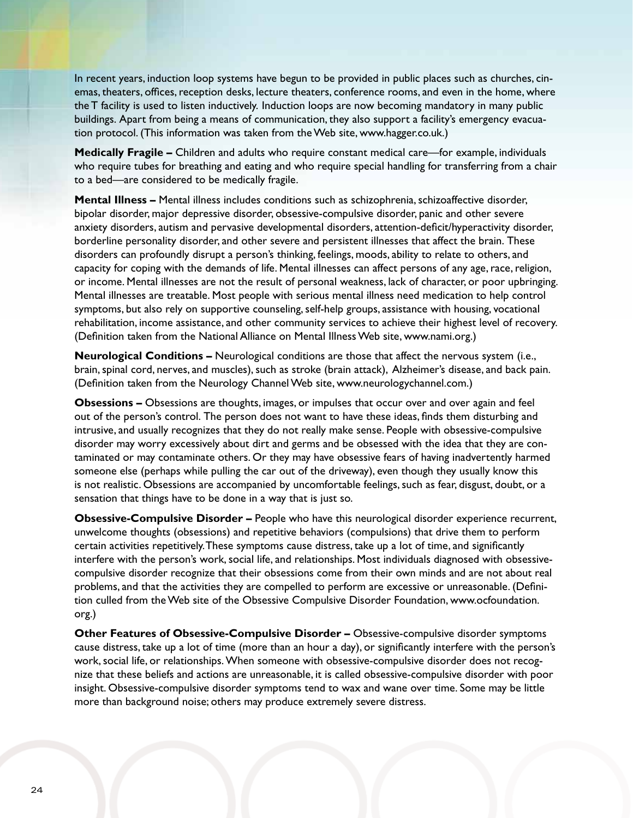In recent years, induction loop systems have begun to be provided in public places such as churches, cinemas, theaters, offices, reception desks, lecture theaters, conference rooms, and even in the home, where the T facility is used to listen inductively. Induction loops are now becoming mandatory in many public buildings. Apart from being a means of communication, they also support a facility's emergency evacuation protocol. (This information was taken from the Web site, www.hagger.co.uk.)

**Medically Fragile –** Children and adults who require constant medical care—for example, individuals who require tubes for breathing and eating and who require special handling for transferring from a chair to a bed—are considered to be medically fragile.

**Mental Illness –** Mental illness includes conditions such as schizophrenia, schizoaffective disorder, bipolar disorder, major depressive disorder, obsessive-compulsive disorder, panic and other severe anxiety disorders, autism and pervasive developmental disorders, attention-deficit/hyperactivity disorder, borderline personality disorder, and other severe and persistent illnesses that affect the brain. These disorders can profoundly disrupt a person's thinking, feelings, moods, ability to relate to others, and capacity for coping with the demands of life. Mental illnesses can affect persons of any age, race, religion, or income. Mental illnesses are not the result of personal weakness, lack of character, or poor upbringing. Mental illnesses are treatable. Most people with serious mental illness need medication to help control symptoms, but also rely on supportive counseling, self-help groups, assistance with housing, vocational rehabilitation, income assistance, and other community services to achieve their highest level of recovery. (Definition taken from the National Alliance on Mental Illness Web site, www.nami.org.)

**Neurological Conditions –** Neurological conditions are those that affect the nervous system (i.e., brain, spinal cord, nerves, and muscles), such as stroke (brain attack), Alzheimer's disease, and back pain. (Definition taken from the Neurology Channel Web site, www.neurologychannel.com.)

**Obsessions –** Obsessions are thoughts, images, or impulses that occur over and over again and feel out of the person's control. The person does not want to have these ideas, finds them disturbing and intrusive, and usually recognizes that they do not really make sense. People with obsessive-compulsive disorder may worry excessively about dirt and germs and be obsessed with the idea that they are contaminated or may contaminate others. Or they may have obsessive fears of having inadvertently harmed someone else (perhaps while pulling the car out of the driveway), even though they usually know this is not realistic. Obsessions are accompanied by uncomfortable feelings, such as fear, disgust, doubt, or a sensation that things have to be done in a way that is just so.

**Obsessive-Compulsive Disorder –** People who have this neurological disorder experience recurrent, unwelcome thoughts (obsessions) and repetitive behaviors (compulsions) that drive them to perform certain activities repetitively. These symptoms cause distress, take up a lot of time, and significantly interfere with the person's work, social life, and relationships. Most individuals diagnosed with obsessivecompulsive disorder recognize that their obsessions come from their own minds and are not about real problems, and that the activities they are compelled to perform are excessive or unreasonable. (Definition culled from the Web site of the Obsessive Compulsive Disorder Foundation, www.ocfoundation. org.)

**Other Features of Obsessive-Compulsive Disorder –** Obsessive-compulsive disorder symptoms cause distress, take up a lot of time (more than an hour a day), or significantly interfere with the person's work, social life, or relationships. When someone with obsessive-compulsive disorder does not recognize that these beliefs and actions are unreasonable, it is called obsessive-compulsive disorder with poor insight. Obsessive-compulsive disorder symptoms tend to wax and wane over time. Some may be little more than background noise; others may produce extremely severe distress.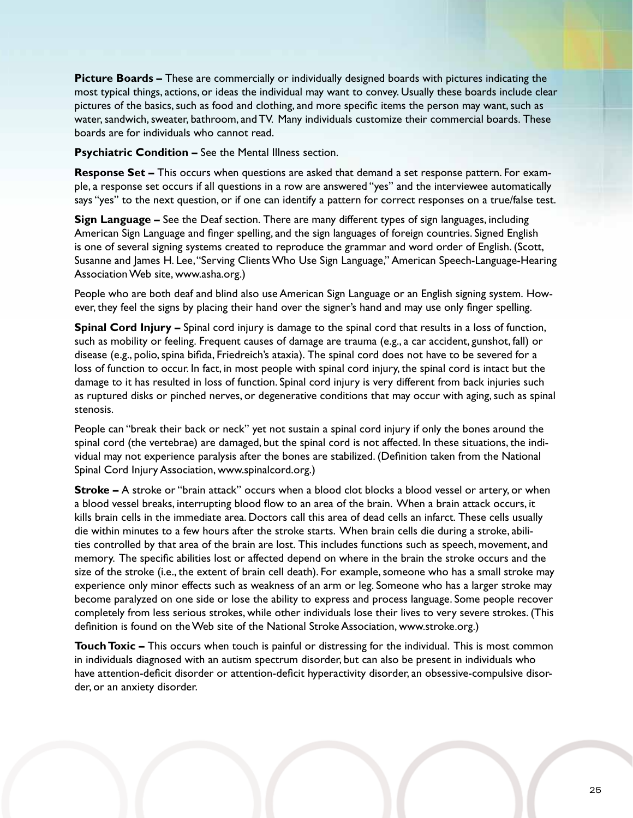**Picture Boards –** These are commercially or individually designed boards with pictures indicating the most typical things, actions, or ideas the individual may want to convey. Usually these boards include clear pictures of the basics, such as food and clothing, and more specific items the person may want, such as water, sandwich, sweater, bathroom, and TV. Many individuals customize their commercial boards. These boards are for individuals who cannot read.

**Psychiatric Condition –** See the Mental Illness section.

**Response Set –** This occurs when questions are asked that demand a set response pattern. For example, a response set occurs if all questions in a row are answered "yes" and the interviewee automatically says "yes" to the next question, or if one can identify a pattern for correct responses on a true/false test.

**Sign language –** See the Deaf section. There are many different types of sign languages, including American Sign Language and finger spelling, and the sign languages of foreign countries. Signed English is one of several signing systems created to reproduce the grammar and word order of English. (Scott, Susanne and James H. Lee, "Serving Clients Who Use Sign Language," American Speech-Language-Hearing Association Web site, www.asha.org.)

People who are both deaf and blind also use American Sign Language or an English signing system. However, they feel the signs by placing their hand over the signer's hand and may use only finger spelling.

**Spinal Cord Injury –** Spinal cord injury is damage to the spinal cord that results in a loss of function, such as mobility or feeling. Frequent causes of damage are trauma (e.g., a car accident, gunshot, fall) or disease (e.g., polio, spina bifida, Friedreich's ataxia). The spinal cord does not have to be severed for a loss of function to occur. In fact, in most people with spinal cord injury, the spinal cord is intact but the damage to it has resulted in loss of function. Spinal cord injury is very different from back injuries such as ruptured disks or pinched nerves, or degenerative conditions that may occur with aging, such as spinal stenosis.

People can "break their back or neck" yet not sustain a spinal cord injury if only the bones around the spinal cord (the vertebrae) are damaged, but the spinal cord is not affected. In these situations, the individual may not experience paralysis after the bones are stabilized. (Definition taken from the National Spinal Cord Injury Association, www.spinalcord.org.)

**Stroke –** A stroke or "brain attack" occurs when a blood clot blocks a blood vessel or artery, or when a blood vessel breaks, interrupting blood flow to an area of the brain. When a brain attack occurs, it kills brain cells in the immediate area. Doctors call this area of dead cells an infarct. These cells usually die within minutes to a few hours after the stroke starts. When brain cells die during a stroke, abilities controlled by that area of the brain are lost. This includes functions such as speech, movement, and memory. The specific abilities lost or affected depend on where in the brain the stroke occurs and the size of the stroke (i.e., the extent of brain cell death). For example, someone who has a small stroke may experience only minor effects such as weakness of an arm or leg. Someone who has a larger stroke may become paralyzed on one side or lose the ability to express and process language. Some people recover completely from less serious strokes, while other individuals lose their lives to very severe strokes. (This definition is found on the Web site of the National Stroke Association, www.stroke.org.)

**Touch Toxic –** This occurs when touch is painful or distressing for the individual. This is most common in individuals diagnosed with an autism spectrum disorder, but can also be present in individuals who have attention-deficit disorder or attention-deficit hyperactivity disorder, an obsessive-compulsive disorder, or an anxiety disorder.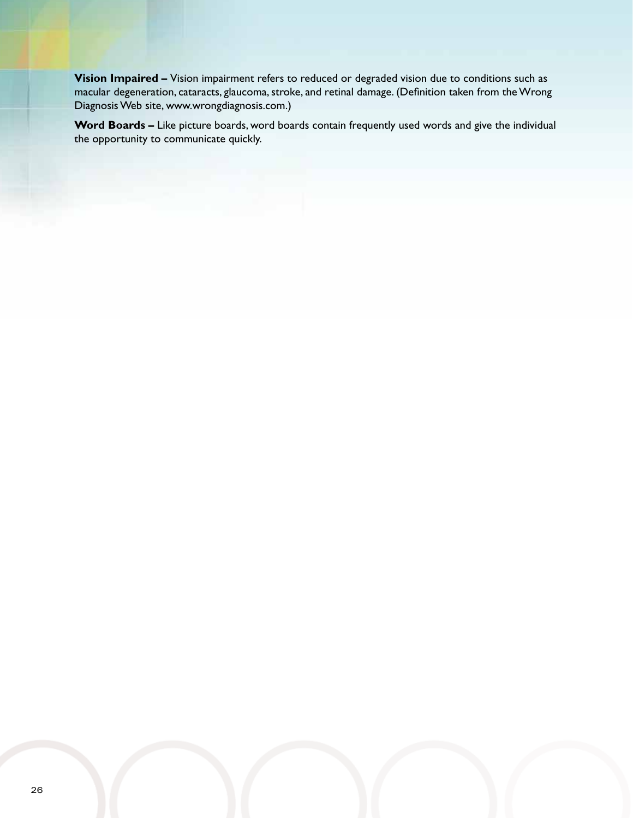**Vision Impaired –** Vision impairment refers to reduced or degraded vision due to conditions such as macular degeneration, cataracts, glaucoma, stroke, and retinal damage. (Definition taken from the Wrong Diagnosis Web site, www.wrongdiagnosis.com.)

Word Boards – Like picture boards, word boards contain frequently used words and give the individual the opportunity to communicate quickly.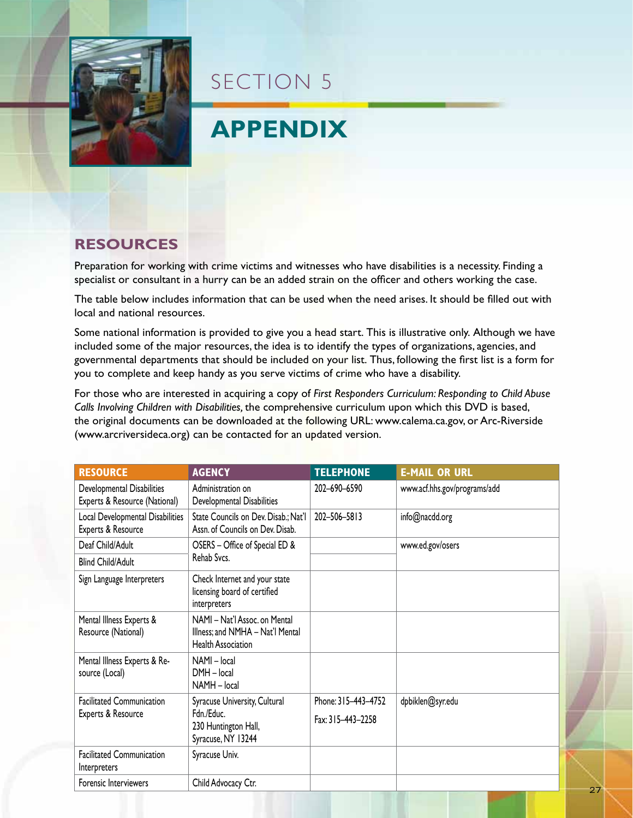

## SECTION 5

## **APPENDIx**

### **RESOURCES**

Preparation for working with crime victims and witnesses who have disabilities is a necessity. Finding a specialist or consultant in a hurry can be an added strain on the officer and others working the case.

The table below includes information that can be used when the need arises. It should be filled out with local and national resources.

Some national information is provided to give you a head start. This is illustrative only. Although we have included some of the major resources, the idea is to identify the types of organizations, agencies, and governmental departments that should be included on your list. Thus, following the first list is a form for you to complete and keep handy as you serve victims of crime who have a disability.

For those who are interested in acquiring a copy of *First Responders Curriculum: Responding to Child Abuse Calls Involving Children with Disabilities,* the comprehensive curriculum upon which this DVD is based, the original documents can be downloaded at the following URL: www.calema.ca.gov, or Arc-Riverside (www.arcriversideca.org) can be contacted for an updated version.

| <b>RESOURCE</b>                                             | <b>AGENCY</b>                                                                             | <b>TELEPHONE</b>                         | <b>E-MAIL OR URL</b>         |
|-------------------------------------------------------------|-------------------------------------------------------------------------------------------|------------------------------------------|------------------------------|
| Developmental Disabilities<br>Experts & Resource (National) | Administration on<br>Developmental Disabilities                                           | 202-690-6590                             | www.acf.hhs.gov/programs/add |
| Local Developmental Disabilities<br>Experts & Resource      | State Councils on Dev. Disab.; Nat'l<br>Assn. of Councils on Dev. Disab.                  | 202-506-5813                             | info@nacdd.org               |
| Deaf Child/Adult                                            | OSERS - Office of Special ED &                                                            |                                          | www.ed.gov/osers             |
| <b>Blind Child/Adult</b>                                    | Rehab Svcs.                                                                               |                                          |                              |
| Sign Language Interpreters                                  | Check Internet and your state<br>licensing board of certified<br>interpreters             |                                          |                              |
| Mental Illness Experts &<br>Resource (National)             | NAMI - Nat'l Assoc. on Mental<br>Illness; and NMHA - Nat'l Mental<br>Health Association   |                                          |                              |
| Mental Illness Experts & Re-<br>source (Local)              | NAMI - local<br>$DMH - local$<br>NAMH - local                                             |                                          |                              |
| <b>Facilitated Communication</b><br>Experts & Resource      | Syracuse University, Cultural<br>Edn / Fduc<br>230 Huntington Hall,<br>Syracuse, NY 13244 | Phone: 315-443-4752<br>Fax: 315-443-2258 | dpbiklen@syr.edu             |
| <b>Facilitated Communication</b><br>Interpreters            | Syracuse Univ.                                                                            |                                          |                              |
| Forensic Interviewers                                       | Child Advocacy Ctr.                                                                       |                                          |                              |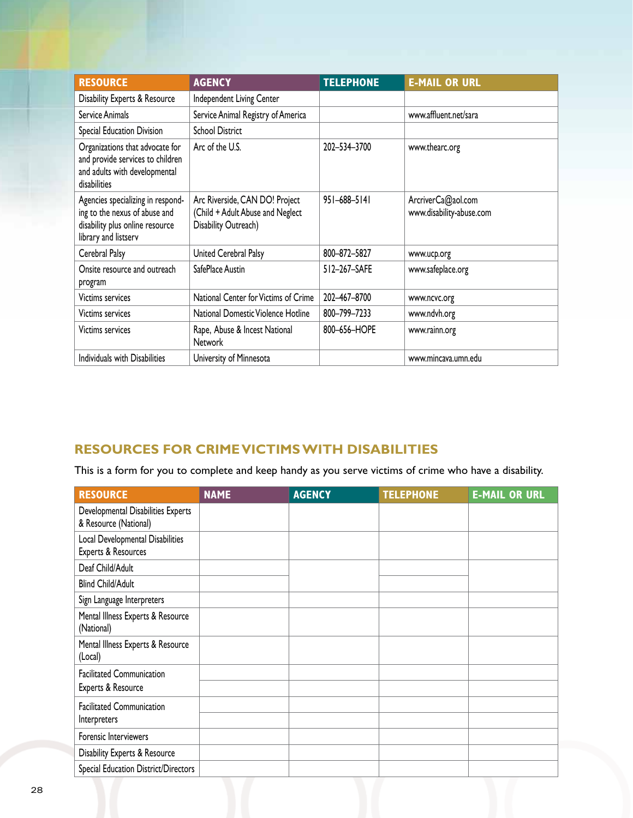| <b>RESOURCE</b>                                                                                                               | <b>AGENCY</b>                                                                              | <b>TELEPHONE</b> | <b>E-MAIL OR URL</b>                           |
|-------------------------------------------------------------------------------------------------------------------------------|--------------------------------------------------------------------------------------------|------------------|------------------------------------------------|
| Disability Experts & Resource                                                                                                 | Independent Living Center                                                                  |                  |                                                |
| Service Animals                                                                                                               | Service Animal Registry of America                                                         |                  | www.affluent.net/sara                          |
| Special Education Division                                                                                                    | <b>School District</b>                                                                     |                  |                                                |
| Organizations that advocate for<br>and provide services to children<br>and adults with developmental<br>disabilities          | Arc of the U.S.                                                                            | 202-534-3700     | www.thearc.org                                 |
| Agencies specializing in respond-<br>ing to the nexus of abuse and<br>disability plus online resource<br>library and listserv | Arc Riverside, CAN DO! Project<br>(Child + Adult Abuse and Neglect<br>Disability Outreach) | 951-688-5141     | ArcriverCa@aol.com<br>www.disability-abuse.com |
| Cerebral Palsy                                                                                                                | 800-872-5827<br>United Cerebral Palsy<br>www.ucp.org                                       |                  |                                                |
| Onsite resource and outreach<br>program                                                                                       | SafePlace Austin                                                                           | 512-267-SAFE     | www.safeplace.org                              |
| Victims services                                                                                                              | National Center for Victims of Crime                                                       | 202-467-8700     | www.ncvc.org                                   |
| Victims services                                                                                                              | National Domestic Violence Hotline<br>800-799-7233<br>www.ndvh.org                         |                  |                                                |
| <b>Victims services</b>                                                                                                       | 800-656-HOPE<br>Rape, Abuse & Incest National<br><b>Network</b>                            |                  | www.rainn.org                                  |
| Individuals with Disabilities                                                                                                 | University of Minnesota                                                                    |                  | www.mincava.umn.edu                            |

### **RESOURCES FOR CRIME VICTIMS WITh DISABIlITIES**

This is a form for you to complete and keep handy as you serve victims of crime who have a disability.

| <b>RESOURCE</b>                                             | <b>NAME</b> | <b>AGENCY</b> | <b>TELEPHONE</b> | <b>E-MAIL OR URL</b> |
|-------------------------------------------------------------|-------------|---------------|------------------|----------------------|
| Developmental Disabilities Experts<br>& Resource (National) |             |               |                  |                      |
| Local Developmental Disabilities<br>Experts & Resources     |             |               |                  |                      |
| Deaf Child/Adult                                            |             |               |                  |                      |
| <b>Blind Child/Adult</b>                                    |             |               |                  |                      |
| Sign Language Interpreters                                  |             |               |                  |                      |
| Mental Illness Experts & Resource<br>(National)             |             |               |                  |                      |
| Mental Illness Experts & Resource<br>(Local)                |             |               |                  |                      |
| <b>Facilitated Communication</b>                            |             |               |                  |                      |
| Experts & Resource                                          |             |               |                  |                      |
| <b>Facilitated Communication</b>                            |             |               |                  |                      |
| Interpreters                                                |             |               |                  |                      |
| Forensic Interviewers                                       |             |               |                  |                      |
| Disability Experts & Resource                               |             |               |                  |                      |
| Special Education District/Directors                        |             |               |                  |                      |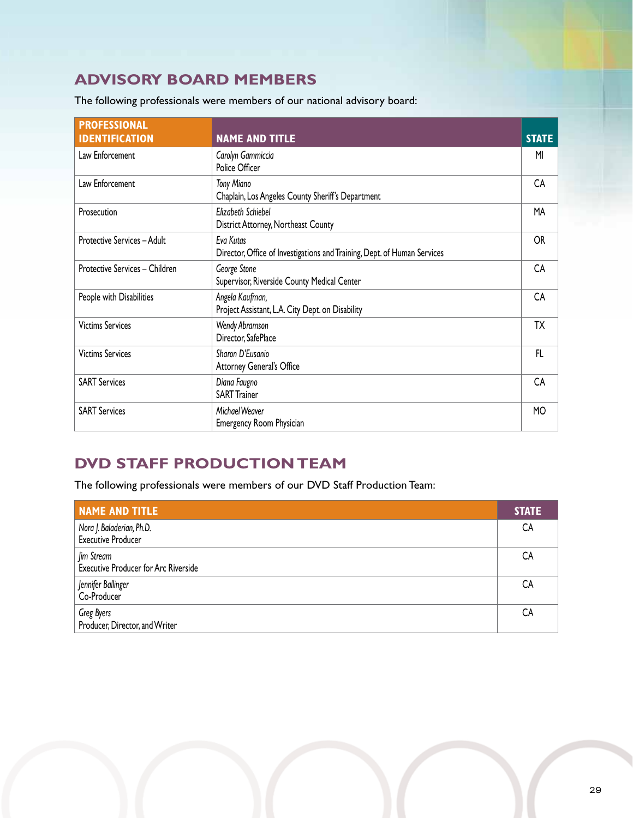### **ADVISORy BOARD MEMBERS**

| <b>PROFESSIONAL</b><br><b>IDENTIFICATION</b>                             | <b>NAME AND TITLE</b>                                                                 | <b>STATE</b> |
|--------------------------------------------------------------------------|---------------------------------------------------------------------------------------|--------------|
| Law Enforcement                                                          | Carolyn Gammiccia<br>Police Officer                                                   | MI           |
| Law Enforcement                                                          | <b>Tony Miano</b><br>Chaplain, Los Angeles County Sheriff's Department                | CA           |
| Prosecution                                                              | Elizabeth Schiebel<br>District Attorney, Northeast County                             | <b>MA</b>    |
| Protective Services - Adult                                              | Eva Kutas<br>Director, Office of Investigations and Training, Dept. of Human Services | <b>OR</b>    |
| Protective Services - Children                                           | George Stone<br>Supervisor, Riverside County Medical Center                           |              |
| People with Disabilities                                                 | Angela Kaufman,<br>Project Assistant, L.A. City Dept. on Disability                   |              |
| <b>Victims Services</b>                                                  | Wendy Abramson<br>Director, SafePlace                                                 |              |
| Sharon D'Eusanio<br><b>Victims Services</b><br>Attorney General's Office |                                                                                       | FL.          |
| <b>SART Services</b>                                                     | Diana Faugno<br><b>SART Trainer</b>                                                   | CA           |
| <b>SART Services</b>                                                     | Michael Weaver<br>Emergency Room Physician                                            | <b>MO</b>    |

The following professionals were members of our national advisory board:

## **DVD STAFF PRODUCTION TEAM**

The following professionals were members of our DVD Staff Production Team:

| <b>NAME AND TITLE</b>                                     | <b>STATE</b> |
|-----------------------------------------------------------|--------------|
| Nora J. Baladerian, Ph.D.<br><b>Executive Producer</b>    | CA           |
| Jim Stream<br><b>Executive Producer for Arc Riverside</b> | CA           |
| Jennifer Ballinger<br>Co-Producer                         | CA           |
| Greg Byers<br>Producer, Director, and Writer              | CA           |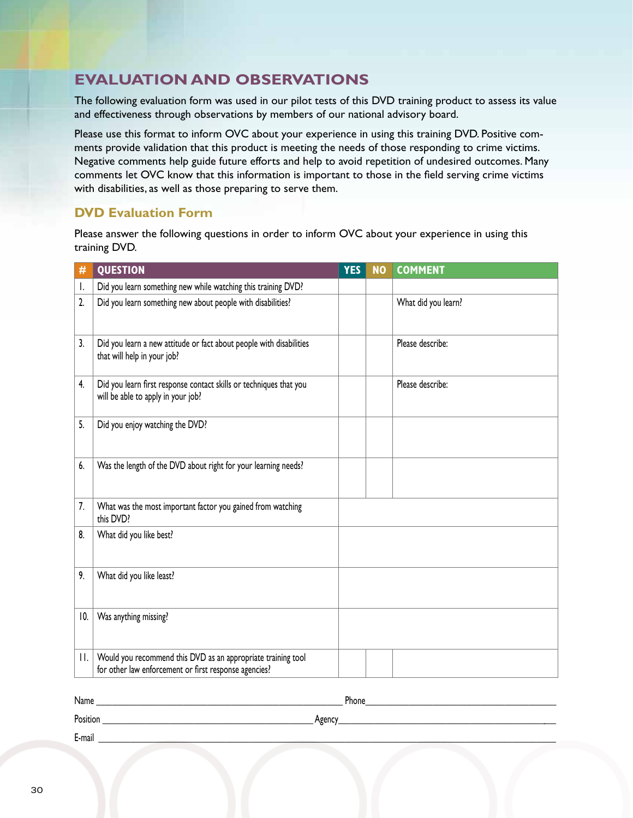### **EVAlUATION AND OBSERVATIONS**

The following evaluation form was used in our pilot tests of this DVD training product to assess its value and effectiveness through observations by members of our national advisory board.

Please use this format to inform OVC about your experience in using this training DVD. Positive comments provide validation that this product is meeting the needs of those responding to crime victims. Negative comments help guide future efforts and help to avoid repetition of undesired outcomes. Many comments let OVC know that this information is important to those in the field serving crime victims with disabilities, as well as those preparing to serve them.

#### **DVD Evaluation Form**

Please answer the following questions in order to inform OVC about your experience in using this training DVD.

| #   | <b>QUESTION</b>                                                                                                       | <b>YES</b> | <b>NO</b> | <b>COMMENT</b>      |
|-----|-----------------------------------------------------------------------------------------------------------------------|------------|-----------|---------------------|
| Ι.  | Did you learn something new while watching this training DVD?                                                         |            |           |                     |
| 2.  | Did you learn something new about people with disabilities?                                                           |            |           | What did you learn? |
| 3.  | Did you learn a new attitude or fact about people with disabilities<br>that will help in your job?                    |            |           | Please describe:    |
| 4.  | Did you learn first response contact skills or techniques that you<br>will be able to apply in your job?              |            |           | Please describe:    |
| 5.  | Did you enjoy watching the DVD?                                                                                       |            |           |                     |
| 6.  | Was the length of the DVD about right for your learning needs?                                                        |            |           |                     |
| 7.  | What was the most important factor you gained from watching<br>this DVD?                                              |            |           |                     |
| 8.  | What did you like best?                                                                                               |            |           |                     |
| 9.  | What did you like least?                                                                                              |            |           |                     |
| 10. | Was anything missing?                                                                                                 |            |           |                     |
| П.  | Would you recommend this DVD as an appropriate training tool<br>for other law enforcement or first response agencies? |            |           |                     |

| Name                               | Phone               |
|------------------------------------|---------------------|
| Position                           | <sub>-</sub> Agency |
| E-mail<br><b>State of Contract</b> |                     |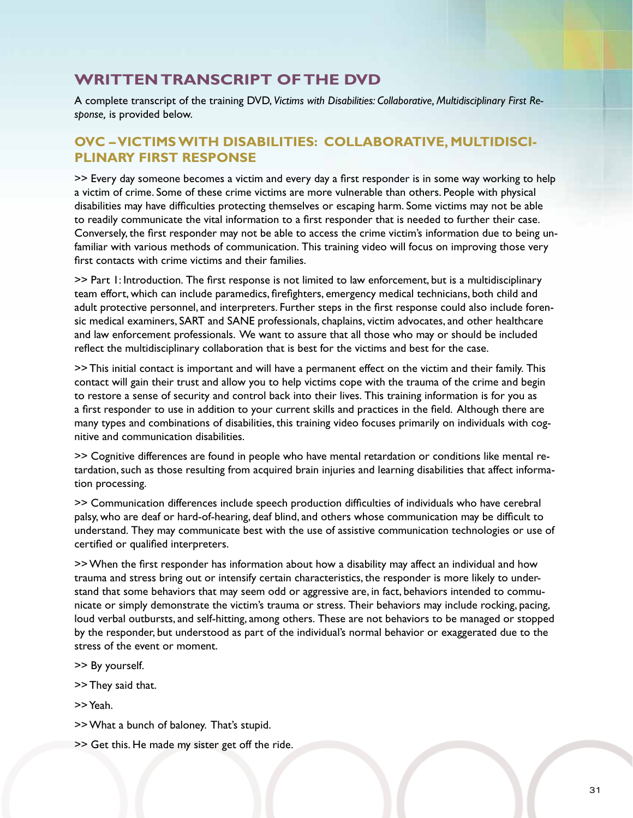### **WRITTEN TRANSCRIPT OF ThE DVD**

A complete transcript of the training DVD, *Victims with Disabilities: Collaborative, Multidisciplinary First Response,* is provided below.

#### **OVC - VICTIMS WITH DISABILITIES: COLLABORATIVE, MULTIDISCI-PlINARy FIRST RESPONSE**

>> Every day someone becomes a victim and every day a first responder is in some way working to help a victim of crime. Some of these crime victims are more vulnerable than others. People with physical disabilities may have difficulties protecting themselves or escaping harm. Some victims may not be able to readily communicate the vital information to a first responder that is needed to further their case. Conversely, the first responder may not be able to access the crime victim's information due to being unfamiliar with various methods of communication. This training video will focus on improving those very first contacts with crime victims and their families.

>> Part 1: Introduction. The first response is not limited to law enforcement, but is a multidisciplinary team effort, which can include paramedics, firefighters, emergency medical technicians, both child and adult protective personnel, and interpreters. Further steps in the first response could also include forensic medical examiners, SART and SANE professionals, chaplains, victim advocates, and other healthcare and law enforcement professionals. We want to assure that all those who may or should be included reflect the multidisciplinary collaboration that is best for the victims and best for the case.

>> This initial contact is important and will have a permanent effect on the victim and their family. This contact will gain their trust and allow you to help victims cope with the trauma of the crime and begin to restore a sense of security and control back into their lives. This training information is for you as a first responder to use in addition to your current skills and practices in the field. Although there are many types and combinations of disabilities, this training video focuses primarily on individuals with cognitive and communication disabilities.

>> Cognitive differences are found in people who have mental retardation or conditions like mental retardation, such as those resulting from acquired brain injuries and learning disabilities that affect information processing.

>> Communication differences include speech production difficulties of individuals who have cerebral palsy, who are deaf or hard-of-hearing, deaf blind, and others whose communication may be difficult to understand. They may communicate best with the use of assistive communication technologies or use of certified or qualified interpreters.

>> When the first responder has information about how a disability may affect an individual and how trauma and stress bring out or intensify certain characteristics, the responder is more likely to understand that some behaviors that may seem odd or aggressive are, in fact, behaviors intended to communicate or simply demonstrate the victim's trauma or stress. Their behaviors may include rocking, pacing, loud verbal outbursts, and self-hitting, among others. These are not behaviors to be managed or stopped by the responder, but understood as part of the individual's normal behavior or exaggerated due to the stress of the event or moment.

>> By yourself.

- >> They said that.
- >> Yeah.

>> What a bunch of baloney. That's stupid.

>> Get this. He made my sister get off the ride.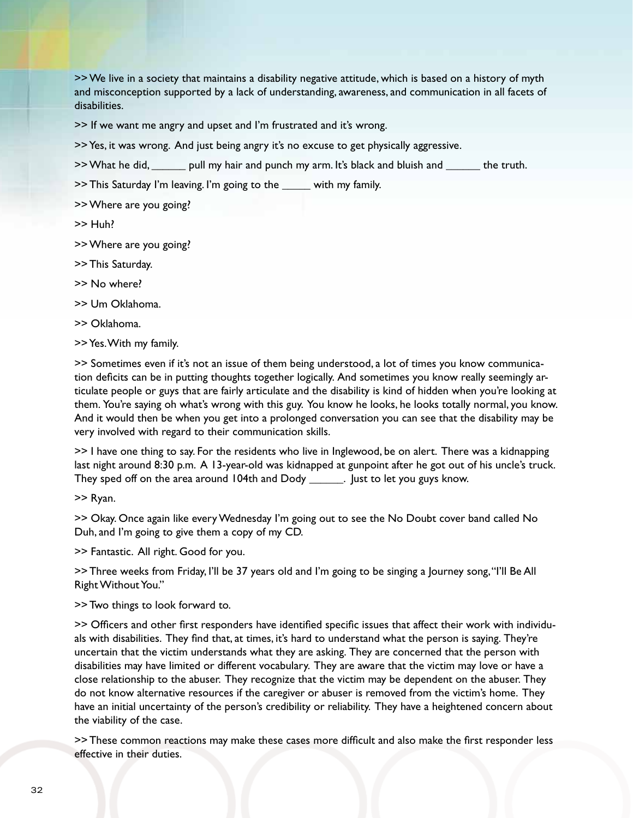>> We live in a society that maintains a disability negative attitude, which is based on a history of myth and misconception supported by a lack of understanding, awareness, and communication in all facets of disabilities.

>> If we want me angry and upset and I'm frustrated and it's wrong.

>> Yes, it was wrong. And just being angry it's no excuse to get physically aggressive.

>> What he did, so pull my hair and punch my arm. It's black and bluish and secomb the truth.

>> This Saturday I'm leaving. I'm going to the **with my family**.

- Where are you going? >>
- Huh? >>
- Where are you going? >>
- >> This Saturday.
- >> No where?
- >> Um Oklahoma.

Oklahoma. >>

>> Yes. With my family.

>> Sometimes even if it's not an issue of them being understood, a lot of times you know communication deficits can be in putting thoughts together logically. And sometimes you know really seemingly articulate people or guys that are fairly articulate and the disability is kind of hidden when you're looking at them. You're saying oh what's wrong with this guy. You know he looks, he looks totally normal, you know. And it would then be when you get into a prolonged conversation you can see that the disability may be very involved with regard to their communication skills.

>> I have one thing to say. For the residents who live in Inglewood, be on alert. There was a kidnapping last night around 8:30 p.m. A 13-year-old was kidnapped at gunpoint after he got out of his uncle's truck. They sped off on the area around 104th and Dody \_\_\_\_\_\_. Just to let you guys know.

>> Ryan.

>> Okay. Once again like every Wednesday I'm going out to see the No Doubt cover band called No Duh, and I'm going to give them a copy of my CD.

>> Fantastic. All right. Good for you.

>> Three weeks from Friday, I'll be 37 years old and I'm going to be singing a Journey song, "I'll Be All Right Without You."

>> Two things to look forward to.

>> Officers and other first responders have identified specific issues that affect their work with individuals with disabilities. They find that, at times, it's hard to understand what the person is saying. They're uncertain that the victim understands what they are asking. They are concerned that the person with disabilities may have limited or different vocabulary. They are aware that the victim may love or have a close relationship to the abuser. They recognize that the victim may be dependent on the abuser. They do not know alternative resources if the caregiver or abuser is removed from the victim's home. They have an initial uncertainty of the person's credibility or reliability. They have a heightened concern about the viability of the case.

>> These common reactions may make these cases more difficult and also make the first responder less effective in their duties.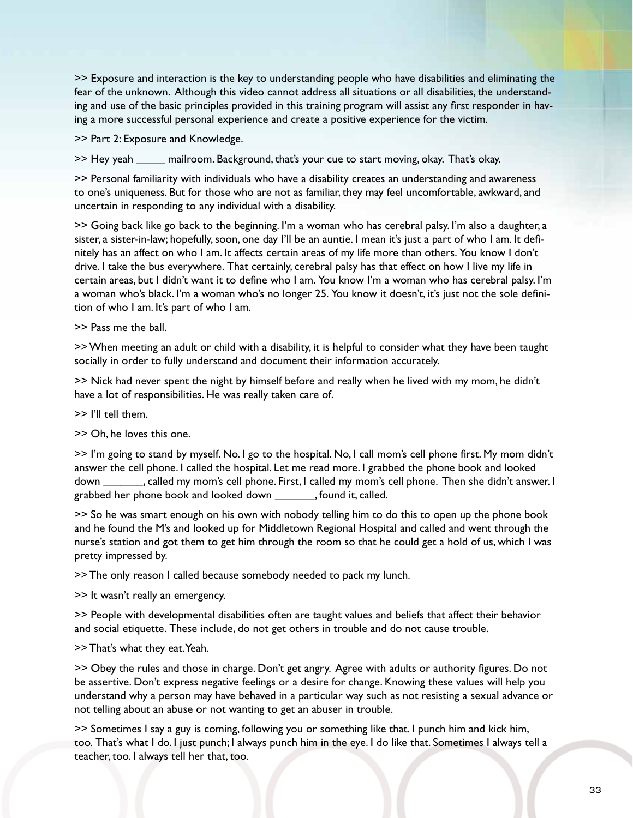>> Exposure and interaction is the key to understanding people who have disabilities and eliminating the fear of the unknown. Although this video cannot address all situations or all disabilities, the understanding and use of the basic principles provided in this training program will assist any first responder in having a more successful personal experience and create a positive experience for the victim.

>> Part 2: Exposure and Knowledge.

>> Hey yeah \_\_\_\_\_ mailroom. Background, that's your cue to start moving, okay. That's okay.

>> Personal familiarity with individuals who have a disability creates an understanding and awareness to one's uniqueness. But for those who are not as familiar, they may feel uncomfortable, awkward, and uncertain in responding to any individual with a disability.

>> Going back like go back to the beginning. I'm a woman who has cerebral palsy. I'm also a daughter, a sister, a sister-in-law; hopefully, soon, one day I'll be an auntie. I mean it's just a part of who I am. It definitely has an affect on who I am. It affects certain areas of my life more than others. You know I don't drive. I take the bus everywhere. That certainly, cerebral palsy has that effect on how I live my life in certain areas, but I didn't want it to define who I am. You know I'm a woman who has cerebral palsy. I'm a woman who's black. I'm a woman who's no longer 25. You know it doesn't, it's just not the sole definition of who I am. It's part of who I am.

>> Pass me the ball.

>> When meeting an adult or child with a disability, it is helpful to consider what they have been taught socially in order to fully understand and document their information accurately.

>> Nick had never spent the night by himself before and really when he lived with my mom, he didn't have a lot of responsibilities. He was really taken care of.

>> I'll tell them.

>> Oh, he loves this one.

>> I'm going to stand by myself. No. I go to the hospital. No, I call mom's cell phone first. My mom didn't answer the cell phone. I called the hospital. Let me read more. I grabbed the phone book and looked down \_\_\_\_\_\_\_, called my mom's cell phone. First, I called my mom's cell phone. Then she didn't answer. I grabbed her phone book and looked down \_\_\_\_\_\_\_, found it, called.

>> So he was smart enough on his own with nobody telling him to do this to open up the phone book and he found the M's and looked up for Middletown Regional Hospital and called and went through the nurse's station and got them to get him through the room so that he could get a hold of us, which I was pretty impressed by.

>> The only reason I called because somebody needed to pack my lunch.

>> It wasn't really an emergency.

>> People with developmental disabilities often are taught values and beliefs that affect their behavior and social etiquette. These include, do not get others in trouble and do not cause trouble.

>> That's what they eat. Yeah.

>> Obey the rules and those in charge. Don't get angry. Agree with adults or authority figures. Do not be assertive. Don't express negative feelings or a desire for change. Knowing these values will help you understand why a person may have behaved in a particular way such as not resisting a sexual advance or not telling about an abuse or not wanting to get an abuser in trouble.

>> Sometimes I say a guy is coming, following you or something like that. I punch him and kick him, too. That's what I do. I just punch; I always punch him in the eye. I do like that. Sometimes I always tell a teacher, too. I always tell her that, too.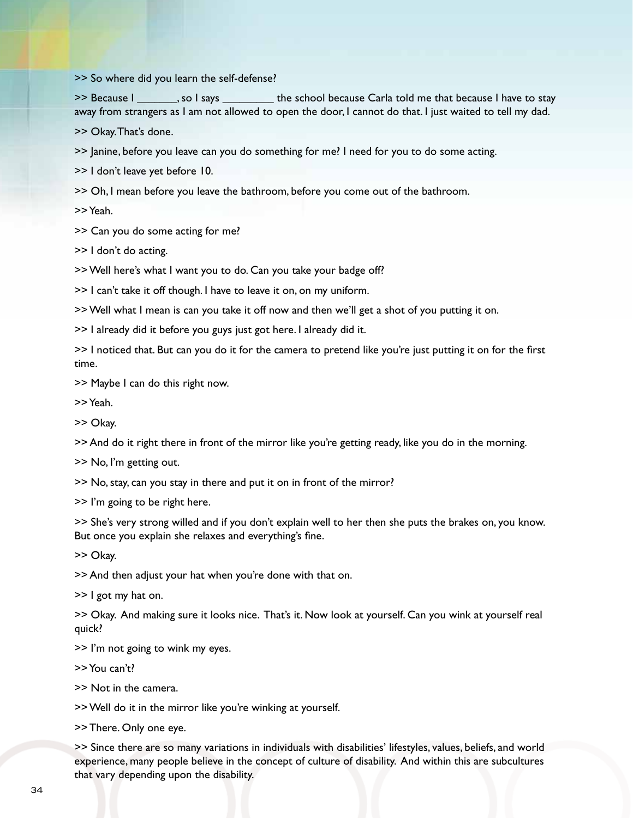>> So where did you learn the self-defense?

>> Because I \_\_\_\_\_\_\_\_, so I says \_\_\_\_\_\_\_\_\_\_\_ the school because Carla told me that because I have to stay away from strangers as I am not allowed to open the door, I cannot do that. I just waited to tell my dad.

>> Okay. That's done.

>> Janine, before you leave can you do something for me? I need for you to do some acting.

>> I don't leave yet before 10.

Oh, I mean before you leave the bathroom, before you come out of the bathroom. >>

Yeah. >>

>> Can you do some acting for me?

>> I don't do acting.

Well here's what I want you to do. Can you take your badge off? >>

>> I can't take it off though. I have to leave it on, on my uniform.

Well what I mean is can you take it off now and then we'll get a shot of you putting it on. >>

>> I already did it before you guys just got here. I already did it.

>> I noticed that. But can you do it for the camera to pretend like you're just putting it on for the first time.

>> Maybe I can do this right now.

Yeah. >>

Okay. >>

>> And do it right there in front of the mirror like you're getting ready, like you do in the morning.

>> No, I'm getting out.

>> No, stay, can you stay in there and put it on in front of the mirror?

>> I'm going to be right here.

>> She's very strong willed and if you don't explain well to her then she puts the brakes on, you know. But once you explain she relaxes and everything's fine.

>> Okay.

>> And then adjust your hat when you're done with that on.

>> I got my hat on.

>> Okay. And making sure it looks nice. That's it. Now look at yourself. Can you wink at yourself real quick?

>> I'm not going to wink my eyes.

>> You can't?

>> Not in the camera.

Well do it in the mirror like you're winking at yourself. >>

>> There. Only one eye.

>> Since there are so many variations in individuals with disabilities' lifestyles, values, beliefs, and world experience, many people believe in the concept of culture of disability. And within this are subcultures that vary depending upon the disability.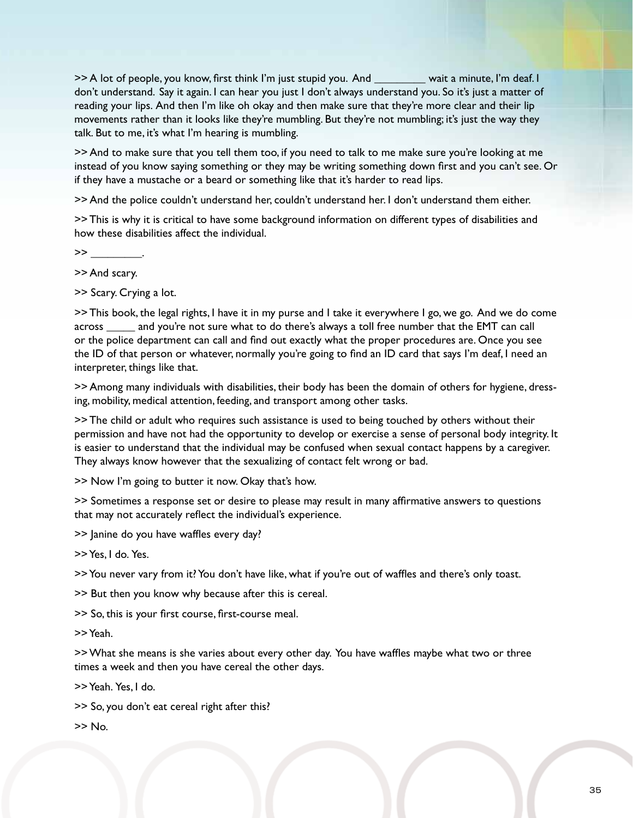>> A lot of people, you know, first think I'm just stupid you. And wait a minute, I'm deaf. I don't understand. Say it again. I can hear you just I don't always understand you. So it's just a matter of reading your lips. And then I'm like oh okay and then make sure that they're more clear and their lip movements rather than it looks like they're mumbling. But they're not mumbling; it's just the way they talk. But to me, it's what I'm hearing is mumbling.

>> And to make sure that you tell them too, if you need to talk to me make sure you're looking at me instead of you know saying something or they may be writing something down first and you can't see. Or if they have a mustache or a beard or something like that it's harder to read lips.

>> And the police couldn't understand her, couldn't understand her. I don't understand them either.

>> This is why it is critical to have some background information on different types of disabilities and how these disabilities affect the individual.

 $>>$ 

>> And scary.

>> Scary. Crying a lot.

>> This book, the legal rights, I have it in my purse and I take it everywhere I go, we go. And we do come across and you're not sure what to do there's always a toll free number that the EMT can call or the police department can call and find out exactly what the proper procedures are. Once you see the ID of that person or whatever, normally you're going to find an ID card that says I'm deaf, I need an interpreter, things like that.

>> Among many individuals with disabilities, their body has been the domain of others for hygiene, dressing, mobility, medical attention, feeding, and transport among other tasks.

>> The child or adult who requires such assistance is used to being touched by others without their permission and have not had the opportunity to develop or exercise a sense of personal body integrity. It is easier to understand that the individual may be confused when sexual contact happens by a caregiver. They always know however that the sexualizing of contact felt wrong or bad.

>> Now I'm going to butter it now. Okay that's how.

>> Sometimes a response set or desire to please may result in many affirmative answers to questions that may not accurately reflect the individual's experience.

>> Janine do you have waffles every day?

>> Yes, I do. Yes.

>> You never vary from it? You don't have like, what if you're out of waffles and there's only toast.

>> But then you know why because after this is cereal.

>> So, this is your first course, first-course meal.

Yeah. >>

>> What she means is she varies about every other day. You have waffles maybe what two or three times a week and then you have cereal the other days.

>> Yeah. Yes, I do.

>> So, you don't eat cereal right after this?

>> No.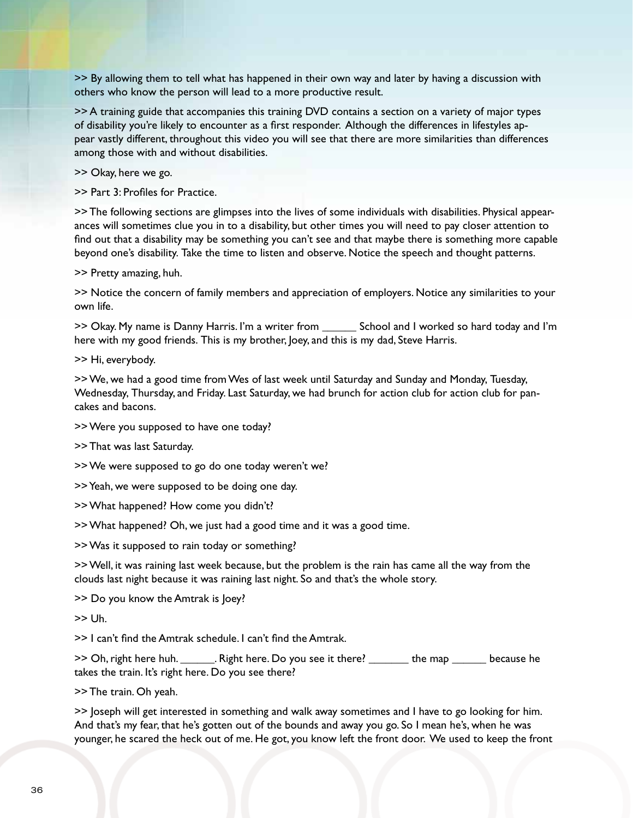>> By allowing them to tell what has happened in their own way and later by having a discussion with others who know the person will lead to a more productive result.

>> A training guide that accompanies this training DVD contains a section on a variety of major types of disability you're likely to encounter as a first responder. Although the differences in lifestyles appear vastly different, throughout this video you will see that there are more similarities than differences among those with and without disabilities.

>> Okay, here we go.

>> Part 3: Profiles for Practice.

>> The following sections are glimpses into the lives of some individuals with disabilities. Physical appearances will sometimes clue you in to a disability, but other times you will need to pay closer attention to find out that a disability may be something you can't see and that maybe there is something more capable beyond one's disability. Take the time to listen and observe. Notice the speech and thought patterns.

>> Pretty amazing, huh.

>> Notice the concern of family members and appreciation of employers. Notice any similarities to your own life.

>> Okay. My name is Danny Harris. I'm a writer from \_\_\_\_\_\_\_ School and I worked so hard today and I'm here with my good friends. This is my brother, Joey, and this is my dad, Steve Harris.

>> Hi, everybody.

>> We, we had a good time from Wes of last week until Saturday and Sunday and Monday, Tuesday, Wednesday, Thursday, and Friday. Last Saturday, we had brunch for action club for action club for pancakes and bacons.

>> Were you supposed to have one today?

>> That was last Saturday.

We were supposed to go do one today weren't we? >>

>> Yeah, we were supposed to be doing one day.

What happened? How come you didn't? >>

What happened? Oh, we just had a good time and it was a good time. >>

Was it supposed to rain today or something? >>

>> Well, it was raining last week because, but the problem is the rain has came all the way from the clouds last night because it was raining last night. So and that's the whole story.

>> Do you know the Amtrak is Joey?

Uh. >>

>> I can't find the Amtrak schedule. I can't find the Amtrak.

>> Oh, right here huh. \_\_\_\_\_\_\_. Right here. Do you see it there? \_\_\_\_\_\_\_\_ the map \_\_\_\_\_\_\_ because he takes the train. It's right here. Do you see there?

>> The train. Oh yeah.

>> Joseph will get interested in something and walk away sometimes and I have to go looking for him. And that's my fear, that he's gotten out of the bounds and away you go. So I mean he's, when he was younger, he scared the heck out of me. He got, you know left the front door. We used to keep the front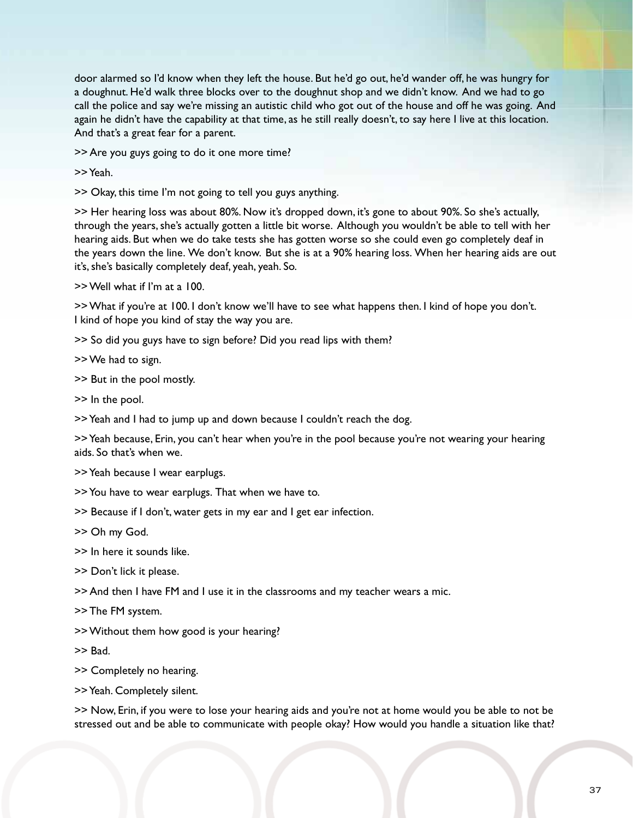door alarmed so I'd know when they left the house. But he'd go out, he'd wander off, he was hungry for a doughnut. He'd walk three blocks over to the doughnut shop and we didn't know. And we had to go call the police and say we're missing an autistic child who got out of the house and off he was going. And again he didn't have the capability at that time, as he still really doesn't, to say here I live at this location. And that's a great fear for a parent.

>> Are you guys going to do it one more time?

Yeah. >>

Okay, this time I'm not going to tell you guys anything. >>

>> Her hearing loss was about 80%. Now it's dropped down, it's gone to about 90%. So she's actually, through the years, she's actually gotten a little bit worse. Although you wouldn't be able to tell with her hearing aids. But when we do take tests she has gotten worse so she could even go completely deaf in the years down the line. We don't know. But she is at a 90% hearing loss. When her hearing aids are out it's, she's basically completely deaf, yeah, yeah. So.

>> Well what if I'm at a 100.

>> What if you're at 100. I don't know we'll have to see what happens then. I kind of hope you don't. I kind of hope you kind of stay the way you are.

>> So did you guys have to sign before? Did you read lips with them?

We had to sign. >>

- >> But in the pool mostly.
- >> In the pool.

>> Yeah and I had to jump up and down because I couldn't reach the dog.

>> Yeah because, Erin, you can't hear when you're in the pool because you're not wearing your hearing aids. So that's when we.

>> Yeah because I wear earplugs.

- >> You have to wear earplugs. That when we have to.
- >> Because if I don't, water gets in my ear and I get ear infection.

>> Oh my God.

>> In here it sounds like.

- >> Don't lick it please.
- >> And then I have FM and I use it in the classrooms and my teacher wears a mic.
- >> The FM system.
- Without them how good is your hearing? >>

>> Bad.

- >> Completely no hearing.
- >> Yeah. Completely silent.

>> Now, Erin, if you were to lose your hearing aids and you're not at home would you be able to not be stressed out and be able to communicate with people okay? How would you handle a situation like that?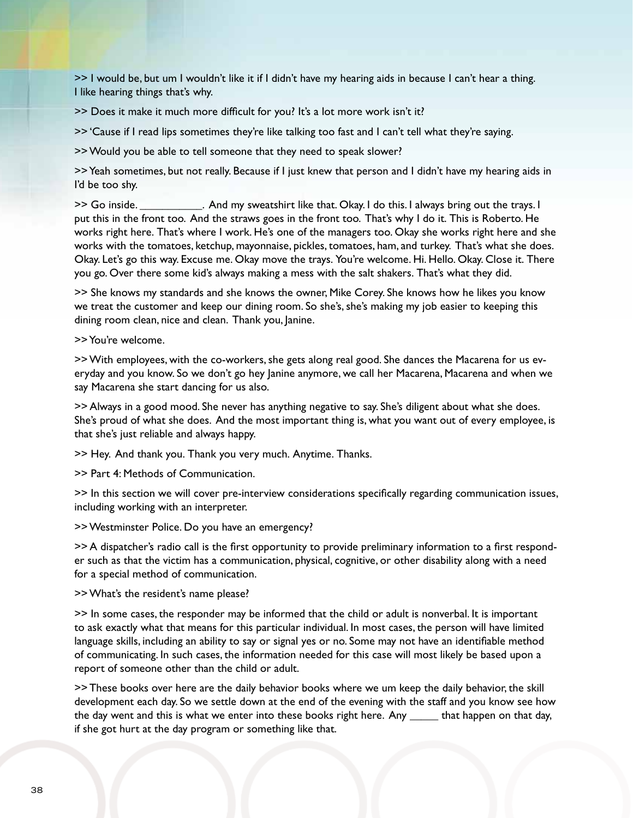>> I would be, but um I wouldn't like it if I didn't have my hearing aids in because I can't hear a thing. I like hearing things that's why.

>> Does it make it much more difficult for you? It's a lot more work isn't it?

>> 'Cause if I read lips sometimes they're like talking too fast and I can't tell what they're saying.

Would you be able to tell someone that they need to speak slower? >>

>> Yeah sometimes, but not really. Because if I just knew that person and I didn't have my hearing aids in I'd be too shy.

>> Go inside. \_\_\_\_\_\_\_\_\_\_\_\_. And my sweatshirt like that. Okay. I do this. I always bring out the trays. I put this in the front too. And the straws goes in the front too. That's why I do it. This is Roberto. He works right here. That's where I work. He's one of the managers too. Okay she works right here and she works with the tomatoes, ketchup, mayonnaise, pickles, tomatoes, ham, and turkey. That's what she does. Okay. Let's go this way. Excuse me. Okay move the trays. You're welcome. Hi. Hello. Okay. Close it. There you go. Over there some kid's always making a mess with the salt shakers. That's what they did.

>> She knows my standards and she knows the owner, Mike Corey. She knows how he likes you know we treat the customer and keep our dining room. So she's, she's making my job easier to keeping this dining room clean, nice and clean. Thank you, Janine.

>> You're welcome.

>> With employees, with the co-workers, she gets along real good. She dances the Macarena for us everyday and you know. So we don't go hey Janine anymore, we call her Macarena, Macarena and when we say Macarena she start dancing for us also.

>> Always in a good mood. She never has anything negative to say. She's diligent about what she does. She's proud of what she does. And the most important thing is, what you want out of every employee, is that she's just reliable and always happy.

>> Hey. And thank you. Thank you very much. Anytime. Thanks.

>> Part 4: Methods of Communication.

>> In this section we will cover pre-interview considerations specifically regarding communication issues, including working with an interpreter.

>> Westminster Police. Do you have an emergency?

>> A dispatcher's radio call is the first opportunity to provide preliminary information to a first responder such as that the victim has a communication, physical, cognitive, or other disability along with a need for a special method of communication.

>> What's the resident's name please?

>> In some cases, the responder may be informed that the child or adult is nonverbal. It is important to ask exactly what that means for this particular individual. In most cases, the person will have limited language skills, including an ability to say or signal yes or no. Some may not have an identifiable method of communicating. In such cases, the information needed for this case will most likely be based upon a report of someone other than the child or adult.

>> These books over here are the daily behavior books where we um keep the daily behavior, the skill development each day. So we settle down at the end of the evening with the staff and you know see how the day went and this is what we enter into these books right here. Any \_\_\_\_\_ that happen on that day, if she got hurt at the day program or something like that.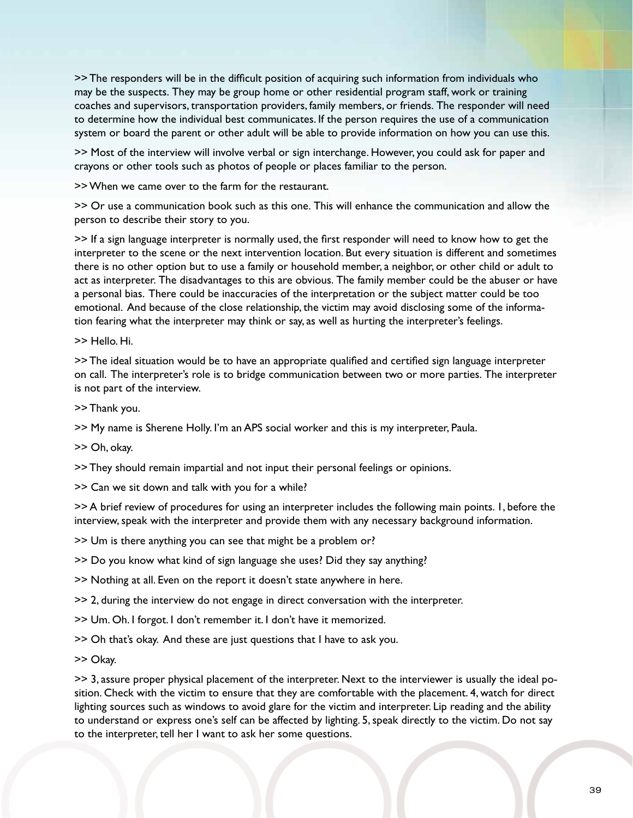>> The responders will be in the difficult position of acquiring such information from individuals who may be the suspects. They may be group home or other residential program staff, work or training coaches and supervisors, transportation providers, family members, or friends. The responder will need to determine how the individual best communicates. If the person requires the use of a communication system or board the parent or other adult will be able to provide information on how you can use this.

>> Most of the interview will involve verbal or sign interchange. However, you could ask for paper and crayons or other tools such as photos of people or places familiar to the person.

>> When we came over to the farm for the restaurant.

>> Or use a communication book such as this one. This will enhance the communication and allow the person to describe their story to you.

>> If a sign language interpreter is normally used, the first responder will need to know how to get the interpreter to the scene or the next intervention location. But every situation is different and sometimes there is no other option but to use a family or household member, a neighbor, or other child or adult to act as interpreter. The disadvantages to this are obvious. The family member could be the abuser or have a personal bias. There could be inaccuracies of the interpretation or the subject matter could be too emotional. And because of the close relationship, the victim may avoid disclosing some of the information fearing what the interpreter may think or say, as well as hurting the interpreter's feelings.

>> Hello. Hi.

>> The ideal situation would be to have an appropriate qualified and certified sign language interpreter on call. The interpreter's role is to bridge communication between two or more parties. The interpreter is not part of the interview.

>> Thank you.

My name is Sherene Holly. I'm an APS social worker and this is my interpreter, Paula. >>

Oh, okay. >>

They should remain impartial and not input their personal feelings or opinions. >>

>> Can we sit down and talk with you for a while?

>> A brief review of procedures for using an interpreter includes the following main points. 1, before the interview, speak with the interpreter and provide them with any necessary background information.

>> Um is there anything you can see that might be a problem or?

>> Do you know what kind of sign language she uses? Did they say anything?

>> Nothing at all. Even on the report it doesn't state anywhere in here.

>> 2, during the interview do not engage in direct conversation with the interpreter.

Um. Oh. I forgot. I don't remember it. I don't have it memorized. >>

Oh that's okay. And these are just questions that I have to ask you. >>

Okay. >>

>> 3, assure proper physical placement of the interpreter. Next to the interviewer is usually the ideal position. Check with the victim to ensure that they are comfortable with the placement. 4, watch for direct lighting sources such as windows to avoid glare for the victim and interpreter. Lip reading and the ability to understand or express one's self can be affected by lighting. 5, speak directly to the victim. Do not say to the interpreter, tell her I want to ask her some questions.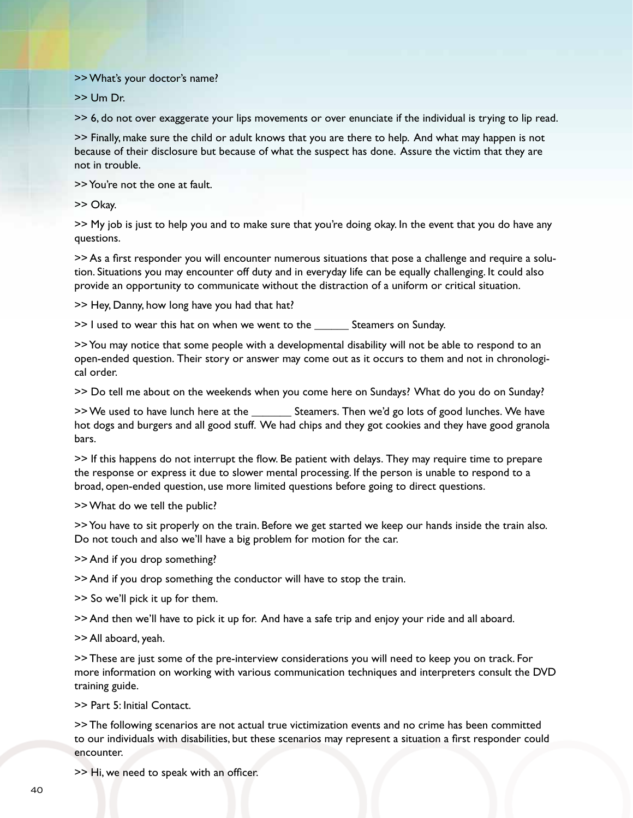>> What's your doctor's name?

Um Dr. >>

>> 6, do not over exaggerate your lips movements or over enunciate if the individual is trying to lip read.

>> Finally, make sure the child or adult knows that you are there to help. And what may happen is not because of their disclosure but because of what the suspect has done. Assure the victim that they are not in trouble.

>>You're not the one at fault.

>> Okay.

>> My job is just to help you and to make sure that you're doing okay. In the event that you do have any questions.

>> As a first responder you will encounter numerous situations that pose a challenge and require a solution. Situations you may encounter off duty and in everyday life can be equally challenging. It could also provide an opportunity to communicate without the distraction of a uniform or critical situation.

>> Hey, Danny, how long have you had that hat?

>> I used to wear this hat on when we went to the Steamers on Sunday.

>> You may notice that some people with a developmental disability will not be able to respond to an open-ended question. Their story or answer may come out as it occurs to them and not in chronological order.

>> Do tell me about on the weekends when you come here on Sundays? What do you do on Sunday?

>> We used to have lunch here at the steamers. Then we'd go lots of good lunches. We have hot dogs and burgers and all good stuff. We had chips and they got cookies and they have good granola bars.

>> If this happens do not interrupt the flow. Be patient with delays. They may require time to prepare the response or express it due to slower mental processing. If the person is unable to respond to a broad, open-ended question, use more limited questions before going to direct questions.

>> What do we tell the public?

>> You have to sit properly on the train. Before we get started we keep our hands inside the train also. Do not touch and also we'll have a big problem for motion for the car.

>> And if you drop something?

>> And if you drop something the conductor will have to stop the train.

>> So we'll pick it up for them.

>> And then we'll have to pick it up for. And have a safe trip and enjoy your ride and all aboard.

All aboard, yeah. >>

>> These are just some of the pre-interview considerations you will need to keep you on track. For more information on working with various communication techniques and interpreters consult the DVD training guide.

>> Part 5: Initial Contact.

>> The following scenarios are not actual true victimization events and no crime has been committed to our individuals with disabilities, but these scenarios may represent a situation a first responder could encounter.

>> Hi, we need to speak with an officer.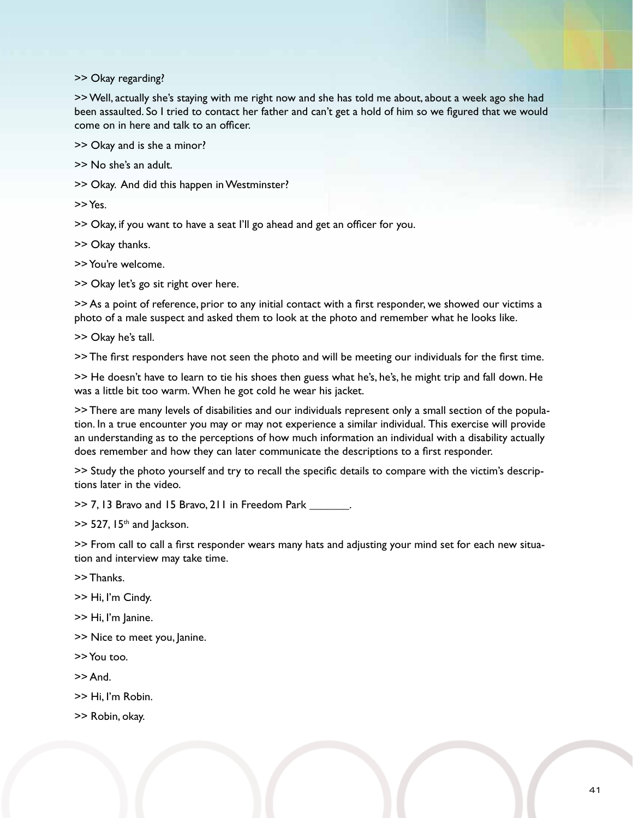#### >> Okay regarding?

>> Well, actually she's staying with me right now and she has told me about, about a week ago she had been assaulted. So I tried to contact her father and can't get a hold of him so we figured that we would come on in here and talk to an officer.

>> Okay and is she a minor?

>> No she's an adult.

>> Okay. And did this happen in Westminster?

Yes. >>

Okay, if you want to have a seat I'll go ahead and get an officer for you. >>

>> Okay thanks.

>> You're welcome.

>> Okay let's go sit right over here.

>> As a point of reference, prior to any initial contact with a first responder, we showed our victims a photo of a male suspect and asked them to look at the photo and remember what he looks like.

>> Okay he's tall.

>> The first responders have not seen the photo and will be meeting our individuals for the first time.

>> He doesn't have to learn to tie his shoes then guess what he's, he's, he might trip and fall down. He was a little bit too warm. When he got cold he wear his jacket.

>> There are many levels of disabilities and our individuals represent only a small section of the population. In a true encounter you may or may not experience a similar individual. This exercise will provide an understanding as to the perceptions of how much information an individual with a disability actually does remember and how they can later communicate the descriptions to a first responder.

>> Study the photo yourself and try to recall the specific details to compare with the victim's descriptions later in the video.

>> 7, 13 Bravo and 15 Bravo, 211 in Freedom Park \_\_\_\_\_\_\_.

 $>$  527, 15<sup>th</sup> and Jackson.

>> From call to call a first responder wears many hats and adjusting your mind set for each new situation and interview may take time.

>> Thanks.

>> Hi, I'm Cindy.

>> Hi, I'm Janine.

>> Nice to meet you, Janine.

>> You too.

>> And.

>> Hi, I'm Robin.

Robin, okay. >>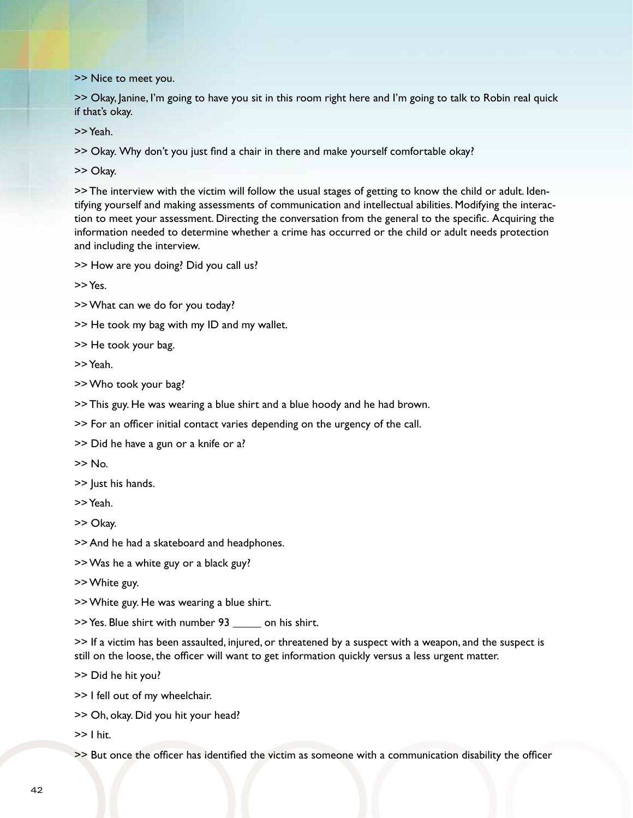>> Nice to meet you.

>> Okay, Janine, I'm going to have you sit in this room right here and I'm going to talk to Robin real quick if that's okay.

>>Yeah.

Okay. Why don't you just find a chair in there and make yourself comfortable okay? >>

Okay. >>

>> The interview with the victim will follow the usual stages of getting to know the child or adult. Identifying yourself and making assessments of communication and intellectual abilities. Modifying the interaction to meet your assessment. Directing the conversation from the general to the specific. Acquiring the information needed to determine whether a crime has occurred or the child or adult needs protection and including the interview.

>> How are you doing? Did you call us?

Yes. >>

What can we do for you today? >>

>> He took my bag with my ID and my wallet.

>> He took your bag.

Yeah. >>

Who took your bag? >>

This guy. He was wearing a blue shirt and a blue hoody and he had brown. >>

>> For an officer initial contact varies depending on the urgency of the call.

>> Did he have a gun or a knife or a?

>> No.

>> Just his hands.

Yeah. >>

Okay. >>

>> And he had a skateboard and headphones.

Was he a white guy or a black guy? >>

White guy. >>

White guy. He was wearing a blue shirt. >>

 $>> Y$ es. Blue shirt with number 93  $\_\_\_\_$  on his shirt.

>> If a victim has been assaulted, injured, or threatened by a suspect with a weapon, and the suspect is still on the loose, the officer will want to get information quickly versus a less urgent matter.

>> Did he hit you?

>> I fell out of my wheelchair.

Oh, okay. Did you hit your head? >>

>> I hit.

>> But once the officer has identified the victim as someone with a communication disability the officer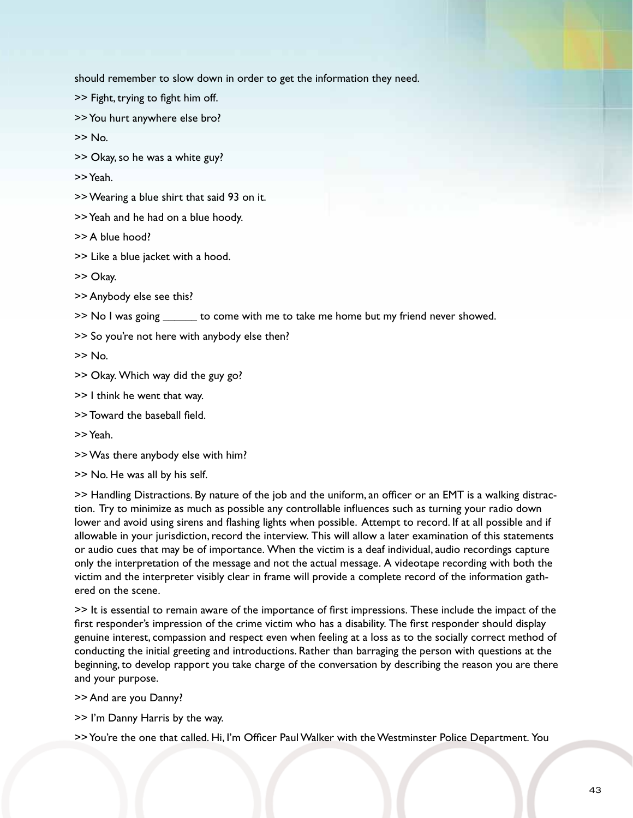should remember to slow down in order to get the information they need.

>> Fight, trying to fight him off.

>> You hurt anywhere else bro?

>> No.

>> Okay, so he was a white guy?

Yeah. >>

Wearing a blue shirt that said 93 on it. >>

>> Yeah and he had on a blue hoody.

>> A blue hood?

>> Like a blue jacket with a hood.

Okay. >>

>> Anybody else see this?

>> No I was going \_\_\_\_\_\_ to come with me to take me home but my friend never showed.

>> So you're not here with anybody else then?

>> No.

>> Okay. Which way did the guy go?

>> I think he went that way.

>> Toward the baseball field.

Yeah. >>

>> Was there anybody else with him?

>> No. He was all by his self.

>> Handling Distractions. By nature of the job and the uniform, an officer or an EMT is a walking distraction. Try to minimize as much as possible any controllable influences such as turning your radio down lower and avoid using sirens and flashing lights when possible. Attempt to record. If at all possible and if allowable in your jurisdiction, record the interview. This will allow a later examination of this statements or audio cues that may be of importance. When the victim is a deaf individual, audio recordings capture only the interpretation of the message and not the actual message. A videotape recording with both the victim and the interpreter visibly clear in frame will provide a complete record of the information gathered on the scene.

>> It is essential to remain aware of the importance of first impressions. These include the impact of the first responder's impression of the crime victim who has a disability. The first responder should display genuine interest, compassion and respect even when feeling at a loss as to the socially correct method of conducting the initial greeting and introductions. Rather than barraging the person with questions at the beginning, to develop rapport you take charge of the conversation by describing the reason you are there and your purpose.

>> And are you Danny?

>> I'm Danny Harris by the way.

>> You're the one that called. Hi, I'm Officer Paul Walker with the Westminster Police Department. You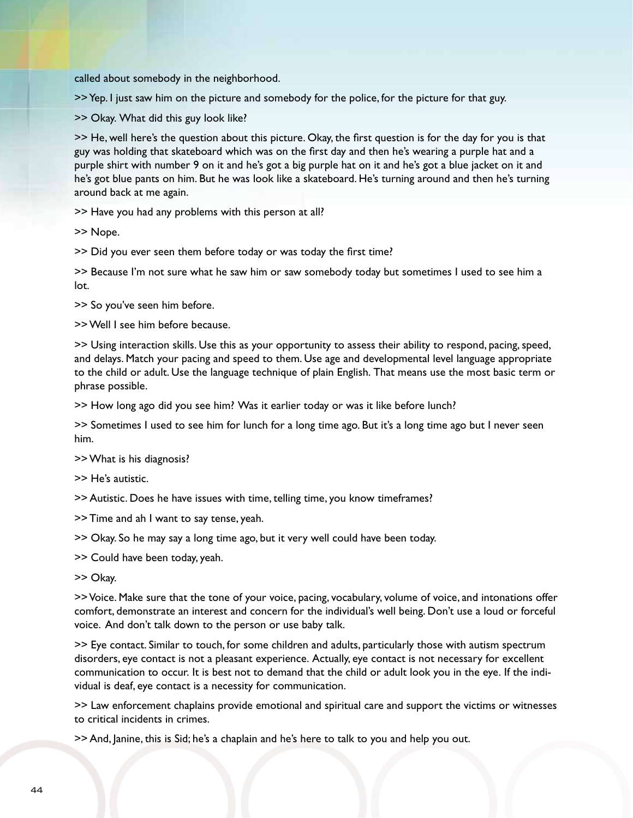called about somebody in the neighborhood.

>> Yep. I just saw him on the picture and somebody for the police, for the picture for that guy.

>> Okay. What did this guy look like?

>> He, well here's the question about this picture. Okay, the first question is for the day for you is that guy was holding that skateboard which was on the first day and then he's wearing a purple hat and a purple shirt with number 9 on it and he's got a big purple hat on it and he's got a blue jacket on it and he's got blue pants on him. But he was look like a skateboard. He's turning around and then he's turning around back at me again.

>> Have you had any problems with this person at all?

Nope. >>

>> Did you ever seen them before today or was today the first time?

>> Because I'm not sure what he saw him or saw somebody today but sometimes I used to see him a lot.

>> So you've seen him before.

>> Well I see him before because.

>> Using interaction skills. Use this as your opportunity to assess their ability to respond, pacing, speed, and delays. Match your pacing and speed to them. Use age and developmental level language appropriate to the child or adult. Use the language technique of plain English. That means use the most basic term or phrase possible.

>> How long ago did you see him? Was it earlier today or was it like before lunch?

>> Sometimes I used to see him for lunch for a long time ago. But it's a long time ago but I never seen him.

>> What is his diagnosis?

>> He's autistic.

>> Autistic. Does he have issues with time, telling time, you know timeframes?

>> Time and ah I want to say tense, yeah.

Okay. So he may say a long time ago, but it very well could have been today. >>

>> Could have been today, yeah.

Okay. >>

>> Voice. Make sure that the tone of your voice, pacing, vocabulary, volume of voice, and intonations offer comfort, demonstrate an interest and concern for the individual's well being. Don't use a loud or forceful voice. And don't talk down to the person or use baby talk.

>> Eye contact. Similar to touch, for some children and adults, particularly those with autism spectrum disorders, eye contact is not a pleasant experience. Actually, eye contact is not necessary for excellent communication to occur. It is best not to demand that the child or adult look you in the eye. If the individual is deaf, eye contact is a necessity for communication.

>> Law enforcement chaplains provide emotional and spiritual care and support the victims or witnesses to critical incidents in crimes.

>> And, Janine, this is Sid; he's a chaplain and he's here to talk to you and help you out.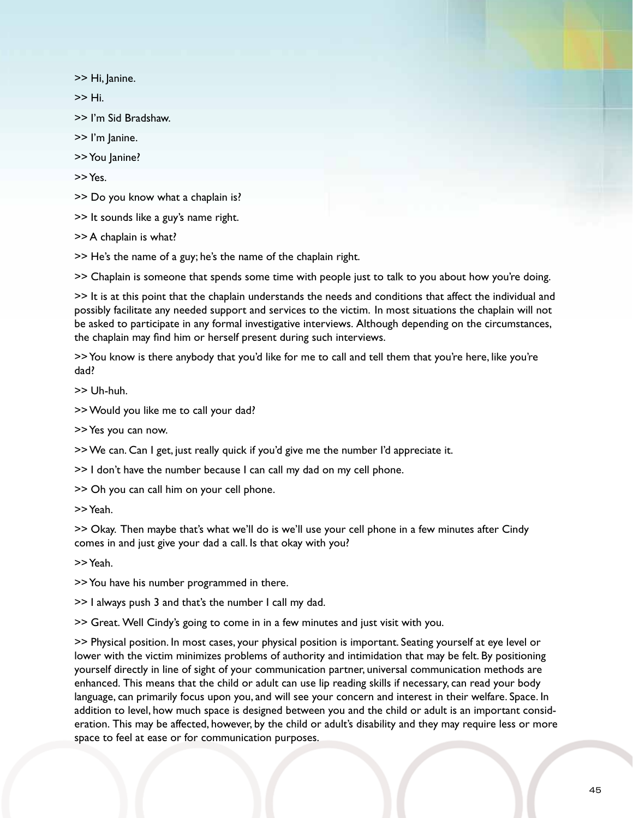>> Hi, Janine.

>> Hi.

>> I'm Sid Bradshaw.

>> I'm Janine.

>> You Janine?

Yes. >>

>> Do you know what a chaplain is?

>> It sounds like a guy's name right.

>> A chaplain is what?

>> He's the name of a guy; he's the name of the chaplain right.

Chaplain is someone that spends some time with people just to talk to you about how you're doing. >>

>> It is at this point that the chaplain understands the needs and conditions that affect the individual and possibly facilitate any needed support and services to the victim. In most situations the chaplain will not be asked to participate in any formal investigative interviews. Although depending on the circumstances, the chaplain may find him or herself present during such interviews.

>> You know is there anybody that you'd like for me to call and tell them that you're here, like you're dad?

>> Uh-huh.

Would you like me to call your dad? >>

>> Yes you can now.

We can. Can I get, just really quick if you'd give me the number I'd appreciate it. >>

>> I don't have the number because I can call my dad on my cell phone.

Oh you can call him on your cell phone. >>

Yeah. >>

>> Okay. Then maybe that's what we'll do is we'll use your cell phone in a few minutes after Cindy comes in and just give your dad a call. Is that okay with you?

>> Yeah.

>> You have his number programmed in there.

>> I always push 3 and that's the number I call my dad.

Great. Well Cindy's going to come in in a few minutes and just visit with you. >>

>> Physical position. In most cases, your physical position is important. Seating yourself at eye level or lower with the victim minimizes problems of authority and intimidation that may be felt. By positioning yourself directly in line of sight of your communication partner, universal communication methods are enhanced. This means that the child or adult can use lip reading skills if necessary, can read your body language, can primarily focus upon you, and will see your concern and interest in their welfare. Space. In addition to level, how much space is designed between you and the child or adult is an important consideration. This may be affected, however, by the child or adult's disability and they may require less or more space to feel at ease or for communication purposes.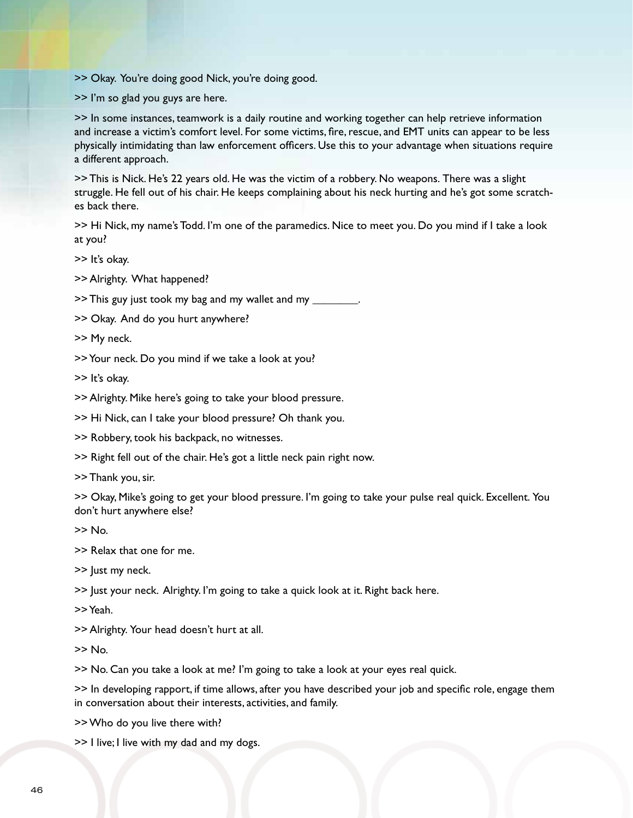>> Okay. You're doing good Nick, you're doing good.

>> I'm so glad you guys are here.

>> In some instances, teamwork is a daily routine and working together can help retrieve information and increase a victim's comfort level. For some victims, fire, rescue, and EMT units can appear to be less physically intimidating than law enforcement officers. Use this to your advantage when situations require a different approach.

>> This is Nick. He's 22 years old. He was the victim of a robbery. No weapons. There was a slight struggle. He fell out of his chair. He keeps complaining about his neck hurting and he's got some scratches back there.

>> Hi Nick, my name's Todd. I'm one of the paramedics. Nice to meet you. Do you mind if I take a look at you?

>> It's okay.

>> Alrighty. What happened?

>> This guy just took my bag and my wallet and my \_\_\_\_\_\_\_\_\_.

>> Okay. And do you hurt anywhere?

>> My neck.

>> Your neck. Do you mind if we take a look at you?

>> It's okay.

Alrighty. Mike here's going to take your blood pressure. >>

>> Hi Nick, can I take your blood pressure? Oh thank you.

Robbery, took his backpack, no witnesses. >>

>> Right fell out of the chair. He's got a little neck pain right now.

>> Thank you, sir.

>> Okay, Mike's going to get your blood pressure. I'm going to take your pulse real quick. Excellent. You don't hurt anywhere else?

>> No.

>> Relax that one for me.

>> Just my neck.

>> Just your neck. Alrighty. I'm going to take a quick look at it. Right back here.

Yeah. >>

>> Alrighty. Your head doesn't hurt at all.

>> No.

No. Can you take a look at me? I'm going to take a look at your eyes real quick. >>

>> In developing rapport, if time allows, after you have described your job and specific role, engage them in conversation about their interests, activities, and family.

>> Who do you live there with?

>> I live; I live with my dad and my dogs.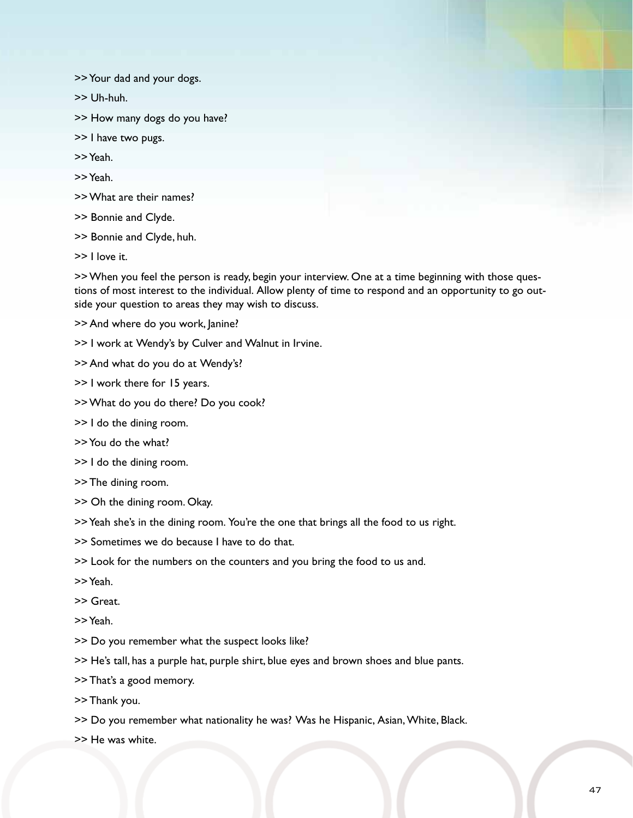>> Your dad and your dogs.

Uh-huh. >>

>> How many dogs do you have?

>> I have two pugs.

Yeah. >>

Yeah. >>

What are their names? >>

>> Bonnie and Clyde.

>> Bonnie and Clyde, huh.

>> I love it.

>> When you feel the person is ready, begin your interview. One at a time beginning with those questions of most interest to the individual. Allow plenty of time to respond and an opportunity to go outside your question to areas they may wish to discuss.

>> And where do you work, Janine?

>> I work at Wendy's by Culver and Walnut in Irvine.

>> And what do you do at Wendy's?

>> I work there for 15 years.

What do you do there? Do you cook? >>

>> I do the dining room.

>> You do the what?

>> I do the dining room.

>> The dining room.

Oh the dining room. Okay. >>

>> Yeah she's in the dining room. You're the one that brings all the food to us right.

>> Sometimes we do because I have to do that.

Look for the numbers on the counters and you bring the food to us and. >>

Yeah. >>

Great. >>

Yeah. >>

>> Do you remember what the suspect looks like?

He's tall, has a purple hat, purple shirt, blue eyes and brown shoes and blue pants. >>

>> That's a good memory.

>> Thank you.

Do you remember what nationality he was? Was he Hispanic, Asian, White, Black. >>

>> He was white.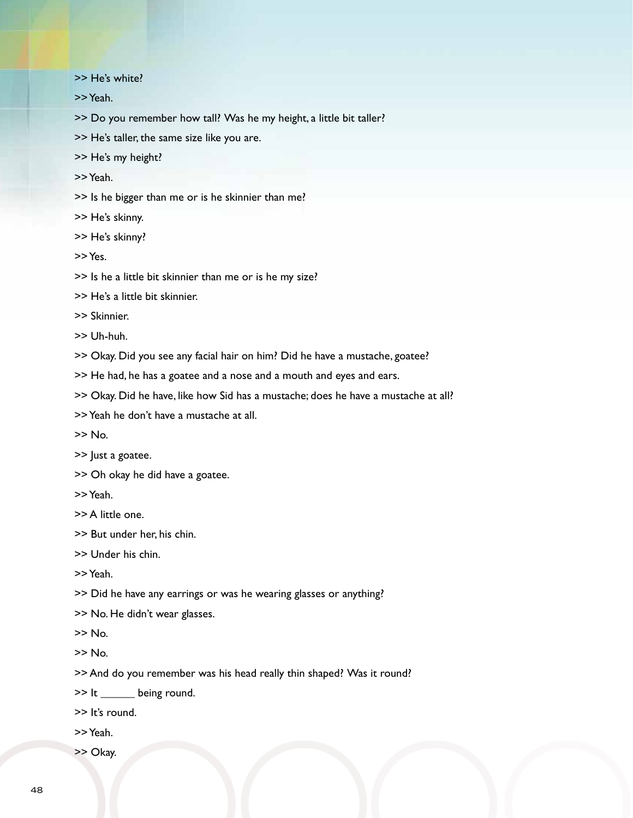>> He's white?

Yeah. >>

Do you remember how tall? Was he my height, a little bit taller? >>

>> He's taller, the same size like you are.

>> He's my height?

>> Yeah.

>> Is he bigger than me or is he skinnier than me?

He's skinny. >>

>> He's skinny?

Yes. >>

>> Is he a little bit skinnier than me or is he my size?

>> He's a little bit skinnier.

>> Skinnier.

Uh-huh. >>

Okay. Did you see any facial hair on him? Did he have a mustache, goatee? >>

>> He had, he has a goatee and a nose and a mouth and eyes and ears.

>> Okay. Did he have, like how Sid has a mustache; does he have a mustache at all?

>> Yeah he don't have a mustache at all.

>> No.

>> Just a goatee.

Oh okay he did have a goatee. >>

Yeah. >>

>> A little one.

>> But under her, his chin.

Under his chin. >>

Yeah. >>

>> Did he have any earrings or was he wearing glasses or anything?

No. He didn't wear glasses. >>

>> No.

>> No.

>> And do you remember was his head really thin shaped? Was it round?

 $\ge$  It \_\_\_\_\_\_\_ being round.

>> It's round.

Yeah. >>

>> Okay.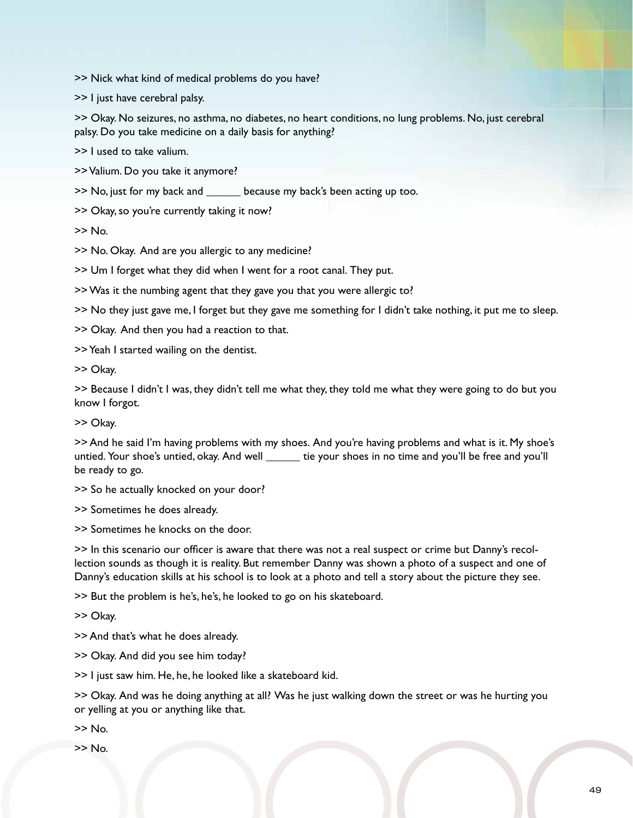>> Nick what kind of medical problems do you have?

>> I just have cerebral palsy.

>> Okay. No seizures, no asthma, no diabetes, no heart conditions, no lung problems. No, just cerebral palsy. Do you take medicine on a daily basis for anything?

>> I used to take valium.

>> Valium. Do you take it anymore?

No, just for my back and \_\_\_\_\_\_ because my back's been acting up too. >>

>> Okay, so you're currently taking it now?

>> No.

>> No. Okay. And are you allergic to any medicine?

Um I forget what they did when I went for a root canal. They put. >>

Was it the numbing agent that they gave you that you were allergic to? >>

No they just gave me, I forget but they gave me something for I didn't take nothing, it put me to sleep. >>

>> Okay. And then you had a reaction to that.

>> Yeah I started wailing on the dentist.

Okay. >>

>> Because I didn't I was, they didn't tell me what they, they told me what they were going to do but you know I forgot.

>> Okay.

>> And he said I'm having problems with my shoes. And you're having problems and what is it. My shoe's untied. Your shoe's untied, okay. And well exting the your shoes in no time and you'll be free and you'll be ready to go.

>> So he actually knocked on your door?

>> Sometimes he does already.

>> Sometimes he knocks on the door.

>> In this scenario our officer is aware that there was not a real suspect or crime but Danny's recollection sounds as though it is reality. But remember Danny was shown a photo of a suspect and one of Danny's education skills at his school is to look at a photo and tell a story about the picture they see.

>> But the problem is he's, he's, he looked to go on his skateboard.

Okay. >>

>> And that's what he does already.

>> Okay. And did you see him today?

>> I just saw him. He, he, he looked like a skateboard kid.

>> Okay. And was he doing anything at all? Was he just walking down the street or was he hurting you or yelling at you or anything like that.

>> No.

>> No.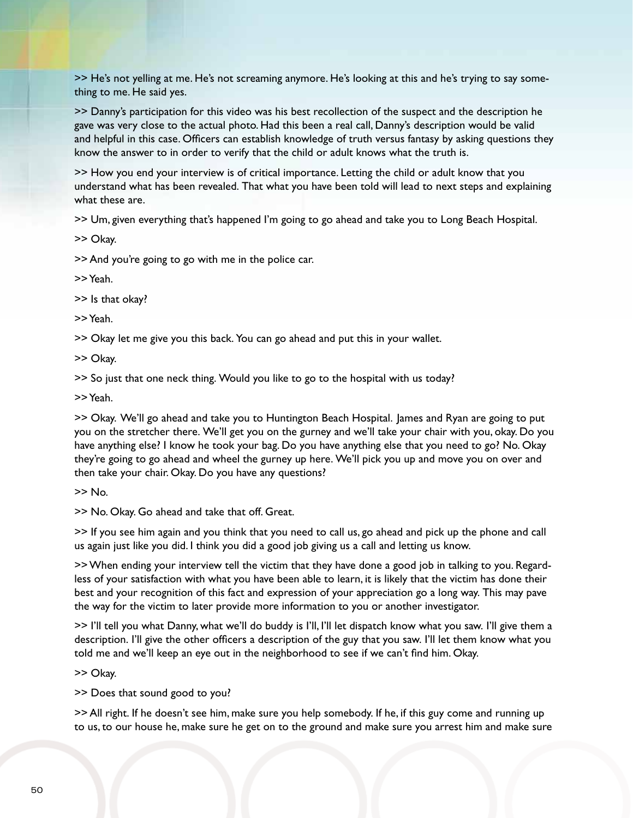>> He's not yelling at me. He's not screaming anymore. He's looking at this and he's trying to say something to me. He said yes.

>> Danny's participation for this video was his best recollection of the suspect and the description he gave was very close to the actual photo. Had this been a real call, Danny's description would be valid and helpful in this case. Officers can establish knowledge of truth versus fantasy by asking questions they know the answer to in order to verify that the child or adult knows what the truth is.

>> How you end your interview is of critical importance. Letting the child or adult know that you understand what has been revealed. That what you have been told will lead to next steps and explaining what these are.

>> Um, given everything that's happened I'm going to go ahead and take you to Long Beach Hospital.

Okay. >>

>> And you're going to go with me in the police car.

Yeah. >>

>> Is that okay?

Yeah. >>

Okay let me give you this back. You can go ahead and put this in your wallet. >>

>> Okay.

>> So just that one neck thing. Would you like to go to the hospital with us today?

Yeah. >>

>> Okay. We'll go ahead and take you to Huntington Beach Hospital. James and Ryan are going to put you on the stretcher there. We'll get you on the gurney and we'll take your chair with you, okay. Do you have anything else? I know he took your bag. Do you have anything else that you need to go? No. Okay they're going to go ahead and wheel the gurney up here. We'll pick you up and move you on over and then take your chair. Okay. Do you have any questions?

>> No.

>> No. Okay. Go ahead and take that off. Great.

>> If you see him again and you think that you need to call us, go ahead and pick up the phone and call us again just like you did. I think you did a good job giving us a call and letting us know.

>> When ending your interview tell the victim that they have done a good job in talking to you. Regardless of your satisfaction with what you have been able to learn, it is likely that the victim has done their best and your recognition of this fact and expression of your appreciation go a long way. This may pave the way for the victim to later provide more information to you or another investigator.

>> I'll tell you what Danny, what we'll do buddy is I'll, I'll let dispatch know what you saw. I'll give them a description. I'll give the other officers a description of the guy that you saw. I'll let them know what you told me and we'll keep an eye out in the neighborhood to see if we can't find him. Okay.

>> Okay.

>> Does that sound good to you?

>> All right. If he doesn't see him, make sure you help somebody. If he, if this guy come and running up to us, to our house he, make sure he get on to the ground and make sure you arrest him and make sure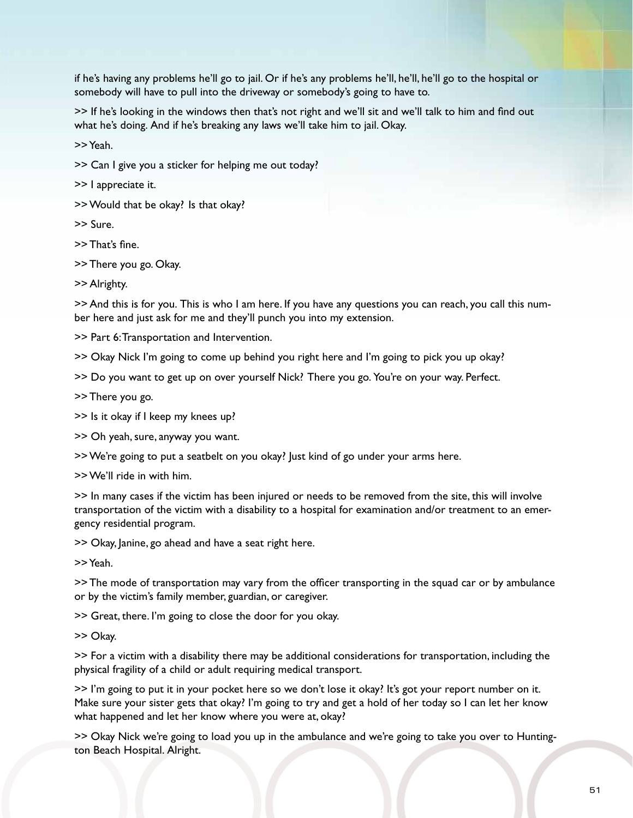if he's having any problems he'll go to jail. Or if he's any problems he'll, he'll, he'll go to the hospital or somebody will have to pull into the driveway or somebody's going to have to.

>> If he's looking in the windows then that's not right and we'll sit and we'll talk to him and find out what he's doing. And if he's breaking any laws we'll take him to jail. Okay.

>> Yeah.

>> Can I give you a sticker for helping me out today?

>> l appreciate it.

>> Would that be okay? Is that okay?

>> Sure.

>>That's fine.

>> There you go. Okay.

Alrighty. >>

>> And this is for you. This is who I am here. If you have any questions you can reach, you call this number here and just ask for me and they'll punch you into my extension.

>> Part 6: Transportation and Intervention.

>> Okay Nick I'm going to come up behind you right here and I'm going to pick you up okay?

Do you want to get up on over yourself Nick? There you go. You're on your way. Perfect. >>

>> There you go.

>> Is it okay if I keep my knees up?

Oh yeah, sure, anyway you want. >>

We're going to put a seatbelt on you okay? Just kind of go under your arms here. >>

We'll ride in with him. >>

>> In many cases if the victim has been injured or needs to be removed from the site, this will involve transportation of the victim with a disability to a hospital for examination and/or treatment to an emergency residential program.

>> Okay, Janine, go ahead and have a seat right here.

>> Yeah.

>> The mode of transportation may vary from the officer transporting in the squad car or by ambulance or by the victim's family member, guardian, or caregiver.

>> Great, there. I'm going to close the door for you okay.

>> Okay.

>> For a victim with a disability there may be additional considerations for transportation, including the physical fragility of a child or adult requiring medical transport.

>> I'm going to put it in your pocket here so we don't lose it okay? It's got your report number on it. Make sure your sister gets that okay? I'm going to try and get a hold of her today so I can let her know what happened and let her know where you were at, okay?

>> Okay Nick we're going to load you up in the ambulance and we're going to take you over to Huntington Beach Hospital. Alright.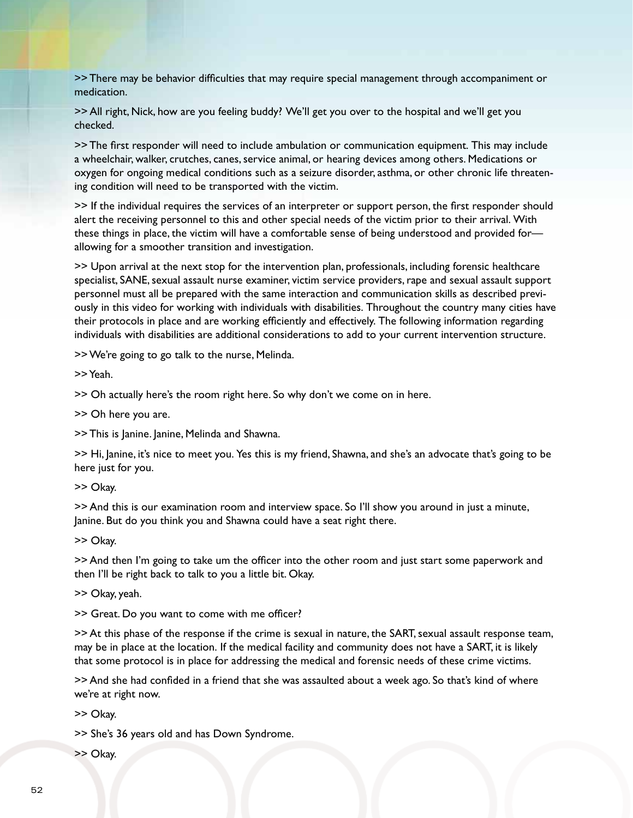>> There may be behavior difficulties that may require special management through accompaniment or medication.

>> All right, Nick, how are you feeling buddy? We'll get you over to the hospital and we'll get you checked.

>> The first responder will need to include ambulation or communication equipment. This may include a wheelchair, walker, crutches, canes, service animal, or hearing devices among others. Medications or oxygen for ongoing medical conditions such as a seizure disorder, asthma, or other chronic life threatening condition will need to be transported with the victim.

>> If the individual requires the services of an interpreter or support person, the first responder should alert the receiving personnel to this and other special needs of the victim prior to their arrival. With these things in place, the victim will have a comfortable sense of being understood and provided for allowing for a smoother transition and investigation.

>> Upon arrival at the next stop for the intervention plan, professionals, including forensic healthcare specialist, SANE, sexual assault nurse examiner, victim service providers, rape and sexual assault support personnel must all be prepared with the same interaction and communication skills as described previously in this video for working with individuals with disabilities. Throughout the country many cities have their protocols in place and are working efficiently and effectively. The following information regarding individuals with disabilities are additional considerations to add to your current intervention structure.

>> We're going to go talk to the nurse, Melinda.

Yeah. >>

>> Oh actually here's the room right here. So why don't we come on in here.

Oh here you are. >>

>> This is Janine. Janine, Melinda and Shawna.

>> Hi, Janine, it's nice to meet you. Yes this is my friend, Shawna, and she's an advocate that's going to be here just for you.

>> Okay.

>> And this is our examination room and interview space. So I'll show you around in just a minute, Janine. But do you think you and Shawna could have a seat right there.

>> Okay.

>> And then I'm going to take um the officer into the other room and just start some paperwork and then I'll be right back to talk to you a little bit. Okay.

>> Okay, yeah.

>> Great. Do you want to come with me officer?

>> At this phase of the response if the crime is sexual in nature, the SART, sexual assault response team, may be in place at the location. If the medical facility and community does not have a SART, it is likely that some protocol is in place for addressing the medical and forensic needs of these crime victims.

>> And she had confided in a friend that she was assaulted about a week ago. So that's kind of where we're at right now.

>> Okay.

>> She's 36 years old and has Down Syndrome.

Okay. >>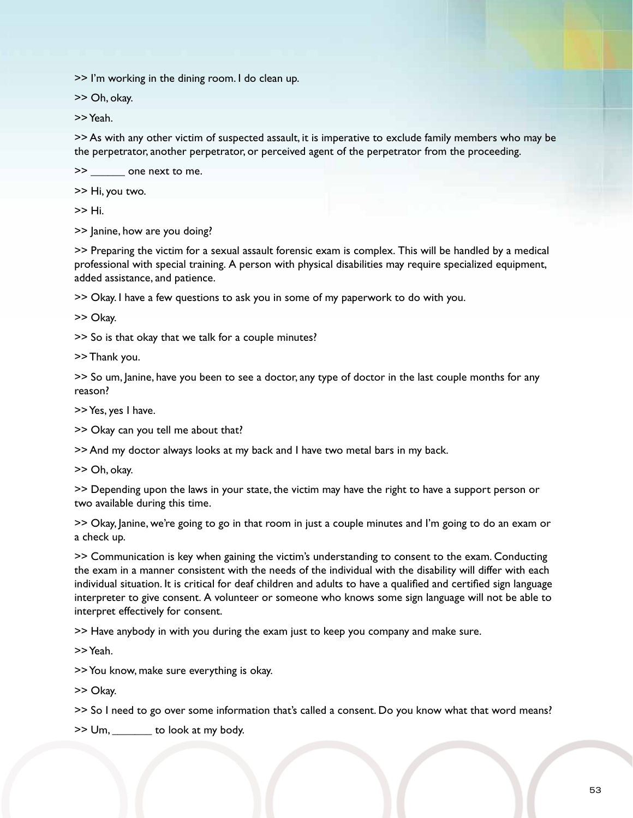>> I'm working in the dining room. I do clean up.

Oh, okay. >>

Yeah. >>

>> As with any other victim of suspected assault, it is imperative to exclude family members who may be the perpetrator, another perpetrator, or perceived agent of the perpetrator from the proceeding.

>> \_\_\_\_\_\_\_ one next to me.

>> Hi, you two.

>> Hi.

>> Janine, how are you doing?

>> Preparing the victim for a sexual assault forensic exam is complex. This will be handled by a medical professional with special training. A person with physical disabilities may require specialized equipment, added assistance, and patience.

>> Okay. I have a few questions to ask you in some of my paperwork to do with you.

>> Okay.

>> So is that okay that we talk for a couple minutes?

>> Thank you.

>> So um, Janine, have you been to see a doctor, any type of doctor in the last couple months for any reason?

>> Yes, yes I have.

>> Okay can you tell me about that?

>> And my doctor always looks at my back and I have two metal bars in my back.

Oh, okay. >>

>> Depending upon the laws in your state, the victim may have the right to have a support person or two available during this time.

>> Okay, Janine, we're going to go in that room in just a couple minutes and I'm going to do an exam or a check up.

>> Communication is key when gaining the victim's understanding to consent to the exam. Conducting the exam in a manner consistent with the needs of the individual with the disability will differ with each individual situation. It is critical for deaf children and adults to have a qualified and certified sign language interpreter to give consent. A volunteer or someone who knows some sign language will not be able to interpret effectively for consent.

>> Have anybody in with you during the exam just to keep you company and make sure.

Yeah. >>

>> You know, make sure everything is okay.

Okay. >>

>> So I need to go over some information that's called a consent. Do you know what that word means?

>> Um, \_\_\_\_\_\_\_\_ to look at my body.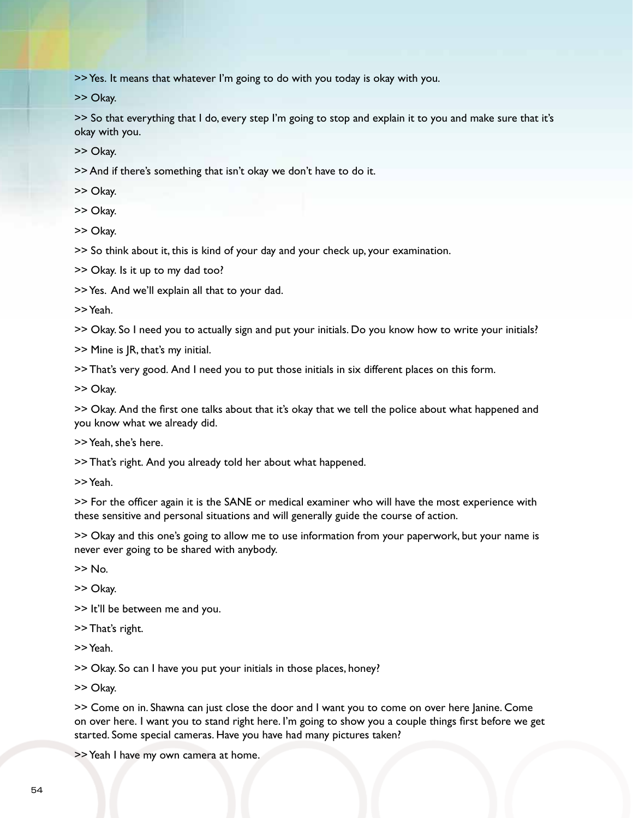>> Yes. It means that whatever I'm going to do with you today is okay with you.

>> Okay.

>> So that everything that I do, every step I'm going to stop and explain it to you and make sure that it's okay with you.

>> Okay.

>> And if there's something that isn't okay we don't have to do it.

Okay. >>

Okay. >>

Okay. >>

>> So think about it, this is kind of your day and your check up, your examination.

>> Okay. Is it up to my dad too?

>> Yes. And we'll explain all that to your dad.

Yeah. >>

>> Okay. So I need you to actually sign and put your initials. Do you know how to write your initials?

>> Mine is JR, that's my initial.

That's very good. And I need you to put those initials in six different places on this form. >>

>> Okay.

>> Okay. And the first one talks about that it's okay that we tell the police about what happened and you know what we already did.

>> Yeah, she's here.

That's right. And you already told her about what happened. >>

Yeah. >>

>> For the officer again it is the SANE or medical examiner who will have the most experience with these sensitive and personal situations and will generally guide the course of action.

>> Okay and this one's going to allow me to use information from your paperwork, but your name is never ever going to be shared with anybody.

>> No.

Okay. >>

>> It'll be between me and you.

>> That's right.

Yeah. >>

Okay. So can I have you put your initials in those places, honey? >>

Okay. >>

>> Come on in. Shawna can just close the door and I want you to come on over here Janine. Come on over here. I want you to stand right here. I'm going to show you a couple things first before we get started. Some special cameras. Have you have had many pictures taken?

>> Yeah I have my own camera at home.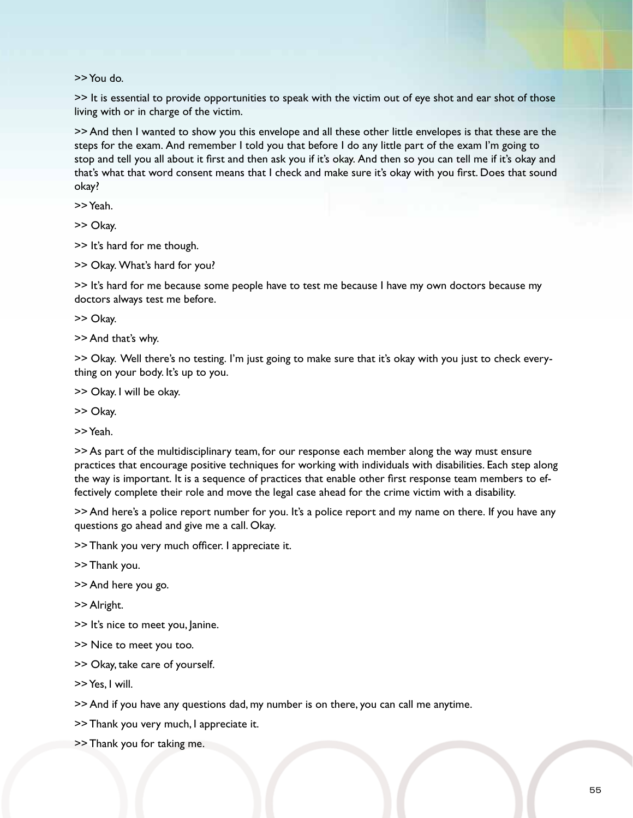>> You do.

>> It is essential to provide opportunities to speak with the victim out of eye shot and ear shot of those living with or in charge of the victim.

>> And then I wanted to show you this envelope and all these other little envelopes is that these are the steps for the exam. And remember I told you that before I do any little part of the exam I'm going to stop and tell you all about it first and then ask you if it's okay. And then so you can tell me if it's okay and that's what that word consent means that I check and make sure it's okay with you first. Does that sound okay?

>>Yeah.

Okay. >>

>> It's hard for me though.

>> Okay. What's hard for you?

>> It's hard for me because some people have to test me because I have my own doctors because my doctors always test me before.

>> Okay.

>> And that's why.

>> Okay. Well there's no testing. I'm just going to make sure that it's okay with you just to check everything on your body. It's up to you.

>> Okay. I will be okay.

Okay. >>

Yeah. >>

>> As part of the multidisciplinary team, for our response each member along the way must ensure practices that encourage positive techniques for working with individuals with disabilities. Each step along the way is important. It is a sequence of practices that enable other first response team members to effectively complete their role and move the legal case ahead for the crime victim with a disability.

>> And here's a police report number for you. It's a police report and my name on there. If you have any questions go ahead and give me a call. Okay.

>> Thank you very much officer. I appreciate it.

>> Thank you.

>> And here you go.

>> Alright.

>> It's nice to meet you, Janine.

>> Nice to meet you too.

>> Okay, take care of yourself.

>> Yes, I will.

>> And if you have any questions dad, my number is on there, you can call me anytime.

>> Thank you very much, I appreciate it.

>> Thank you for taking me.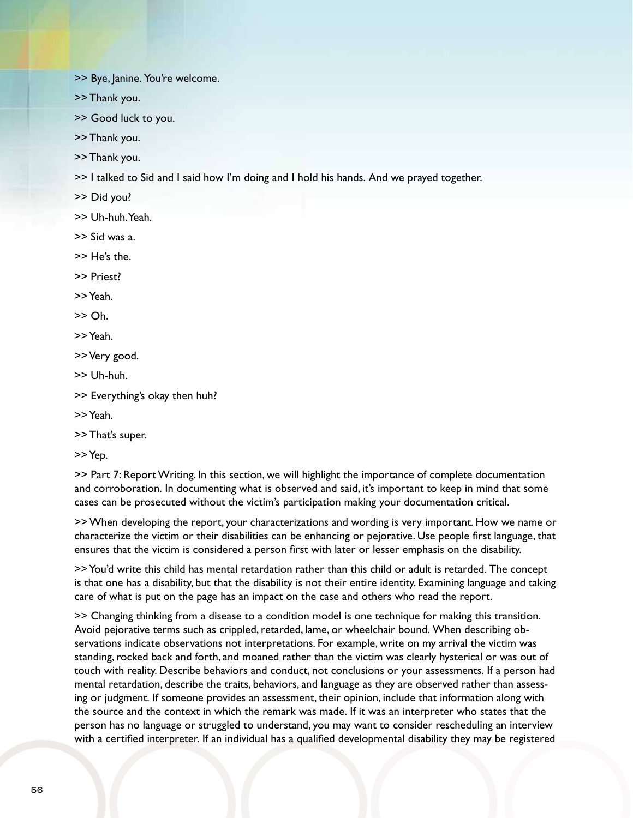>> Bye, Janine. You're welcome.

>> Thank you.

Good luck to you. >>

>> Thank you.

>> Thank you.

>> I talked to Sid and I said how I'm doing and I hold his hands. And we prayed together.

>> Did you?

Uh-huh. Yeah. >>

>> Sid was a.

>> He's the.

>> Priest?

Yeah. >>

>> Oh.

Yeah. >>

>> Very good.

Uh-huh. >>

>> Everything's okay then huh?

Yeah. >>

>> That's super.

Yep. >>

>> Part 7: Report Writing. In this section, we will highlight the importance of complete documentation and corroboration. In documenting what is observed and said, it's important to keep in mind that some cases can be prosecuted without the victim's participation making your documentation critical.

>> When developing the report, your characterizations and wording is very important. How we name or characterize the victim or their disabilities can be enhancing or pejorative. Use people first language, that ensures that the victim is considered a person first with later or lesser emphasis on the disability.

>> You'd write this child has mental retardation rather than this child or adult is retarded. The concept is that one has a disability, but that the disability is not their entire identity. Examining language and taking care of what is put on the page has an impact on the case and others who read the report.

>> Changing thinking from a disease to a condition model is one technique for making this transition. Avoid pejorative terms such as crippled, retarded, lame, or wheelchair bound. When describing observations indicate observations not interpretations. For example, write on my arrival the victim was standing, rocked back and forth, and moaned rather than the victim was clearly hysterical or was out of touch with reality. Describe behaviors and conduct, not conclusions or your assessments. If a person had mental retardation, describe the traits, behaviors, and language as they are observed rather than assessing or judgment. If someone provides an assessment, their opinion, include that information along with the source and the context in which the remark was made. If it was an interpreter who states that the person has no language or struggled to understand, you may want to consider rescheduling an interview with a certified interpreter. If an individual has a qualified developmental disability they may be registered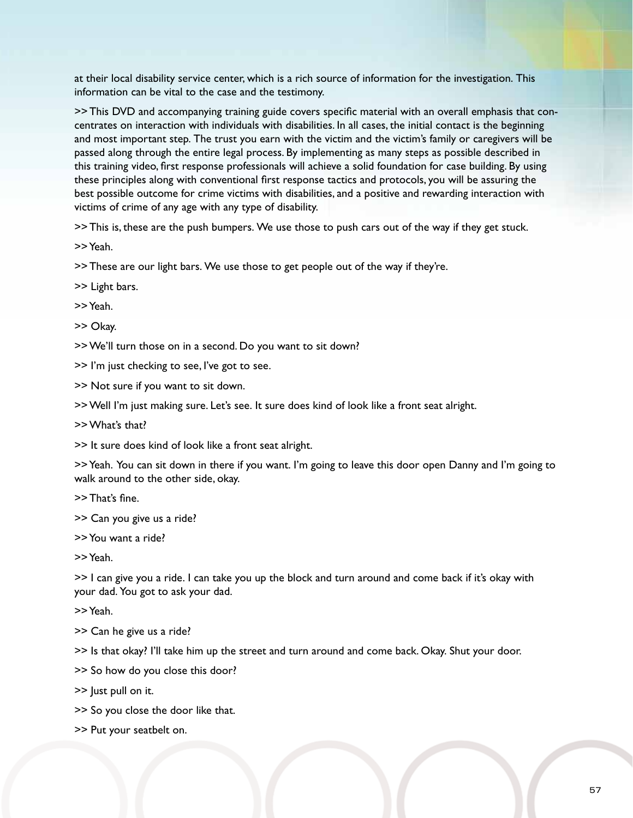at their local disability service center, which is a rich source of information for the investigation. This information can be vital to the case and the testimony.

>> This DVD and accompanying training guide covers specific material with an overall emphasis that concentrates on interaction with individuals with disabilities. In all cases, the initial contact is the beginning and most important step. The trust you earn with the victim and the victim's family or caregivers will be passed along through the entire legal process. By implementing as many steps as possible described in this training video, first response professionals will achieve a solid foundation for case building. By using these principles along with conventional first response tactics and protocols, you will be assuring the best possible outcome for crime victims with disabilities, and a positive and rewarding interaction with victims of crime of any age with any type of disability.

>> This is, these are the push bumpers. We use those to push cars out of the way if they get stuck.

Yeah. >>

These are our light bars. We use those to get people out of the way if they're. >>

- >> Light bars.
- Yeah. >>
- Okay. >>

We'll turn those on in a second. Do you want to sit down? >>

>> I'm just checking to see, I've got to see.

>> Not sure if you want to sit down.

Well I'm just making sure. Let's see. It sure does kind of look like a front seat alright. >>

What's that? >>

>> It sure does kind of look like a front seat alright.

>> Yeah. You can sit down in there if you want. I'm going to leave this door open Danny and I'm going to walk around to the other side, okay.

>> That's fine.

>> Can you give us a ride?

>> You want a ride?

Yeah. >>

>> I can give you a ride. I can take you up the block and turn around and come back if it's okay with your dad. You got to ask your dad.

>> Yeah.

>> Can he give us a ride?

>> Is that okay? I'll take him up the street and turn around and come back. Okay. Shut your door.

>> So how do you close this door?

>> Just pull on it.

- >> So you close the door like that.
- >> Put your seatbelt on.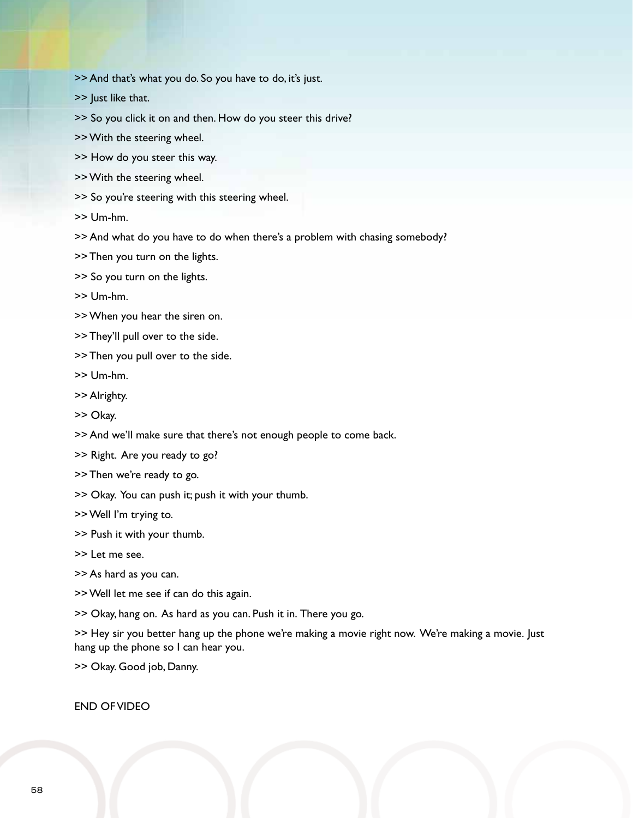- >> And that's what you do. So you have to do, it's just.
- >> Just like that.
- >> So you click it on and then. How do you steer this drive?
- >> With the steering wheel.
- >> How do you steer this way.
- >> With the steering wheel.
- >> So you're steering with this steering wheel.
- Um-hm. >>
- >> And what do you have to do when there's a problem with chasing somebody?
- >> Then you turn on the lights.
- >> So you turn on the lights.
- Um-hm. >>
- When you hear the siren on. >>
- >> They'll pull over to the side.
- >> Then you pull over to the side.
- Um-hm. >>
- >> Alrighty.
- Okay. >>
- >> And we'll make sure that there's not enough people to come back.
- >> Right. Are you ready to go?
- >> Then we're ready to go.
- >> Okay. You can push it; push it with your thumb.
- Well I'm trying to. >>
- >> Push it with your thumb.
- Let me see. >>
- >> As hard as you can.
- Well let me see if can do this again. >>
- Okay, hang on. As hard as you can. Push it in. There you go. >>

>> Hey sir you better hang up the phone we're making a movie right now. We're making a movie. Just hang up the phone so I can hear you.

>> Okay. Good job, Danny.

#### END OF VIDEO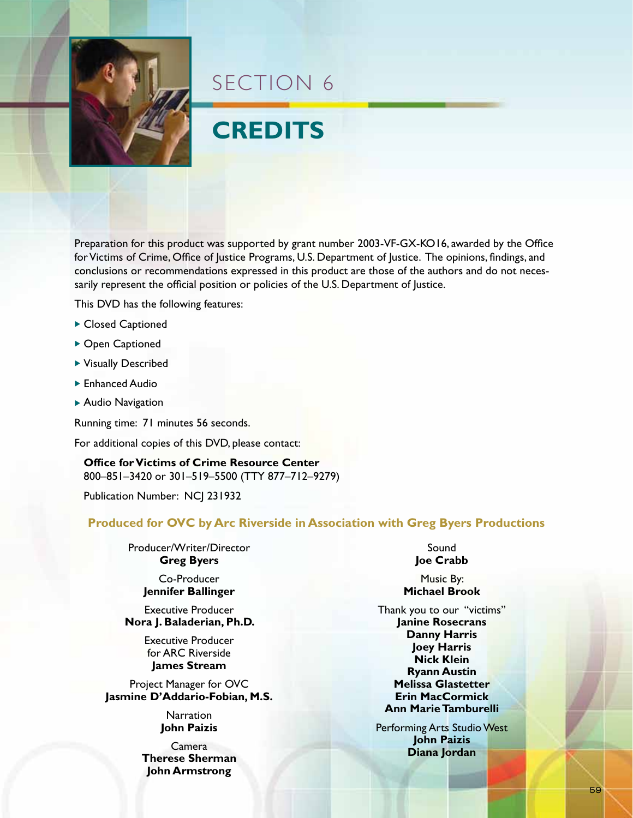

## SECTION 6

## **CREDITS**

Preparation for this product was supported by grant number 2003-VF-GX-KO16, awarded by the Office for Victims of Crime, Office of Justice Programs, U.S. Department of Justice. The opinions, findings, and conclusions or recommendations expressed in this product are those of the authors and do not necessarily represent the official position or policies of the U.S. Department of Justice.

This DVD has the following features:

- $\blacktriangleright$  Closed Captioned
- ▶ Open Captioned
- **Visually Described**
- ▶ Enhanced Audio
- ▶ Audio Navigation

Running time: 71 minutes 56 seconds.

For additional copies of this DVD, please contact:

**Office for Victims of Crime Resource Center** 800–851–3420 or 301–519–5500 (TTY 877–712–9279)

Publication Number: NCJ 231932

#### **Produced for OVC by Arc Riverside in Association with greg Byers Productions**

Producer/Writer/Director **greg Byers**

> Co-Producer **Jennifer Ballinger**

Executive Producer **Nora J. Baladerian, Ph.D.**

> Executive Producer for ARC Riverside **James Stream**

Project Manager for OVC **Jasmine D'Addario-Fobian, M.S.**

> **Narration John Paizis**

Camera **Therese Sherman John Armstrong**

Sound **Joe Crabb**

Music By: **Michael Brook**

Thank you to our "victims" **Janine Rosecrans Danny harris Joey harris Nick Klein Ryann Austin Melissa glastetter Erin MacCormick Ann Marie Tamburelli**

Performing Arts Studio West **John Paizis Diana Jordan**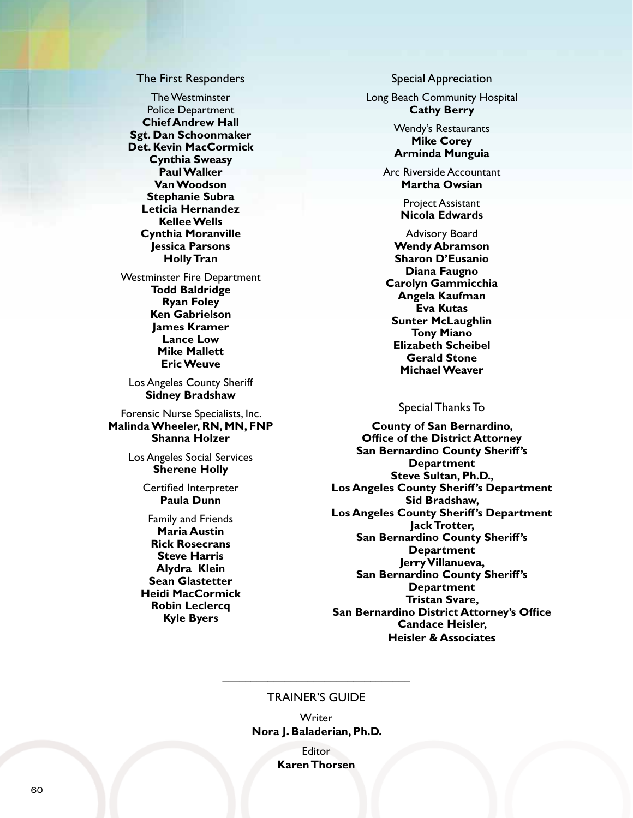The First Responders

The Westminster Police Department **Chief Andrew hall Sgt. Dan Schoonmaker Det. Kevin MacCormick Cynthia Sweasy Paul Walker Van Woodson Stephanie Subra leticia hernandez Kellee Wells Cynthia Moranville Jessica Parsons holly Tran**

Westminster Fire Department **Todd Baldridge Ryan Foley Ken gabrielson James Kramer lance low Mike Mallett Eric Weuve**

Los Angeles County Sheriff **Sidney Bradshaw**

Forensic Nurse Specialists, Inc. **Malinda Wheeler, RN, MN, FNP Shanna Holzer** 

> Los Angeles Social Services **Sherene Holly**

> > Certified Interpreter **Paula Dunn**

Family and Friends **Maria Austin Rick Rosecrans Steve harris Alydra Klein Sean glastetter heidi MacCormick Robin leclercq Kyle Byers**

Special Appreciation

Long Beach Community Hospital **Cathy Berry**

> Wendy's Restaurants **Mike Corey Arminda Munguia**

Arc Riverside Accountant **Martha Owsian**

> Project Assistant **Nicola Edwards**

Advisory Board **Wendy Abramson Sharon D'Eusanio Diana Faugno Carolyn gammicchia Angela Kaufman Eva Kutas Sunter Mclaughlin Tony Miano Elizabeth Scheibel gerald Stone Michael Weaver**

Special Thanks To

**County of San Bernardino, Office of the District Attorney San Bernardino County Sheriff's Department Steve Sultan, Ph.D., los Angeles County Sheriff's Department Sid Bradshaw, los Angeles County Sheriff's Department Jack Trotter, San Bernardino County Sheriff's Department Jerry Villanueva, San Bernardino County Sheriff's Department Tristan Svare, San Bernardino District Attorney's Office Candace heisler, heisler & Associates**

#### TRAINER'S GUIDE

\_\_\_\_\_\_\_\_\_\_\_\_\_\_\_\_\_\_\_\_\_\_\_\_\_\_\_\_\_\_\_\_\_

**Writer Nora J. Baladerian, Ph.D.**

> **Editor Karen Thorsen**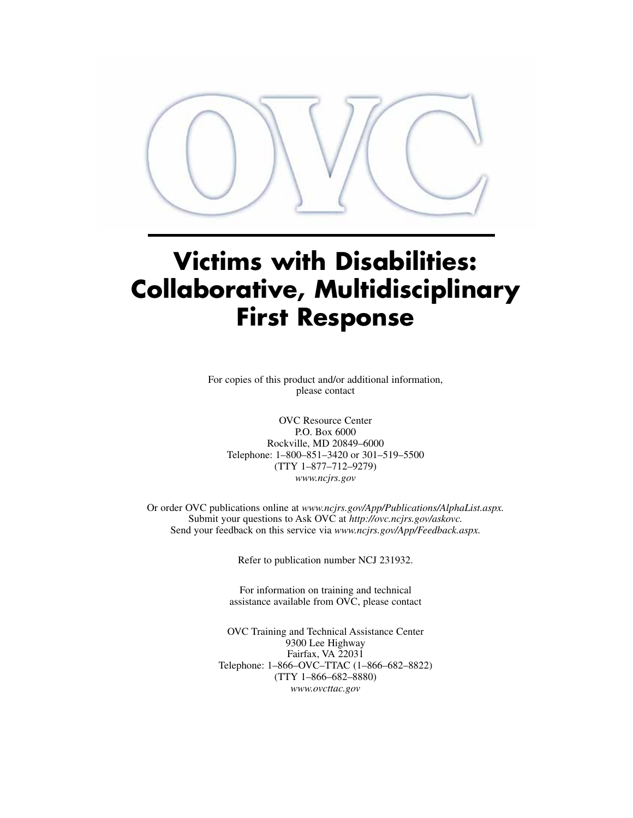

## **Victims with Disabilities: Collaborative, Multidisciplinary First Response**

For copies of this product and/or additional information, please contact

OVC Resource Center P.O. Box 6000 Rockville, MD 20849–6000 Telephone: 1–800–851–3420 or 301–519–5500 (TTY 1–877–712–9279) *www.ncjrs.gov*

Or order OVC publications online at *www.ncjrs.gov/App/Publications/AlphaList.aspx.* Submit your questions to Ask OVC at *http://ovc.ncjrs.gov/askovc.* Send your feedback on this service via *www.ncjrs.gov/App/Feedback.aspx.*

Refer to publication number NCJ 231932.

For information on training and technical assistance available from OVC, please contact

OVC Training and Technical Assistance Center 9300 Lee Highway Fairfax, VA 22031 Telephone: 1–866–OVC–TTAC (1–866–682–8822) (TTY 1–866–682–8880) *www.ovcttac.gov*